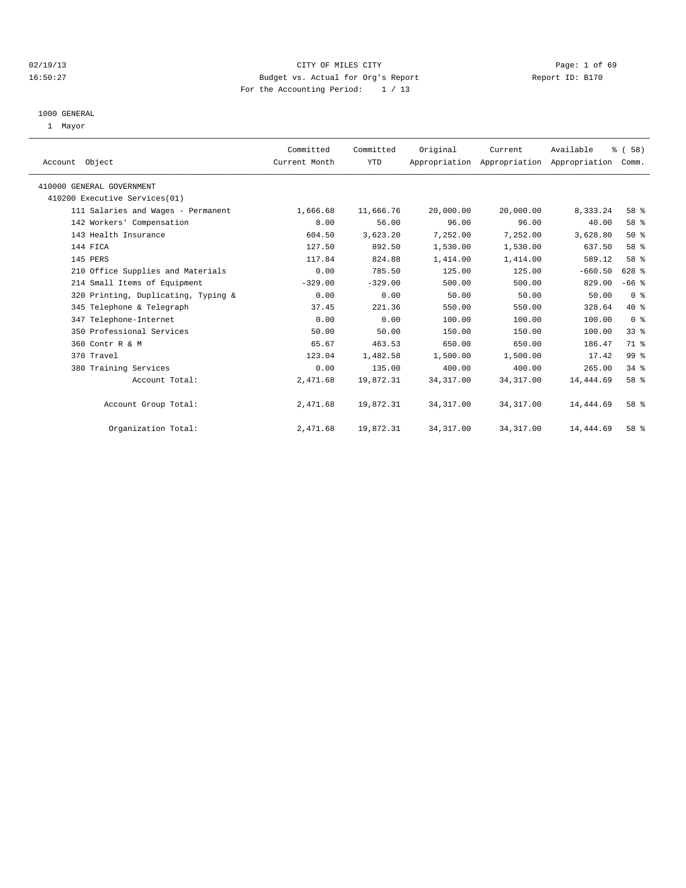## 02/19/13 CITY OF MILES CITY Page: 1 of 69 16:50:27 Budget vs. Actual for Org's Report Report ID: B170 For the Accounting Period: 1 / 13

#### 1000 GENERAL

1 Mayor

| Account Object                      | Committed<br>Current Month | Committed<br><b>YTD</b> | Original   | Current<br>Appropriation Appropriation Appropriation | Available | % (58)<br>Comm. |  |
|-------------------------------------|----------------------------|-------------------------|------------|------------------------------------------------------|-----------|-----------------|--|
|                                     |                            |                         |            |                                                      |           |                 |  |
| 410000 GENERAL GOVERNMENT           |                            |                         |            |                                                      |           |                 |  |
| 410200 Executive Services(01)       |                            |                         |            |                                                      |           |                 |  |
| 111 Salaries and Wages - Permanent  | 1,666.68                   | 11,666.76               | 20,000.00  | 20,000.00                                            | 8,333.24  | 58 %            |  |
| 142 Workers' Compensation           | 8.00                       | 56.00                   | 96.00      | 96.00                                                | 40.00     | 58 %            |  |
| 143 Health Insurance                | 604.50                     | 3,623.20                | 7,252.00   | 7,252.00                                             | 3,628.80  | $50*$           |  |
| 144 FICA                            | 127.50                     | 892.50                  | 1,530.00   | 1,530.00                                             | 637.50    | 58 %            |  |
| 145 PERS                            | 117.84                     | 824.88                  | 1,414.00   | 1,414.00                                             | 589.12    | 58 %            |  |
| 210 Office Supplies and Materials   | 0.00                       | 785.50                  | 125.00     | 125.00                                               | $-660.50$ | 628 %           |  |
| 214 Small Items of Equipment        | $-329.00$                  | $-329.00$               | 500.00     | 500.00                                               | 829.00    | $-66$ %         |  |
| 320 Printing, Duplicating, Typing & | 0.00                       | 0.00                    | 50.00      | 50.00                                                | 50.00     | 0 <sup>8</sup>  |  |
| 345 Telephone & Telegraph           | 37.45                      | 221.36                  | 550.00     | 550.00                                               | 328.64    | $40*$           |  |
| 347 Telephone-Internet              | 0.00                       | 0.00                    | 100.00     | 100.00                                               | 100.00    | 0 <sup>8</sup>  |  |
| 350 Professional Services           | 50.00                      | 50.00                   | 150.00     | 150.00                                               | 100.00    | 33%             |  |
| 360 Contr R & M                     | 65.67                      | 463.53                  | 650.00     | 650.00                                               | 186.47    | 71 %            |  |
| 370 Travel                          | 123.04                     | 1,482.58                | 1,500.00   | 1,500.00                                             | 17.42     | 99 <sub>8</sub> |  |
| 380 Training Services               | 0.00                       | 135.00                  | 400.00     | 400.00                                               | 265.00    | 34.8            |  |
| Account Total:                      | 2,471.68                   | 19,872.31               | 34, 317.00 | 34, 317.00                                           | 14,444.69 | 58 %            |  |
|                                     |                            |                         |            |                                                      |           |                 |  |
| Account Group Total:                | 2,471.68                   | 19,872.31               | 34, 317.00 | 34, 317.00                                           | 14,444.69 | 58 %            |  |
|                                     |                            |                         |            |                                                      |           |                 |  |
| Organization Total:                 | 2,471.68                   | 19,872.31               | 34, 317.00 | 34, 317.00                                           | 14,444.69 | $58*$           |  |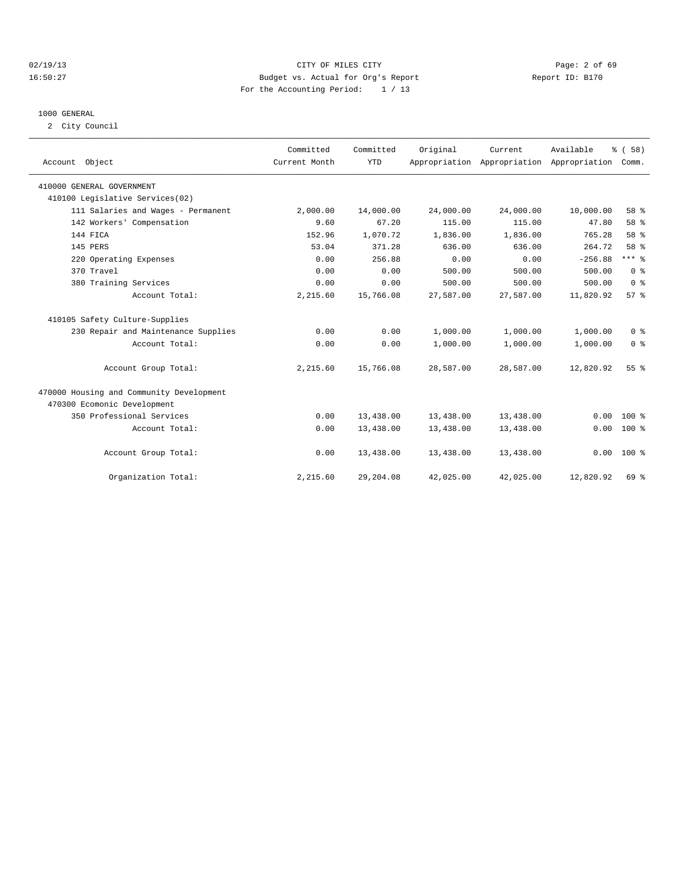## 02/19/13 CITY OF MILES CITY Page: 2 of 69 16:50:27 Budget vs. Actual for Org's Report Report ID: B170 For the Accounting Period: 1 / 13

### 1000 GENERAL

2 City Council

| Account Object                           | Committed<br>Current Month | Committed<br><b>YTD</b> | Original  | Current   | Available<br>Appropriation Appropriation Appropriation | % (58)<br>Comm. |
|------------------------------------------|----------------------------|-------------------------|-----------|-----------|--------------------------------------------------------|-----------------|
| 410000 GENERAL GOVERNMENT                |                            |                         |           |           |                                                        |                 |
| 410100 Legislative Services(02)          |                            |                         |           |           |                                                        |                 |
| 111 Salaries and Wages - Permanent       | 2,000.00                   | 14,000.00               | 24,000.00 | 24,000.00 | 10,000.00                                              | 58 %            |
| 142 Workers' Compensation                | 9.60                       | 67.20                   | 115.00    | 115.00    | 47.80                                                  | 58 %            |
| 144 FICA                                 | 152.96                     | 1,070.72                | 1,836.00  | 1,836.00  | 765.28                                                 | 58 %            |
| 145 PERS                                 | 53.04                      | 371.28                  | 636.00    | 636.00    | 264.72                                                 | 58 %            |
| 220 Operating Expenses                   | 0.00                       | 256.88                  | 0.00      | 0.00      | $-256.88$                                              | $***$ $_{8}$    |
| 370 Travel                               | 0.00                       | 0.00                    | 500.00    | 500.00    | 500.00                                                 | 0 <sup>8</sup>  |
| 380 Training Services                    | 0.00                       | 0.00                    | 500.00    | 500.00    | 500.00                                                 | 0 <sup>8</sup>  |
| Account Total:                           | 2,215.60                   | 15,766.08               | 27,587.00 | 27,587.00 | 11,820.92                                              | 57%             |
| 410105 Safety Culture-Supplies           |                            |                         |           |           |                                                        |                 |
| 230 Repair and Maintenance Supplies      | 0.00                       | 0.00                    | 1,000.00  | 1,000.00  | 1,000.00                                               | 0 <sup>8</sup>  |
| Account Total:                           | 0.00                       | 0.00                    | 1,000.00  | 1,000.00  | 1,000.00                                               | 0 <sup>8</sup>  |
| Account Group Total:                     | 2,215.60                   | 15,766.08               | 28,587.00 | 28,587.00 | 12,820.92                                              | 55 <sup>8</sup> |
| 470000 Housing and Community Development |                            |                         |           |           |                                                        |                 |
| 470300 Ecomonic Development              |                            |                         |           |           |                                                        |                 |
| 350 Professional Services                | 0.00                       | 13,438.00               | 13,438.00 | 13,438.00 | 0.00                                                   | $100*$          |
| Account Total:                           | 0.00                       | 13,438.00               | 13,438.00 | 13,438.00 | 0.00                                                   | $100*$          |
| Account Group Total:                     | 0.00                       | 13,438.00               | 13,438.00 | 13,438.00 | 0.00                                                   | $100*$          |
| Organization Total:                      | 2,215.60                   | 29,204.08               | 42,025.00 | 42,025.00 | 12,820.92                                              | 69 %            |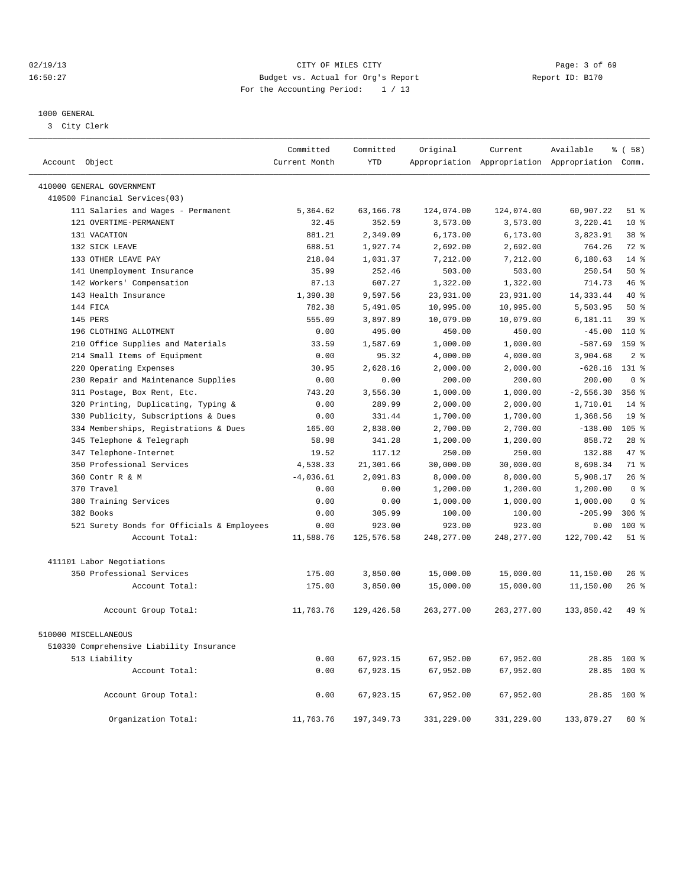## 02/19/13 CITY OF MILES CITY Page: 3 of 69 16:50:27 Budget vs. Actual for Org's Report Changer Report ID: B170 For the Accounting Period: 1 / 13

————————————————————————————————————————————————————————————————————————————————————————————————————————————————————————————————————

#### 1000 GENERAL

3 City Clerk

|                                            | Committed     | Committed   | Original    | Current     | Available                                       | % ( 58 )        |
|--------------------------------------------|---------------|-------------|-------------|-------------|-------------------------------------------------|-----------------|
| Account Object                             | Current Month | <b>YTD</b>  |             |             | Appropriation Appropriation Appropriation Comm. |                 |
| 410000 GENERAL GOVERNMENT                  |               |             |             |             |                                                 |                 |
| 410500 Financial Services(03)              |               |             |             |             |                                                 |                 |
| 111 Salaries and Wages - Permanent         | 5,364.62      | 63,166.78   | 124,074.00  | 124,074.00  | 60,907.22                                       | $51$ %          |
| 121 OVERTIME-PERMANENT                     | 32.45         | 352.59      | 3,573.00    | 3,573.00    | 3,220.41                                        | $10*$           |
| 131 VACATION                               | 881.21        | 2,349.09    | 6, 173.00   | 6, 173.00   | 3,823.91                                        | 38 <sup>8</sup> |
| 132 SICK LEAVE                             | 688.51        | 1,927.74    | 2,692.00    | 2,692.00    | 764.26                                          | 72 %            |
| 133 OTHER LEAVE PAY                        | 218.04        | 1,031.37    | 7,212.00    | 7,212.00    | 6,180.63                                        | $14*$           |
| 141 Unemployment Insurance                 | 35.99         | 252.46      | 503.00      | 503.00      | 250.54                                          | $50*$           |
| 142 Workers' Compensation                  | 87.13         | 607.27      | 1,322.00    | 1,322.00    | 714.73                                          | 46%             |
| 143 Health Insurance                       | 1,390.38      | 9,597.56    | 23,931.00   | 23,931.00   | 14, 333.44                                      | $40*$           |
| 144 FICA                                   | 782.38        | 5,491.05    | 10,995.00   | 10,995.00   | 5,503.95                                        | $50*$           |
| 145 PERS                                   | 555.09        | 3,897.89    | 10,079.00   | 10,079.00   | 6,181.11                                        | 39 <sup>8</sup> |
| 196 CLOTHING ALLOTMENT                     | 0.00          | 495.00      | 450.00      | 450.00      | $-45.00$                                        | $110*$          |
| 210 Office Supplies and Materials          | 33.59         | 1,587.69    | 1,000.00    | 1,000.00    | $-587.69$                                       | 159 %           |
| 214 Small Items of Equipment               | 0.00          | 95.32       | 4,000.00    | 4,000.00    | 3,904.68                                        | 2 <sup>°</sup>  |
| 220 Operating Expenses                     | 30.95         | 2,628.16    | 2,000.00    | 2,000.00    | $-628.16$                                       | $131*$          |
| 230 Repair and Maintenance Supplies        | 0.00          | 0.00        | 200.00      | 200.00      | 200.00                                          | 0 <sup>8</sup>  |
| 311 Postage, Box Rent, Etc.                | 743.20        | 3,556.30    | 1,000.00    | 1,000.00    | $-2,556.30$                                     | 356%            |
| 320 Printing, Duplicating, Typing &        | 0.00          | 289.99      | 2,000.00    | 2,000.00    | 1,710.01                                        | 14 %            |
| 330 Publicity, Subscriptions & Dues        | 0.00          | 331.44      | 1,700.00    | 1,700.00    | 1,368.56                                        | 19 <sup>°</sup> |
| 334 Memberships, Registrations & Dues      | 165.00        | 2,838.00    | 2,700.00    | 2,700.00    | $-138.00$                                       | $105$ %         |
| 345 Telephone & Telegraph                  | 58.98         | 341.28      | 1,200.00    | 1,200.00    | 858.72                                          | $28*$           |
| 347 Telephone-Internet                     | 19.52         | 117.12      | 250.00      | 250.00      | 132.88                                          | 47.8            |
| 350 Professional Services                  | 4,538.33      | 21,301.66   | 30,000.00   | 30,000.00   | 8,698.34                                        | 71.8            |
| 360 Contr R & M                            | $-4,036.61$   | 2,091.83    | 8,000.00    | 8,000.00    | 5,908.17                                        | 26%             |
| 370 Travel                                 | 0.00          | 0.00        | 1,200.00    | 1,200.00    | 1,200.00                                        | 0 <sup>8</sup>  |
| 380 Training Services                      | 0.00          | 0.00        | 1,000.00    | 1,000.00    | 1,000.00                                        | 0 <sup>8</sup>  |
| 382 Books                                  | 0.00          | 305.99      | 100.00      | 100.00      | $-205.99$                                       | $306$ %         |
| 521 Surety Bonds for Officials & Employees | 0.00          | 923.00      | 923.00      | 923.00      | 0.00                                            | $100$ %         |
| Account Total:                             | 11,588.76     | 125,576.58  | 248, 277.00 | 248, 277.00 | 122,700.42                                      | $51$ $%$        |
|                                            |               |             |             |             |                                                 |                 |
| 411101 Labor Negotiations                  |               |             |             |             |                                                 |                 |
| 350 Professional Services                  | 175.00        | 3,850.00    | 15,000.00   | 15,000.00   | 11,150.00                                       | $26$ %          |
| Account Total:                             | 175.00        | 3,850.00    | 15,000.00   | 15,000.00   | 11,150.00                                       | 26%             |
| Account Group Total:                       | 11,763.76     | 129, 426.58 | 263,277.00  | 263,277.00  | 133,850.42                                      | 49 %            |
| 510000 MISCELLANEOUS                       |               |             |             |             |                                                 |                 |
| 510330 Comprehensive Liability Insurance   |               |             |             |             |                                                 |                 |
| 513 Liability                              | 0.00          | 67,923.15   | 67,952.00   | 67,952.00   |                                                 | 28.85 100 %     |
| Account Total:                             | 0.00          | 67,923.15   | 67,952.00   | 67,952.00   | 28.85                                           | $100*$          |
|                                            |               |             |             |             |                                                 |                 |
| Account Group Total:                       | 0.00          | 67,923.15   | 67,952.00   | 67,952.00   |                                                 | 28.85 100 %     |
| Organization Total:                        | 11,763.76     | 197, 349.73 | 331,229.00  | 331,229.00  | 133,879.27                                      | $60*$           |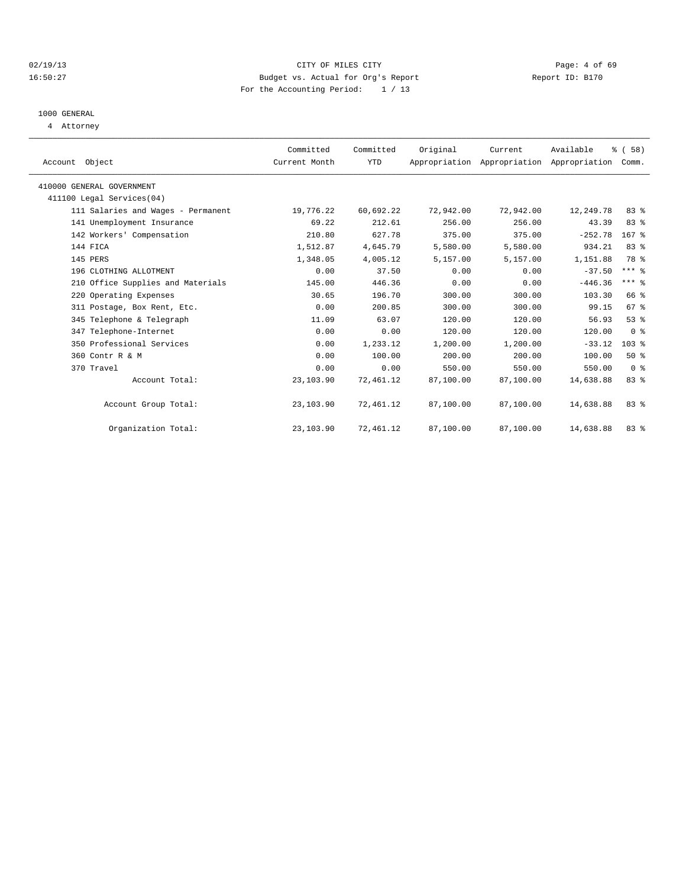## 02/19/13 CITY OF MILES CITY Page: 4 of 69 16:50:27 Budget vs. Actual for Org's Report Report ID: B170 For the Accounting Period: 1 / 13

## 1000 GENERAL

4 Attorney

| Account Object                     | Committed<br>Current Month | Committed<br>YTD | Original  | Current   | Available<br>Appropriation Appropriation Appropriation | % (58)<br>Comm. |  |
|------------------------------------|----------------------------|------------------|-----------|-----------|--------------------------------------------------------|-----------------|--|
| 410000 GENERAL GOVERNMENT          |                            |                  |           |           |                                                        |                 |  |
| 411100 Legal Services(04)          |                            |                  |           |           |                                                        |                 |  |
| 111 Salaries and Wages - Permanent | 19,776.22                  | 60,692.22        | 72,942.00 | 72,942.00 | 12,249.78                                              | 83 %            |  |
| 141 Unemployment Insurance         | 69.22                      | 212.61           | 256.00    | 256.00    | 43.39                                                  | 83 %            |  |
| 142 Workers' Compensation          | 210.80                     | 627.78           | 375.00    | 375.00    | $-252.78$                                              | $167$ $%$       |  |
| 144 FICA                           | 1,512.87                   | 4,645.79         | 5,580.00  | 5,580.00  | 934.21                                                 | 83%             |  |
| 145 PERS                           | 1,348.05                   | 4,005.12         | 5,157.00  | 5,157.00  | 1,151.88                                               | 78 %            |  |
| 196 CLOTHING ALLOTMENT             | 0.00                       | 37.50            | 0.00      | 0.00      | $-37.50$                                               | $***$ $-$       |  |
| 210 Office Supplies and Materials  | 145.00                     | 446.36           | 0.00      | 0.00      | $-446.36$                                              | $***$ $%$       |  |
| 220 Operating Expenses             | 30.65                      | 196.70           | 300.00    | 300.00    | 103.30                                                 | 66 %            |  |
| 311 Postage, Box Rent, Etc.        | 0.00                       | 200.85           | 300.00    | 300.00    | 99.15                                                  | 67 %            |  |
| 345 Telephone & Telegraph          | 11.09                      | 63.07            | 120.00    | 120.00    | 56.93                                                  | 53%             |  |
| 347 Telephone-Internet             | 0.00                       | 0.00             | 120.00    | 120.00    | 120.00                                                 | 0 <sup>8</sup>  |  |
| 350 Professional Services          | 0.00                       | 1,233.12         | 1,200.00  | 1,200.00  | $-33.12$                                               | 103%            |  |
| 360 Contr R & M                    | 0.00                       | 100.00           | 200.00    | 200.00    | 100.00                                                 | 50%             |  |
| 370 Travel                         | 0.00                       | 0.00             | 550.00    | 550.00    | 550.00                                                 | 0 <sup>8</sup>  |  |
| Account Total:                     | 23,103.90                  | 72,461.12        | 87,100.00 | 87,100.00 | 14,638.88                                              | 83 %            |  |
| Account Group Total:               | 23,103.90                  | 72,461.12        | 87,100.00 | 87,100.00 | 14,638.88                                              | 83%             |  |
| Organization Total:                | 23,103.90                  | 72,461.12        | 87,100.00 | 87,100.00 | 14,638.88                                              | 83%             |  |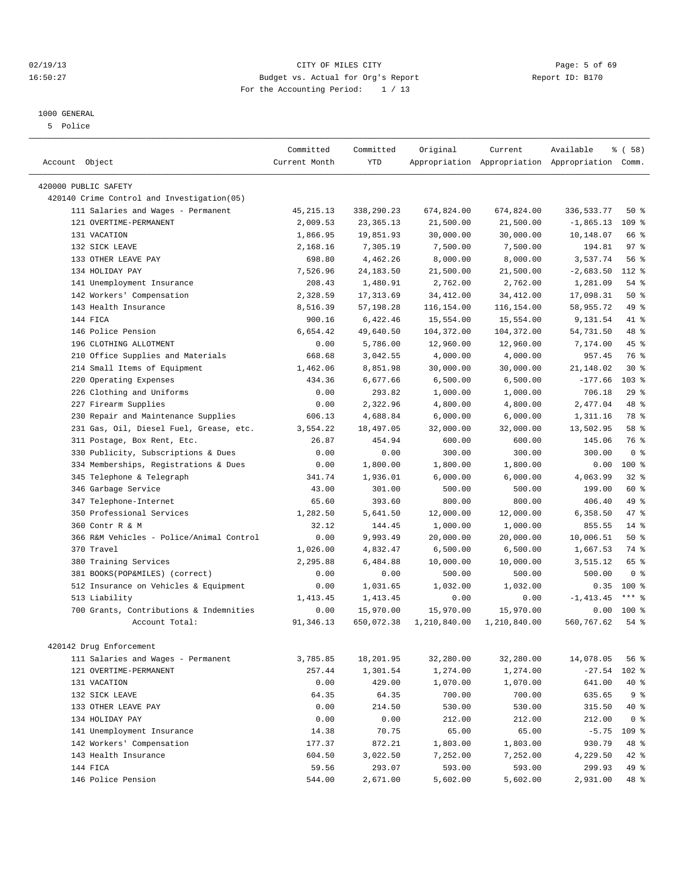## 02/19/13 Page: 5 of 69 16:50:27 Budget vs. Actual for Org's Report Report ID: B170 For the Accounting Period: 1 / 13

#### 1000 GENERAL

5 Police

| Account Object                              | Committed<br>Current Month | Committed<br><b>YTD</b> | Original     | Current      | Available<br>Appropriation Appropriation Appropriation Comm. | % (58)           |
|---------------------------------------------|----------------------------|-------------------------|--------------|--------------|--------------------------------------------------------------|------------------|
|                                             |                            |                         |              |              |                                                              |                  |
| 420000 PUBLIC SAFETY                        |                            |                         |              |              |                                                              |                  |
| 420140 Crime Control and Investigation (05) |                            |                         |              |              |                                                              |                  |
| 111 Salaries and Wages - Permanent          | 45, 215. 13                | 338,290.23              | 674,824.00   | 674,824.00   | 336, 533. 77                                                 | 50%              |
| 121 OVERTIME-PERMANENT                      | 2,009.53                   | 23, 365. 13             | 21,500.00    | 21,500.00    | $-1,865.13$                                                  | 109 %            |
| 131 VACATION                                | 1,866.95                   | 19,851.93               | 30,000.00    | 30,000.00    | 10,148.07                                                    | 66 %             |
| 132 SICK LEAVE                              | 2,168.16                   | 7,305.19                | 7,500.00     | 7,500.00     | 194.81                                                       | 97 <sub>8</sub>  |
| 133 OTHER LEAVE PAY                         | 698.80                     | 4,462.26                | 8,000.00     | 8,000.00     | 3,537.74                                                     | 56%              |
| 134 HOLIDAY PAY                             | 7,526.96                   | 24, 183.50              | 21,500.00    | 21,500.00    | $-2,683.50$                                                  | 112 %            |
| 141 Unemployment Insurance                  | 208.43                     | 1,480.91                | 2,762.00     | 2,762.00     | 1,281.09                                                     | 54 %             |
| 142 Workers' Compensation                   | 2,328.59                   | 17, 313.69              | 34, 412.00   | 34, 412.00   | 17,098.31                                                    | 50%              |
| 143 Health Insurance                        | 8,516.39                   | 57,198.28               | 116,154.00   | 116,154.00   | 58,955.72                                                    | 49 %             |
| 144 FICA                                    | 900.16                     | 6,422.46                | 15,554.00    | 15,554.00    | 9,131.54                                                     | 41 %             |
| 146 Police Pension                          | 6,654.42                   | 49,640.50               | 104,372.00   | 104,372.00   | 54,731.50                                                    | 48 %             |
| 196 CLOTHING ALLOTMENT                      | 0.00                       | 5,786.00                | 12,960.00    | 12,960.00    | 7,174.00                                                     | 45 %             |
| 210 Office Supplies and Materials           | 668.68                     | 3,042.55                | 4,000.00     | 4,000.00     | 957.45                                                       | 76 %             |
| 214 Small Items of Equipment                | 1,462.06                   | 8,851.98                | 30,000.00    | 30,000.00    | 21,148.02                                                    | $30*$            |
| 220 Operating Expenses                      | 434.36                     | 6,677.66                | 6,500.00     | 6,500.00     | $-177.66$                                                    | 103 <sub>8</sub> |
| 226 Clothing and Uniforms                   | 0.00                       | 293.82                  | 1,000.00     | 1,000.00     | 706.18                                                       | 29%              |
| 227 Firearm Supplies                        | 0.00                       | 2,322.96                | 4,800.00     | 4,800.00     | 2,477.04                                                     | 48 %             |
| Repair and Maintenance Supplies<br>230      | 606.13                     | 4,688.84                | 6,000.00     | 6,000.00     | 1,311.16                                                     | 78 %             |
| 231 Gas, Oil, Diesel Fuel, Grease, etc.     | 3,554.22                   | 18,497.05               | 32,000.00    | 32,000.00    | 13,502.95                                                    | 58 %             |
| 311 Postage, Box Rent, Etc.                 | 26.87                      | 454.94                  | 600.00       | 600.00       | 145.06                                                       | 76 %             |
| 330 Publicity, Subscriptions & Dues         | 0.00                       | 0.00                    | 300.00       | 300.00       | 300.00                                                       | 0 <sup>8</sup>   |
| 334 Memberships, Registrations & Dues       | 0.00                       | 1,800.00                | 1,800.00     | 1,800.00     | 0.00                                                         | 100 %            |
| Telephone & Telegraph<br>345                | 341.74                     | 1,936.01                | 6,000.00     | 6,000.00     | 4,063.99                                                     | 32%              |
| 346 Garbage Service                         | 43.00                      | 301.00                  | 500.00       | 500.00       | 199.00                                                       | 60 %             |
| 347 Telephone-Internet                      | 65.60                      | 393.60                  | 800.00       | 800.00       | 406.40                                                       | 49 %             |
| 350 Professional Services                   | 1,282.50                   | 5,641.50                | 12,000.00    | 12,000.00    | 6,358.50                                                     | 47 %             |
| 360 Contr R & M                             | 32.12                      | 144.45                  | 1,000.00     | 1,000.00     | 855.55                                                       | $14*$            |
| 366 R&M Vehicles - Police/Animal Control    | 0.00                       | 9,993.49                | 20,000.00    | 20,000.00    | 10,006.51                                                    | 50%              |
| 370 Travel                                  | 1,026.00                   | 4,832.47                | 6,500.00     | 6,500.00     | 1,667.53                                                     | 74 %             |
| 380 Training Services                       | 2,295.88                   | 6,484.88                | 10,000.00    | 10,000.00    | 3,515.12                                                     | 65 %             |
| 381 BOOKS(POP&MILES) (correct)              | 0.00                       | 0.00                    | 500.00       | 500.00       | 500.00                                                       | 0 <sup>8</sup>   |
| 512 Insurance on Vehicles & Equipment       | 0.00                       | 1,031.65                | 1,032.00     | 1,032.00     | 0.35                                                         | 100 %            |
| 513 Liability                               | 1, 413.45                  | 1,413.45                | 0.00         | 0.00         | $-1, 413.45$                                                 | $***$ 8          |
| 700 Grants, Contributions & Indemnities     | 0.00                       | 15,970.00               | 15,970.00    | 15,970.00    | 0.00                                                         | $100*$           |
| Account Total:                              | 91, 346.13                 | 650,072.38              | 1,210,840.00 | 1,210,840.00 | 560,767.62                                                   | $54$ $%$         |
|                                             |                            |                         |              |              |                                                              |                  |
| 420142 Drug Enforcement                     |                            |                         |              |              |                                                              |                  |
| 111 Salaries and Wages - Permanent          | 3,785.85                   | 18,201.95               | 32,280.00    | 32,280.00    | 14,078.05                                                    | 56 %             |
| 121 OVERTIME-PERMANENT                      | 257.44                     | 1,301.54                | 1,274.00     | 1,274.00     | $-27.54$                                                     | 102 %            |
| 131 VACATION                                | 0.00                       | 429.00                  | 1,070.00     | 1,070.00     | 641.00                                                       | 40 %             |
| 132 SICK LEAVE                              | 64.35                      | 64.35                   | 700.00       | 700.00       | 635.65                                                       | 9%               |
| 133 OTHER LEAVE PAY                         | 0.00                       | 214.50                  | 530.00       | 530.00       | 315.50                                                       | 40 %             |
| 134 HOLIDAY PAY                             | 0.00                       | 0.00                    | 212.00       | 212.00       | 212.00                                                       | 0 <sup>8</sup>   |
| 141 Unemployment Insurance                  | 14.38                      | 70.75                   | 65.00        | 65.00        | $-5.75$                                                      | 109 %            |
| 142 Workers' Compensation                   | 177.37                     | 872.21                  | 1,803.00     | 1,803.00     | 930.79                                                       | 48 %             |
| 143 Health Insurance                        | 604.50                     | 3,022.50                | 7,252.00     | 7,252.00     | 4,229.50                                                     | 42 %             |
| 144 FICA                                    | 59.56                      | 293.07                  | 593.00       | 593.00       | 299.93                                                       | 49 %             |
| 146 Police Pension                          | 544.00                     | 2,671.00                | 5,602.00     | 5,602.00     | 2,931.00                                                     | 48 %             |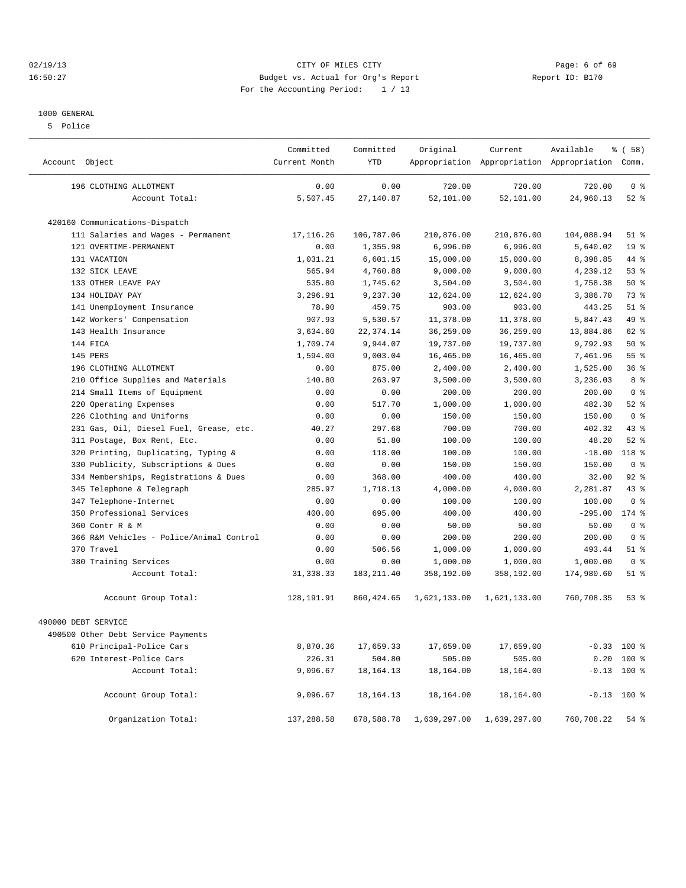02/19/13 CITY OF MILES CITY Page: 6 of 69 16:50:27 Budget vs. Actual for Org's Report Report ID: B170 For the Accounting Period: 1 / 13

#### 1000 GENERAL

5 Police

| Account Object      |                                          | Committed<br>Current Month | Committed<br><b>YTD</b> | Original                             | Current      | Available<br>Appropriation Appropriation Appropriation Comm. | % (58)          |
|---------------------|------------------------------------------|----------------------------|-------------------------|--------------------------------------|--------------|--------------------------------------------------------------|-----------------|
|                     | 196 CLOTHING ALLOTMENT                   | 0.00                       | 0.00                    | 720.00                               | 720.00       | 720.00                                                       | 0 <sup>8</sup>  |
|                     | Account Total:                           | 5,507.45                   | 27,140.87               | 52,101.00                            | 52,101.00    | 24,960.13                                                    | $52$ $%$        |
|                     | 420160 Communications-Dispatch           |                            |                         |                                      |              |                                                              |                 |
|                     | 111 Salaries and Wages - Permanent       | 17,116.26                  | 106,787.06              | 210,876.00                           | 210,876.00   | 104,088.94                                                   | $51$ %          |
|                     | 121 OVERTIME-PERMANENT                   | 0.00                       | 1,355.98                | 6,996.00                             | 6,996.00     | 5,640.02                                                     | 19 <sup>°</sup> |
|                     | 131 VACATION                             | 1,031.21                   | 6,601.15                | 15,000.00                            | 15,000.00    | 8,398.85                                                     | 44 %            |
|                     | 132 SICK LEAVE                           | 565.94                     | 4,760.88                | 9,000.00                             | 9,000.00     | 4,239.12                                                     | 53%             |
|                     | 133 OTHER LEAVE PAY                      | 535.80                     | 1,745.62                | 3,504.00                             | 3,504.00     | 1,758.38                                                     | 50%             |
|                     | 134 HOLIDAY PAY                          | 3,296.91                   | 9,237.30                | 12,624.00                            | 12,624.00    | 3,386.70                                                     | 73 %            |
|                     | 141 Unemployment Insurance               | 78.90                      | 459.75                  | 903.00                               | 903.00       | 443.25                                                       | $51$ %          |
|                     | 142 Workers' Compensation                | 907.93                     | 5,530.57                | 11,378.00                            | 11,378.00    | 5,847.43                                                     | 49 %            |
|                     | 143 Health Insurance                     | 3,634.60                   | 22, 374.14              | 36,259.00                            | 36,259.00    | 13,884.86                                                    | 62 %            |
|                     | 144 FICA                                 | 1,709.74                   | 9,944.07                | 19,737.00                            | 19,737.00    | 9,792.93                                                     | 50%             |
|                     | 145 PERS                                 | 1,594.00                   | 9,003.04                | 16,465.00                            | 16,465.00    | 7,461.96                                                     | 55%             |
|                     | 196 CLOTHING ALLOTMENT                   | 0.00                       | 875.00                  | 2,400.00                             | 2,400.00     | 1,525.00                                                     | 36 <sup>8</sup> |
|                     | 210 Office Supplies and Materials        | 140.80                     | 263.97                  | 3,500.00                             | 3,500.00     | 3,236.03                                                     | 8 %             |
|                     | 214 Small Items of Equipment             | 0.00                       | 0.00                    | 200.00                               | 200.00       | 200.00                                                       | 0 <sup>8</sup>  |
| 220                 | Operating Expenses                       | 0.00                       | 517.70                  | 1,000.00                             | 1,000.00     | 482.30                                                       | $52$ $%$        |
| 226                 | Clothing and Uniforms                    | 0.00                       | 0.00                    | 150.00                               | 150.00       | 150.00                                                       | 0 <sup>8</sup>  |
|                     | 231 Gas, Oil, Diesel Fuel, Grease, etc.  | 40.27                      | 297.68                  | 700.00                               | 700.00       | 402.32                                                       | 43.8            |
|                     | 311 Postage, Box Rent, Etc.              | 0.00                       | 51.80                   | 100.00                               | 100.00       | 48.20                                                        | $52$ $%$        |
|                     | 320 Printing, Duplicating, Typing &      | 0.00                       | 118.00                  | 100.00                               | 100.00       | $-18.00$                                                     | 118 %           |
| 330                 | Publicity, Subscriptions & Dues          | 0.00                       | 0.00                    | 150.00                               | 150.00       | 150.00                                                       | 0 <sup>8</sup>  |
| 334                 | Memberships, Registrations & Dues        | 0.00                       | 368.00                  | 400.00                               | 400.00       | 32.00                                                        | 92%             |
| 345                 | Telephone & Telegraph                    | 285.97                     | 1,718.13                | 4,000.00                             | 4,000.00     | 2,281.87                                                     | 43.8            |
|                     | 347 Telephone-Internet                   | 0.00                       | 0.00                    | 100.00                               | 100.00       | 100.00                                                       | 0 <sup>8</sup>  |
|                     | 350 Professional Services                | 400.00                     | 695.00                  | 400.00                               | 400.00       | $-295.00$                                                    | $174$ $%$       |
|                     | 360 Contr R & M                          | 0.00                       | 0.00                    | 50.00                                | 50.00        | 50.00                                                        | 0 <sup>8</sup>  |
|                     | 366 R&M Vehicles - Police/Animal Control | 0.00                       | 0.00                    | 200.00                               | 200.00       | 200.00                                                       | 0 <sup>8</sup>  |
|                     | 370 Travel                               | 0.00                       | 506.56                  | 1,000.00                             | 1,000.00     | 493.44                                                       | $51$ %          |
|                     | 380 Training Services                    | 0.00                       | 0.00                    | 1,000.00                             | 1,000.00     | 1,000.00                                                     | 0 <sup>8</sup>  |
|                     | Account Total:                           | 31, 338.33                 | 183, 211.40             | 358,192.00                           | 358,192.00   | 174,980.60                                                   | $51$ %          |
|                     | Account Group Total:                     | 128,191.91                 | 860, 424.65             | 1,621,133.00                         | 1,621,133.00 | 760,708.35                                                   | 53%             |
| 490000 DEBT SERVICE |                                          |                            |                         |                                      |              |                                                              |                 |
|                     | 490500 Other Debt Service Payments       |                            |                         |                                      |              |                                                              |                 |
|                     | 610 Principal-Police Cars                | 8,870.36                   | 17,659.33               | 17,659.00                            | 17,659.00    |                                                              | $-0.33$ 100 %   |
|                     | 620 Interest-Police Cars                 | 226.31                     | 504.80                  | 505.00                               | 505.00       |                                                              | $0.20$ 100 %    |
|                     | Account Total:                           | 9,096.67                   | 18, 164. 13             | 18,164.00                            | 18,164.00    |                                                              | $-0.13$ 100 %   |
|                     | Account Group Total:                     | 9,096.67                   | 18, 164. 13             | 18,164.00                            | 18,164.00    |                                                              | $-0.13$ 100 %   |
|                     | Organization Total:                      | 137,288.58                 |                         | 878,588.78 1,639,297.00 1,639,297.00 |              | 760,708.22 54 %                                              |                 |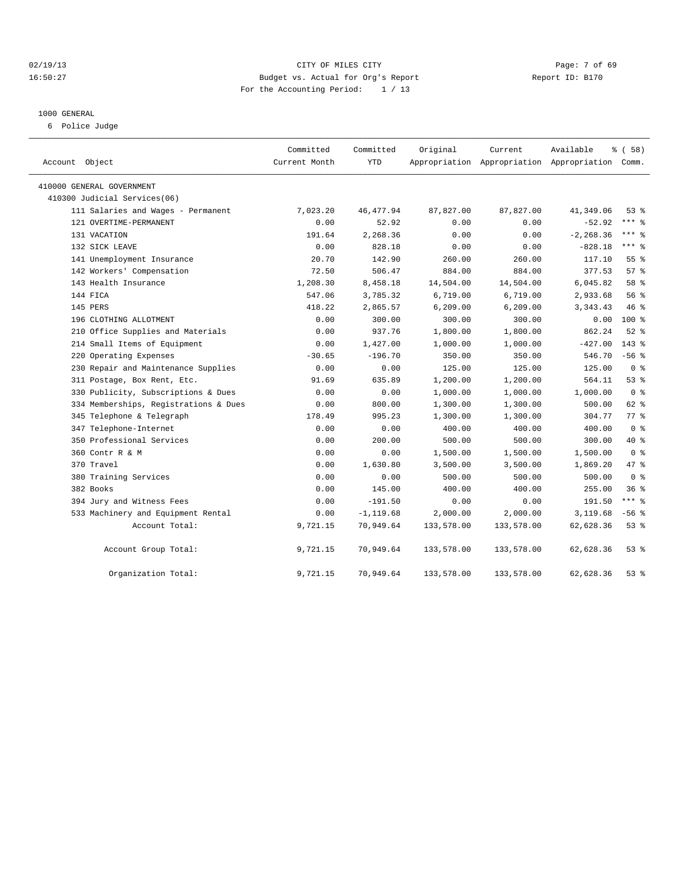## 02/19/13 CITY OF MILES CITY Page: 7 of 69 16:50:27 Budget vs. Actual for Org's Report Report ID: B170 For the Accounting Period: 1 / 13

#### 1000 GENERAL

6 Police Judge

| Account Object                        | Committed<br>Current Month | Committed<br><b>YTD</b> | Original   | Current<br>Appropriation Appropriation Appropriation Comm. | Available    | % (58)         |
|---------------------------------------|----------------------------|-------------------------|------------|------------------------------------------------------------|--------------|----------------|
| 410000 GENERAL GOVERNMENT             |                            |                         |            |                                                            |              |                |
| 410300 Judicial Services(06)          |                            |                         |            |                                                            |              |                |
| 111 Salaries and Wages - Permanent    | 7,023.20                   | 46, 477.94              | 87,827.00  | 87,827.00                                                  | 41,349.06    | $53*$          |
| 121 OVERTIME-PERMANENT                | 0.00                       | 52.92                   | 0.00       | 0.00                                                       | $-52.92$     | $***$ $%$      |
| 131 VACATION                          | 191.64                     | 2,268.36                | 0.00       | 0.00                                                       | $-2, 268.36$ | $***$ $%$      |
| 132 SICK LEAVE                        | 0.00                       | 828.18                  | 0.00       | 0.00                                                       | $-828.18$    | $***$ $%$      |
| 141 Unemployment Insurance            | 20.70                      | 142.90                  | 260.00     | 260.00                                                     | 117.10       | 55%            |
| 142 Workers' Compensation             | 72.50                      | 506.47                  | 884.00     | 884.00                                                     | 377.53       | 57%            |
| 143 Health Insurance                  | 1,208.30                   | 8,458.18                | 14,504.00  | 14,504.00                                                  | 6,045.82     | 58 %           |
| 144 FICA                              | 547.06                     | 3,785.32                | 6,719.00   | 6,719.00                                                   | 2,933.68     | 56%            |
| 145 PERS                              | 418.22                     | 2,865.57                | 6, 209.00  | 6, 209.00                                                  | 3, 343.43    | 46 %           |
| 196 CLOTHING ALLOTMENT                | 0.00                       | 300.00                  | 300.00     | 300.00                                                     | 0.00         | $100*$         |
| 210 Office Supplies and Materials     | 0.00                       | 937.76                  | 1,800.00   | 1,800.00                                                   | 862.24       | $52$ $%$       |
| 214 Small Items of Equipment          | 0.00                       | 1,427.00                | 1,000.00   | 1,000.00                                                   | $-427.00$    | $143*$         |
| 220 Operating Expenses                | $-30.65$                   | $-196.70$               | 350.00     | 350.00                                                     | 546.70       | $-56$ $%$      |
| 230 Repair and Maintenance Supplies   | 0.00                       | 0.00                    | 125.00     | 125.00                                                     | 125.00       | 0 <sup>8</sup> |
| 311 Postage, Box Rent, Etc.           | 91.69                      | 635.89                  | 1,200.00   | 1,200.00                                                   | 564.11       | 53%            |
| 330 Publicity, Subscriptions & Dues   | 0.00                       | 0.00                    | 1,000.00   | 1,000.00                                                   | 1,000.00     | 0 <sup>8</sup> |
| 334 Memberships, Registrations & Dues | 0.00                       | 800.00                  | 1,300.00   | 1,300.00                                                   | 500.00       | 62 %           |
| 345 Telephone & Telegraph             | 178.49                     | 995.23                  | 1,300.00   | 1,300.00                                                   | 304.77       | 77.8           |
| 347 Telephone-Internet                | 0.00                       | 0.00                    | 400.00     | 400.00                                                     | 400.00       | 0 <sup>8</sup> |
| 350 Professional Services             | 0.00                       | 200.00                  | 500.00     | 500.00                                                     | 300.00       | 40 %           |
| 360 Contr R & M                       | 0.00                       | 0.00                    | 1,500.00   | 1,500.00                                                   | 1,500.00     | 0 <sup>8</sup> |
| 370 Travel                            | 0.00                       | 1,630.80                | 3,500.00   | 3,500.00                                                   | 1,869.20     | 47 %           |
| 380 Training Services                 | 0.00                       | 0.00                    | 500.00     | 500.00                                                     | 500.00       | 0 <sup>8</sup> |
| 382 Books                             | 0.00                       | 145.00                  | 400.00     | 400.00                                                     | 255.00       | 36%            |
| 394 Jury and Witness Fees             | 0.00                       | $-191.50$               | 0.00       | 0.00                                                       | 191.50       | $***$ $-$      |
| 533 Machinery and Equipment Rental    | 0.00                       | $-1, 119.68$            | 2,000.00   | 2,000.00                                                   | 3,119.68     | $-56$ %        |
| Account Total:                        | 9,721.15                   | 70,949.64               | 133,578.00 | 133,578.00                                                 | 62,628.36    | 53%            |
| Account Group Total:                  | 9,721.15                   | 70,949.64               | 133,578.00 | 133,578.00                                                 | 62,628.36    | $53*$          |
| Organization Total:                   | 9,721.15                   | 70,949.64               | 133,578.00 | 133,578.00                                                 | 62,628.36    | 53%            |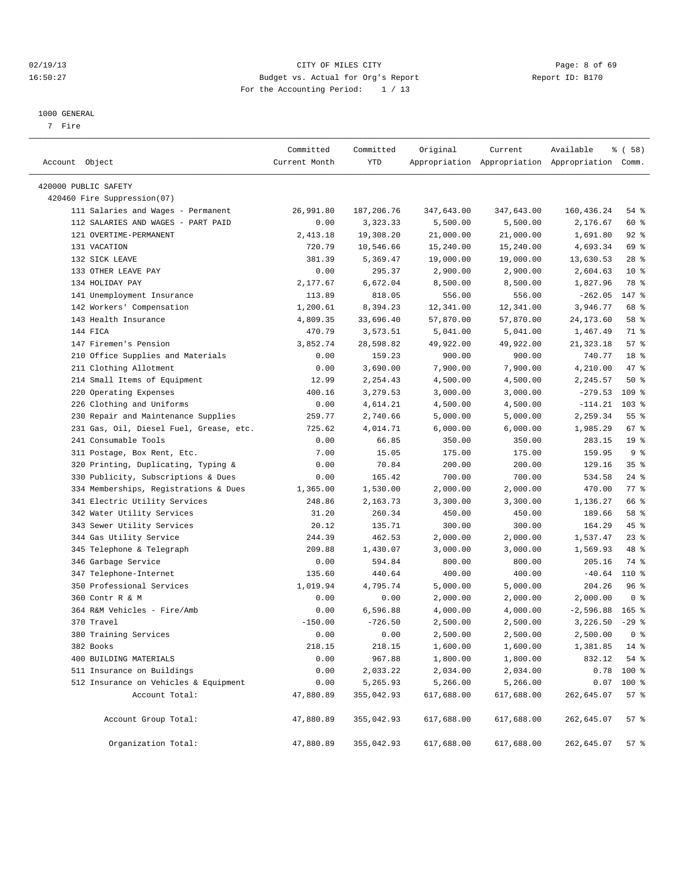## 02/19/13 CITY OF MILES CITY Page: 8 of 69 16:50:27 Budget vs. Actual for Org's Report Report ID: B170 For the Accounting Period: 1 / 13

————————————————————————————————————————————————————————————————————————————————————————————————————————————————————————————————————

#### 1000 GENERAL

7 Fire

|                                         | Committed     | Committed  | Original   | Current    | Available                                       | % ( 58 )        |
|-----------------------------------------|---------------|------------|------------|------------|-------------------------------------------------|-----------------|
| Account Object                          | Current Month | YTD        |            |            | Appropriation Appropriation Appropriation Comm. |                 |
| 420000 PUBLIC SAFETY                    |               |            |            |            |                                                 |                 |
| 420460 Fire Suppression(07)             |               |            |            |            |                                                 |                 |
| 111 Salaries and Wages - Permanent      | 26,991.80     | 187,206.76 | 347,643.00 | 347,643.00 | 160,436.24                                      | 54 %            |
| 112 SALARIES AND WAGES - PART PAID      | 0.00          | 3,323.33   | 5,500.00   | 5,500.00   | 2,176.67                                        | 60 %            |
| 121 OVERTIME-PERMANENT                  | 2,413.18      | 19,308.20  | 21,000.00  | 21,000.00  | 1,691.80                                        | $92$ $%$        |
| 131 VACATION                            | 720.79        | 10,546.66  | 15,240.00  | 15,240.00  | 4,693.34                                        | 69 %            |
| 132 SICK LEAVE                          | 381.39        | 5,369.47   | 19,000.00  | 19,000.00  | 13,630.53                                       | $28$ %          |
| 133 OTHER LEAVE PAY                     | 0.00          | 295.37     | 2,900.00   | 2,900.00   | 2,604.63                                        | $10*$           |
| 134 HOLIDAY PAY                         | 2,177.67      | 6,672.04   | 8,500.00   | 8,500.00   | 1,827.96                                        | 78 %            |
| 141 Unemployment Insurance              | 113.89        | 818.05     | 556.00     | 556.00     | $-262.05$                                       | 147 %           |
| 142 Workers' Compensation               | 1,200.61      | 8,394.23   | 12,341.00  | 12,341.00  | 3,946.77                                        | 68 %            |
| 143 Health Insurance                    | 4,809.35      | 33,696.40  | 57,870.00  | 57,870.00  | 24, 173.60                                      | 58 %            |
| 144 FICA                                | 470.79        | 3,573.51   | 5,041.00   | 5,041.00   | 1,467.49                                        | 71 %            |
| 147 Firemen's Pension                   | 3,852.74      | 28,598.82  | 49,922.00  | 49,922.00  | 21, 323.18                                      | 57%             |
| 210 Office Supplies and Materials       | 0.00          | 159.23     | 900.00     | 900.00     | 740.77                                          | 18 %            |
| 211 Clothing Allotment                  | 0.00          | 3,690.00   | 7,900.00   | 7,900.00   | 4,210.00                                        | 47 %            |
| 214 Small Items of Equipment            | 12.99         | 2,254.43   | 4,500.00   | 4,500.00   | 2,245.57                                        | 50%             |
| 220 Operating Expenses                  | 400.16        | 3,279.53   | 3,000.00   | 3,000.00   | $-279.53$                                       | $109$ %         |
| 226 Clothing and Uniforms               | 0.00          | 4,614.21   | 4,500.00   | 4,500.00   | $-114.21$                                       | $103$ %         |
| 230 Repair and Maintenance Supplies     | 259.77        | 2,740.66   | 5,000.00   | 5,000.00   | 2,259.34                                        | $55$ $%$        |
| 231 Gas, Oil, Diesel Fuel, Grease, etc. | 725.62        | 4,014.71   | 6,000.00   | 6,000.00   | 1,985.29                                        | 67 %            |
| 241 Consumable Tools                    | 0.00          | 66.85      | 350.00     | 350.00     | 283.15                                          | 19 <sup>°</sup> |
| 311 Postage, Box Rent, Etc.             | 7.00          | 15.05      | 175.00     | 175.00     | 159.95                                          | 9%              |
| 320 Printing, Duplicating, Typing &     | 0.00          | 70.84      | 200.00     | 200.00     | 129.16                                          | 35%             |
| 330 Publicity, Subscriptions & Dues     | 0.00          | 165.42     | 700.00     | 700.00     | 534.58                                          | $24$ %          |
| 334 Memberships, Registrations & Dues   | 1,365.00      | 1,530.00   | 2,000.00   | 2,000.00   | 470.00                                          | $77$ $%$        |
| 341 Electric Utility Services           | 248.86        | 2,163.73   | 3,300.00   | 3,300.00   | 1,136.27                                        | 66 %            |
| 342 Water Utility Services              | 31.20         | 260.34     | 450.00     | 450.00     | 189.66                                          | 58 %            |
| 343 Sewer Utility Services              | 20.12         | 135.71     | 300.00     | 300.00     | 164.29                                          | 45 %            |
| 344 Gas Utility Service                 | 244.39        | 462.53     | 2,000.00   | 2,000.00   | 1,537.47                                        | $23$ $%$        |
| 345 Telephone & Telegraph               | 209.88        | 1,430.07   | 3,000.00   | 3,000.00   | 1,569.93                                        | 48 %            |
| 346 Garbage Service                     | 0.00          | 594.84     | 800.00     | 800.00     | 205.16                                          | 74 %            |
| 347 Telephone-Internet                  | 135.60        | 440.64     | 400.00     | 400.00     | $-40.64$                                        | 110 %           |
| 350 Professional Services               | 1,019.94      | 4,795.74   | 5,000.00   | 5,000.00   | 204.26                                          | 96 %            |
| 360 Contr R & M                         | 0.00          | 0.00       | 2,000.00   | 2,000.00   | 2,000.00                                        | 0 <sup>8</sup>  |
| 364 R&M Vehicles - Fire/Amb             | 0.00          | 6,596.88   | 4,000.00   | 4,000.00   | $-2,596.88$                                     | $165$ %         |
| 370 Travel                              | $-150.00$     | $-726.50$  | 2,500.00   | 2,500.00   | 3,226.50                                        | $-29$ %         |
| 380 Training Services                   | 0.00          | 0.00       | 2,500.00   | 2,500.00   | 2,500.00                                        | 0 <sup>8</sup>  |
| 382 Books                               | 218.15        | 218.15     | 1,600.00   | 1,600.00   | 1,381.85 14 %                                   |                 |
| 400 BUILDING MATERIALS                  | 0.00          | 967.88     | 1,800.00   | 1,800.00   | 832.12                                          | 54 %            |
| 511 Insurance on Buildings              | 0.00          | 2,033.22   | 2,034.00   | 2,034.00   | 0.78                                            | 100 %           |
| 512 Insurance on Vehicles & Equipment   | 0.00          | 5,265.93   | 5,266.00   | 5,266.00   | 0.07                                            | 100 %           |
| Account Total:                          | 47,880.89     | 355,042.93 | 617,688.00 | 617,688.00 | 262,645.07                                      | 57%             |
|                                         |               |            |            |            |                                                 |                 |
| Account Group Total:                    | 47,880.89     | 355,042.93 | 617,688.00 | 617,688.00 | 262,645.07                                      | 57 %            |
| Organization Total:                     | 47,880.89     | 355,042.93 | 617,688.00 | 617,688.00 | 262,645.07                                      | 57%             |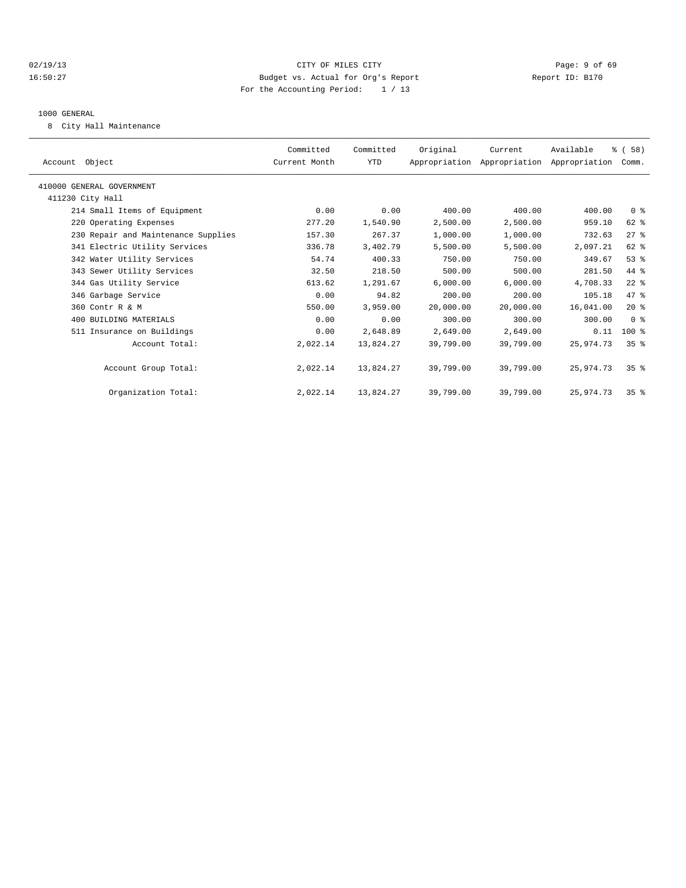## 02/19/13 Page: 9 of 69 16:50:27 Budget vs. Actual for Org's Report Report ID: B170 For the Accounting Period: 1 / 13

### 1000 GENERAL

8 City Hall Maintenance

| Account Object                      | Committed<br>Current Month | Committed<br>YTD | Original  | Current<br>Appropriation Appropriation Appropriation | Available | % (58)<br>Comm. |  |
|-------------------------------------|----------------------------|------------------|-----------|------------------------------------------------------|-----------|-----------------|--|
| 410000 GENERAL GOVERNMENT           |                            |                  |           |                                                      |           |                 |  |
| 411230 City Hall                    |                            |                  |           |                                                      |           |                 |  |
| 214 Small Items of Equipment        | 0.00                       | 0.00             | 400.00    | 400.00                                               | 400.00    | 0 <sup>8</sup>  |  |
| 220 Operating Expenses              | 277.20                     | 1,540.90         | 2,500.00  | 2,500.00                                             | 959.10    | 62 %            |  |
| 230 Repair and Maintenance Supplies | 157.30                     | 267.37           | 1,000.00  | 1,000.00                                             | 732.63    | $27$ $%$        |  |
| 341 Electric Utility Services       | 336.78                     | 3,402.79         | 5,500.00  | 5,500.00                                             | 2,097.21  | 62 %            |  |
| 342 Water Utility Services          | 54.74                      | 400.33           | 750.00    | 750.00                                               | 349.67    | $53$ $%$        |  |
| 343 Sewer Utility Services          | 32.50                      | 218.50           | 500.00    | 500.00                                               | 281.50    | 44 %            |  |
| 344 Gas Utility Service             | 613.62                     | 1,291.67         | 6,000.00  | 6,000.00                                             | 4,708.33  | $22$ %          |  |
| 346 Garbage Service                 | 0.00                       | 94.82            | 200.00    | 200.00                                               | 105.18    | 47.8            |  |
| 360 Contr R & M                     | 550.00                     | 3,959.00         | 20,000.00 | 20,000.00                                            | 16,041.00 | $20*$           |  |
| 400 BUILDING MATERIALS              | 0.00                       | 0.00             | 300.00    | 300.00                                               | 300.00    | 0 <sup>8</sup>  |  |
| 511 Insurance on Buildings          | 0.00                       | 2,648.89         | 2,649.00  | 2,649.00                                             | 0.11      | $100$ %         |  |
| Account Total:                      | 2,022.14                   | 13,824.27        | 39,799.00 | 39,799.00                                            | 25,974.73 | 35 <sup>8</sup> |  |
| Account Group Total:                | 2,022.14                   | 13,824.27        | 39,799.00 | 39,799.00                                            | 25,974.73 | 35 <sup>8</sup> |  |
| Organization Total:                 | 2,022.14                   | 13,824.27        | 39,799.00 | 39,799.00                                            | 25,974.73 | 35 <sup>8</sup> |  |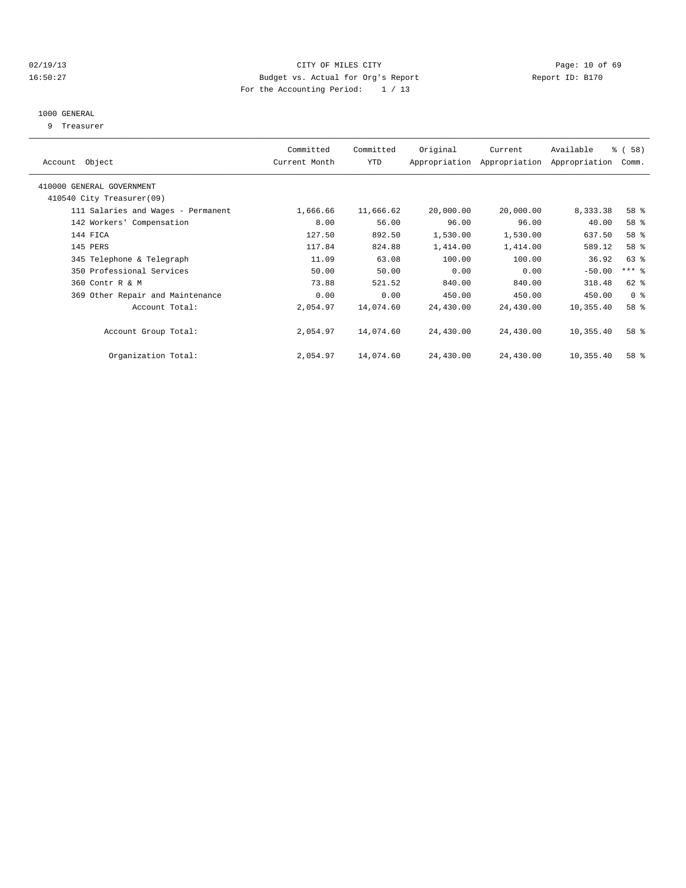## 02/19/13 Page: 10 of 69 16:50:27 Budget vs. Actual for Org's Report Report ID: B170 For the Accounting Period: 1 / 13

## 1000 GENERAL

9 Treasurer

| Account Object                     | Committed<br>Current Month | Committed<br>YTD | Original  | Current<br>Appropriation Appropriation | Available<br>Appropriation | % (58)<br>Comm. |  |
|------------------------------------|----------------------------|------------------|-----------|----------------------------------------|----------------------------|-----------------|--|
| 410000 GENERAL GOVERNMENT          |                            |                  |           |                                        |                            |                 |  |
| 410540 City Treasurer(09)          |                            |                  |           |                                        |                            |                 |  |
| 111 Salaries and Wages - Permanent | 1,666.66                   | 11,666.62        | 20,000.00 | 20,000.00                              | 8,333.38                   | 58 %            |  |
| 142 Workers' Compensation          | 8.00                       | 56.00            | 96.00     | 96.00                                  | 40.00                      | 58 %            |  |
| 144 FICA                           | 127.50                     | 892.50           | 1,530.00  | 1,530.00                               | 637.50                     | 58 %            |  |
| 145 PERS                           | 117.84                     | 824.88           | 1,414.00  | 1,414.00                               | 589.12                     | 58 %            |  |
| 345 Telephone & Telegraph          | 11.09                      | 63.08            | 100.00    | 100.00                                 | 36.92                      | 63 %            |  |
| 350 Professional Services          | 50.00                      | 50.00            | 0.00      | 0.00                                   | $-50.00$                   | $***$ $=$       |  |
| 360 Contr R & M                    | 73.88                      | 521.52           | 840.00    | 840.00                                 | 318.48                     | 62 %            |  |
| 369 Other Repair and Maintenance   | 0.00                       | 0.00             | 450.00    | 450.00                                 | 450.00                     | 0 <sup>8</sup>  |  |
| Account Total:                     | 2,054.97                   | 14,074.60        | 24,430.00 | 24,430.00                              | 10,355.40                  | 58 %            |  |
| Account Group Total:               | 2,054.97                   | 14,074.60        | 24,430.00 | 24,430.00                              | 10,355.40                  | 58 %            |  |
| Organization Total:                | 2,054.97                   | 14,074.60        | 24,430.00 | 24,430.00                              | 10,355.40                  | 58 %            |  |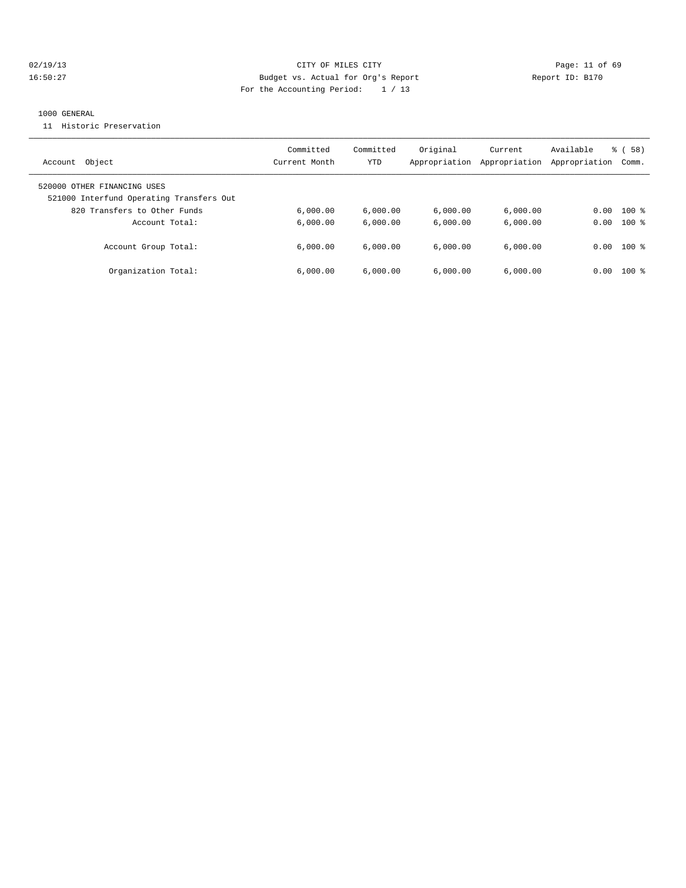## 02/19/13 Page: 11 of 69 16:50:27 Budget vs. Actual for Org's Report Report ID: B170 For the Accounting Period: 1 / 13

### 1000 GENERAL

11 Historic Preservation

| Object                                                                                                  | Committed     | Committed | Original      | Current       | Available     | % (58)  |
|---------------------------------------------------------------------------------------------------------|---------------|-----------|---------------|---------------|---------------|---------|
| Account                                                                                                 | Current Month | YTD       | Appropriation | Appropriation | Appropriation | Comm.   |
| 520000 OTHER FINANCING USES<br>521000 Interfund Operating Transfers Out<br>820 Transfers to Other Funds | 6.000.00      | 6.000.00  | 6,000.00      | 6,000.00      | 0.00          | $100*$  |
| Account Total:                                                                                          | 6.000.00      | 6.000.00  | 6.000.00      | 6.000.00      | 0.00          | $100$ % |
| Account Group Total:                                                                                    | 6.000.00      | 6.000.00  | 6.000.00      | 6.000.00      | 0.00          | $100$ % |
| Organization Total:                                                                                     | 6.000.00      | 6.000.00  | 6.000.00      | 6.000.00      | 0.00          | $100*$  |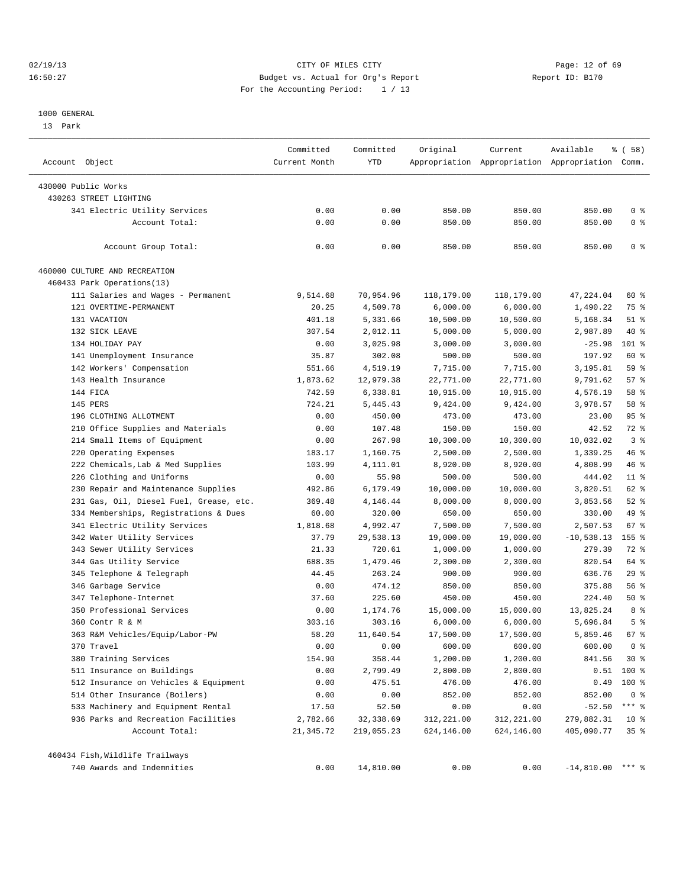## 02/19/13 Page: 12 of 69 16:50:27 Budget vs. Actual for Org's Report Report ID: B170 For the Accounting Period: 1 / 13

#### 1000 GENERAL

13 Park

| Account Object                          | Committed<br>Current Month | Committed<br>YTD | Original   | Current    | Available<br>Appropriation Appropriation Appropriation Comm. | % ( 58 )        |
|-----------------------------------------|----------------------------|------------------|------------|------------|--------------------------------------------------------------|-----------------|
| 430000 Public Works                     |                            |                  |            |            |                                                              |                 |
| 430263 STREET LIGHTING                  |                            |                  |            |            |                                                              |                 |
| 341 Electric Utility Services           | 0.00                       | 0.00             | 850.00     | 850.00     | 850.00                                                       | 0 <sup>8</sup>  |
| Account Total:                          | 0.00                       | 0.00             | 850.00     | 850.00     | 850.00                                                       | 0 <sup>8</sup>  |
|                                         |                            |                  |            |            |                                                              |                 |
| Account Group Total:                    | 0.00                       | 0.00             | 850.00     | 850.00     | 850.00                                                       | 0 <sup>8</sup>  |
| 460000 CULTURE AND RECREATION           |                            |                  |            |            |                                                              |                 |
| 460433 Park Operations(13)              |                            |                  |            |            |                                                              |                 |
| 111 Salaries and Wages - Permanent      | 9,514.68                   | 70,954.96        | 118,179.00 | 118,179.00 | 47,224.04                                                    | 60 %            |
| 121 OVERTIME-PERMANENT                  | 20.25                      | 4,509.78         | 6,000.00   | 6,000.00   | 1,490.22                                                     | 75 %            |
| 131 VACATION                            | 401.18                     | 5,331.66         | 10,500.00  | 10,500.00  | 5,168.34                                                     | $51$ %          |
| 132 SICK LEAVE                          | 307.54                     | 2,012.11         | 5,000.00   | 5,000.00   | 2,987.89                                                     | 40 %            |
| 134 HOLIDAY PAY                         | 0.00                       | 3,025.98         | 3,000.00   | 3,000.00   | $-25.98$                                                     | 101 %           |
| 141 Unemployment Insurance              | 35.87                      | 302.08           | 500.00     | 500.00     | 197.92                                                       | 60 %            |
| 142 Workers' Compensation               | 551.66                     | 4,519.19         | 7,715.00   | 7,715.00   | 3,195.81                                                     | 59 %            |
| 143 Health Insurance                    | 1,873.62                   | 12,979.38        | 22,771.00  | 22,771.00  | 9,791.62                                                     | 57%             |
| 144 FICA                                | 742.59                     | 6,338.81         | 10,915.00  | 10,915.00  | 4,576.19                                                     | 58 %            |
| 145 PERS                                | 724.21                     | 5,445.43         | 9,424.00   | 9,424.00   | 3,978.57                                                     | 58 %            |
| 196 CLOTHING ALLOTMENT                  | 0.00                       | 450.00           | 473.00     | 473.00     | 23.00                                                        | 95%             |
| 210 Office Supplies and Materials       | 0.00                       | 107.48           | 150.00     | 150.00     | 42.52                                                        | 72 %            |
| 214 Small Items of Equipment            | 0.00                       | 267.98           | 10,300.00  | 10,300.00  | 10,032.02                                                    | 3 <sup>8</sup>  |
| 220 Operating Expenses                  | 183.17                     | 1,160.75         | 2,500.00   | 2,500.00   | 1,339.25                                                     | 46 %            |
| 222 Chemicals, Lab & Med Supplies       | 103.99                     | 4,111.01         | 8,920.00   | 8,920.00   | 4,808.99                                                     | 46 %            |
| 226 Clothing and Uniforms               | 0.00                       | 55.98            | 500.00     | 500.00     | 444.02                                                       | $11*$           |
| 230 Repair and Maintenance Supplies     | 492.86                     | 6,179.49         | 10,000.00  | 10,000.00  | 3,820.51                                                     | 62 %            |
| 231 Gas, Oil, Diesel Fuel, Grease, etc. | 369.48                     | 4,146.44         | 8,000.00   | 8,000.00   | 3,853.56                                                     | $52$ $%$        |
| 334 Memberships, Registrations & Dues   | 60.00                      | 320.00           | 650.00     | 650.00     | 330.00                                                       | 49 %            |
| 341 Electric Utility Services           | 1,818.68                   | 4,992.47         | 7,500.00   | 7,500.00   | 2,507.53                                                     | 67 %            |
| 342 Water Utility Services              | 37.79                      | 29,538.13        | 19,000.00  | 19,000.00  | $-10,538.13$                                                 | $155$ %         |
| 343 Sewer Utility Services              | 21.33                      | 720.61           | 1,000.00   | 1,000.00   | 279.39                                                       | 72 %            |
| 344 Gas Utility Service                 | 688.35                     | 1,479.46         | 2,300.00   | 2,300.00   | 820.54                                                       | 64 %            |
| 345 Telephone & Telegraph               | 44.45                      | 263.24           | 900.00     | 900.00     | 636.76                                                       | 29%             |
| 346 Garbage Service                     | 0.00                       | 474.12           | 850.00     | 850.00     | 375.88                                                       | 56 %            |
| 347 Telephone-Internet                  | 37.60                      | 225.60           | 450.00     | 450.00     | 224.40                                                       | 50%             |
| 350 Professional Services               | 0.00                       | 1,174.76         | 15,000.00  | 15,000.00  | 13,825.24                                                    | 8 %             |
| 360 Contr R & M                         | 303.16                     | 303.16           | 6,000.00   | 6,000.00   | 5,696.84                                                     | 5 <sup>°</sup>  |
| 363 R&M Vehicles/Equip/Labor-PW         | 58.20                      | 11,640.54        | 17,500.00  | 17,500.00  | 5,859.46                                                     | 67 <sup>8</sup> |
| 370 Travel                              | 0.00                       | 0.00             | 600.00     | 600.00     | 600.00                                                       | 0 <sup>8</sup>  |
| 380 Training Services                   | 154.90                     | 358.44           | 1,200.00   | 1,200.00   | 841.56                                                       | $30*$           |
| 511 Insurance on Buildings              | 0.00                       | 2,799.49         | 2,800.00   | 2,800.00   | 0.51                                                         | 100 %           |
| 512 Insurance on Vehicles & Equipment   | 0.00                       | 475.51           | 476.00     | 476.00     | 0.49                                                         | $100$ %         |
| 514 Other Insurance (Boilers)           | 0.00                       | 0.00             | 852.00     | 852.00     | 852.00                                                       | 0 <sup>8</sup>  |
| 533 Machinery and Equipment Rental      | 17.50                      | 52.50            | 0.00       | 0.00       | $-52.50$                                                     | $***$ $-$       |
| 936 Parks and Recreation Facilities     | 2,782.66                   | 32,338.69        | 312,221.00 | 312,221.00 | 279,882.31                                                   | $10*$           |
| Account Total:                          | 21,345.72                  | 219,055.23       | 624,146.00 | 624,146.00 | 405,090.77                                                   | 35%             |
|                                         |                            |                  |            |            |                                                              |                 |
| 460434 Fish, Wildlife Trailways         |                            |                  |            |            |                                                              |                 |
| 740 Awards and Indemnities              | 0.00                       | 14,810.00        | 0.00       | 0.00       | $-14,810.00$ *** %                                           |                 |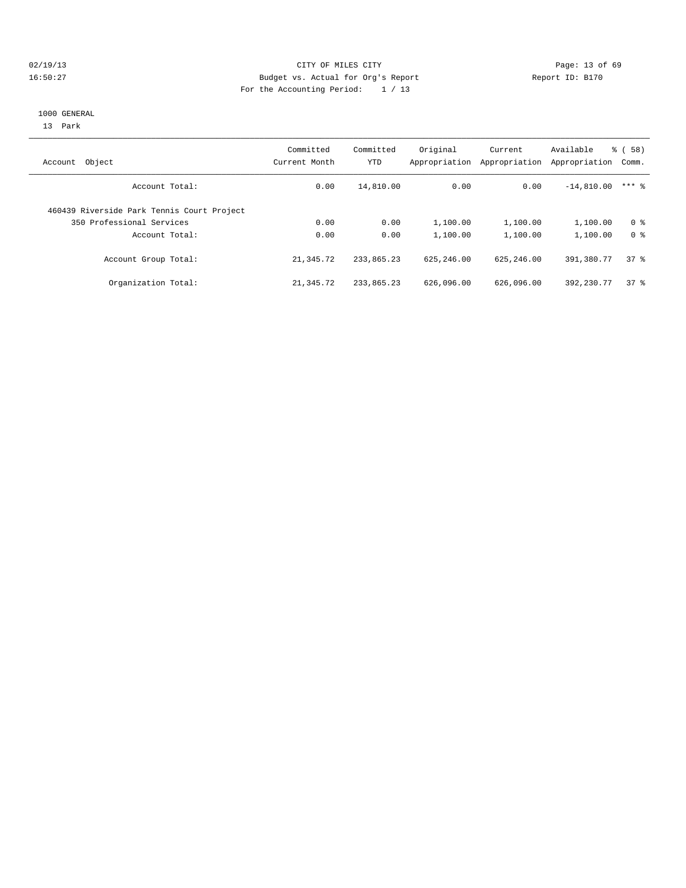## 02/19/13 Page: 13 of 69 16:50:27 Budget vs. Actual for Org's Report Report ID: B170 For the Accounting Period: 1 / 13

#### 1000 GENERAL

13 Park

| Object<br>Account                          | Committed<br>Current Month | Committed<br>YTD | Original<br>Appropriation | Current<br>Appropriation | Available<br>Appropriation | ී (<br>58)<br>Comm. |
|--------------------------------------------|----------------------------|------------------|---------------------------|--------------------------|----------------------------|---------------------|
| Account Total:                             | 0.00                       | 14,810.00        | 0.00                      | 0.00                     | $-14,810.00$               | $***$ 2             |
| 460439 Riverside Park Tennis Court Project |                            |                  |                           |                          |                            |                     |
| 350 Professional Services                  | 0.00                       | 0.00             | 1,100.00                  | 1,100.00                 | 1,100.00                   | 0 <sup>8</sup>      |
| Account Total:                             | 0.00                       | 0.00             | 1,100.00                  | 1,100.00                 | 1,100.00                   | 0 <sup>8</sup>      |
| Account Group Total:                       | 21, 345, 72                | 233,865.23       | 625, 246, 00              | 625, 246, 00             | 391,380.77                 | 378                 |
| Organization Total:                        | 21,345.72                  | 233,865.23       | 626,096.00                | 626,096.00               | 392, 230, 77               | 378                 |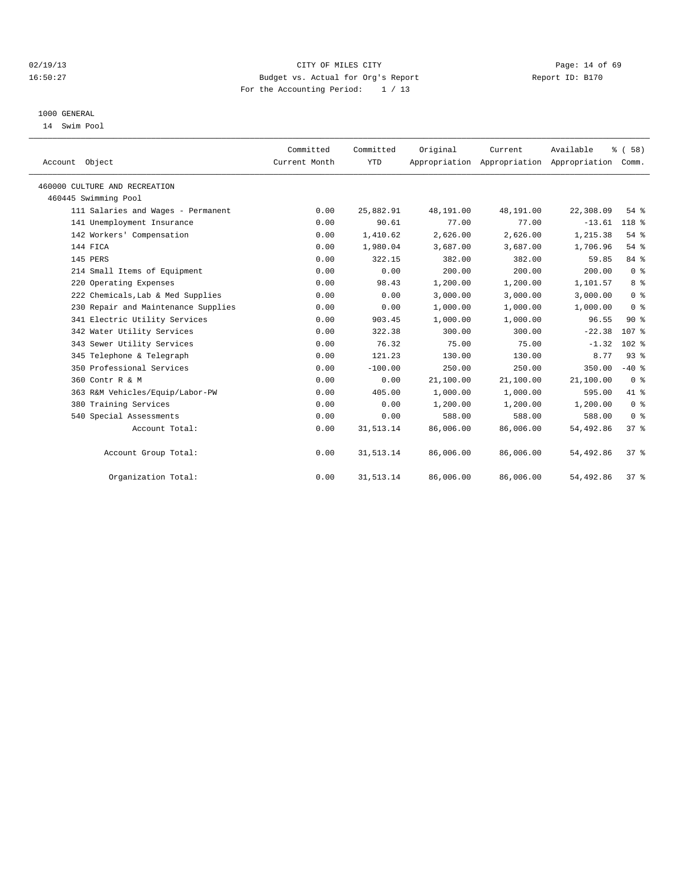## 02/19/13 Page: 14 of 69 16:50:27 Budget vs. Actual for Org's Report Report ID: B170 For the Accounting Period: 1 / 13

### 1000 GENERAL

14 Swim Pool

| Account Object                      | Committed<br>Current Month | Committed<br><b>YTD</b> | Original  | Current<br>Appropriation Appropriation Appropriation | Available | % (58)<br>Comm.  |
|-------------------------------------|----------------------------|-------------------------|-----------|------------------------------------------------------|-----------|------------------|
| 460000 CULTURE AND RECREATION       |                            |                         |           |                                                      |           |                  |
| 460445 Swimming Pool                |                            |                         |           |                                                      |           |                  |
| 111 Salaries and Wages - Permanent  | 0.00                       | 25,882.91               | 48,191.00 | 48,191.00                                            | 22,308.09 | $54$ $%$         |
| 141 Unemployment Insurance          | 0.00                       | 90.61                   | 77.00     | 77.00                                                | $-13.61$  | 118 %            |
| 142 Workers' Compensation           | 0.00                       | 1,410.62                | 2,626.00  | 2.626.00                                             | 1,215.38  | 54%              |
| 144 FICA                            | 0.00                       | 1,980.04                | 3,687.00  | 3,687.00                                             | 1,706.96  | 54%              |
| 145 PERS                            | 0.00                       | 322.15                  | 382.00    | 382.00                                               | 59.85     | 84 %             |
| 214 Small Items of Equipment        | 0.00                       | 0.00                    | 200.00    | 200.00                                               | 200.00    | 0 <sup>8</sup>   |
| 220 Operating Expenses              | 0.00                       | 98.43                   | 1,200.00  | 1,200.00                                             | 1,101.57  | 8 %              |
| 222 Chemicals, Lab & Med Supplies   | 0.00                       | 0.00                    | 3,000.00  | 3,000.00                                             | 3,000.00  | 0 <sup>8</sup>   |
| 230 Repair and Maintenance Supplies | 0.00                       | 0.00                    | 1,000.00  | 1,000.00                                             | 1,000.00  | 0 <sup>8</sup>   |
| 341 Electric Utility Services       | 0.00                       | 903.45                  | 1,000.00  | 1,000.00                                             | 96.55     | $90*$            |
| 342 Water Utility Services          | 0.00                       | 322.38                  | 300.00    | 300.00                                               | $-22.38$  | 107 <sub>8</sub> |
| 343 Sewer Utility Services          | 0.00                       | 76.32                   | 75.00     | 75.00                                                | $-1.32$   | $102$ %          |
| 345 Telephone & Telegraph           | 0.00                       | 121.23                  | 130.00    | 130.00                                               | 8.77      | 93%              |
| 350 Professional Services           | 0.00                       | $-100.00$               | 250.00    | 250.00                                               | 350.00    | $-40$ %          |
| 360 Contr R & M                     | 0.00                       | 0.00                    | 21,100.00 | 21,100.00                                            | 21,100.00 | 0 <sup>8</sup>   |
| 363 R&M Vehicles/Equip/Labor-PW     | 0.00                       | 405.00                  | 1,000.00  | 1,000.00                                             | 595.00    | 41 %             |
| 380 Training Services               | 0.00                       | 0.00                    | 1,200.00  | 1,200.00                                             | 1,200.00  | 0 <sup>8</sup>   |
| 540 Special Assessments             | 0.00                       | 0.00                    | 588.00    | 588.00                                               | 588.00    | 0 <sup>8</sup>   |
| Account Total:                      | 0.00                       | 31, 513.14              | 86,006.00 | 86,006.00                                            | 54,492.86 | 37 <sup>8</sup>  |
| Account Group Total:                | 0.00                       | 31, 513.14              | 86,006.00 | 86,006.00                                            | 54,492.86 | 37%              |
| Organization Total:                 | 0.00                       | 31, 513.14              | 86,006.00 | 86,006.00                                            | 54,492.86 | 37%              |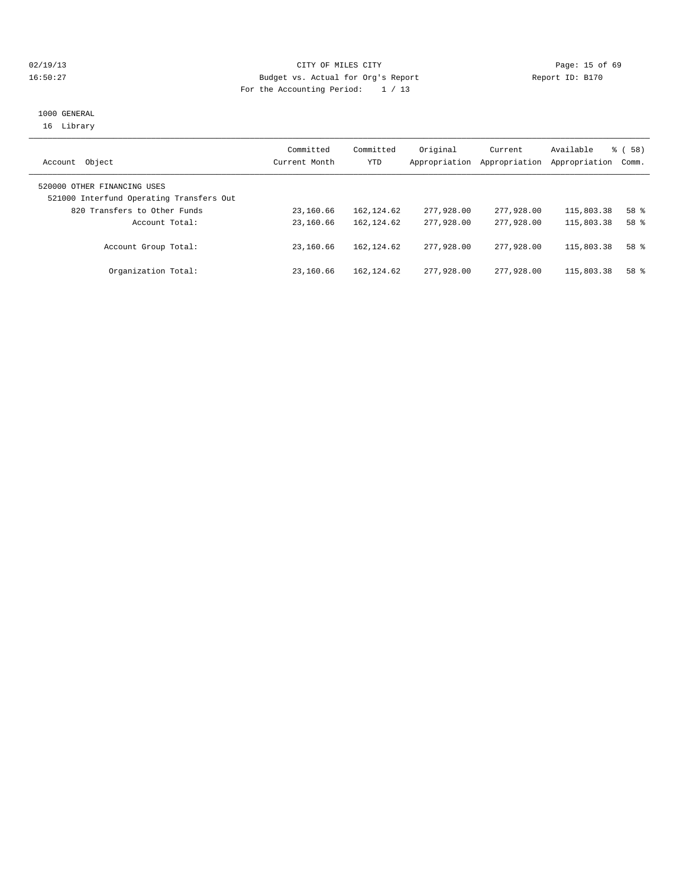## 02/19/13 Page: 15 of 69 16:50:27 Budget vs. Actual for Org's Report Report ID: B170 For the Accounting Period: 1 / 13

## 1000 GENERAL 16 Library

|                                                                         | Committed     | Committed   | Original      | Current       | Available     | % ( 58 ) |
|-------------------------------------------------------------------------|---------------|-------------|---------------|---------------|---------------|----------|
| Object<br>Account                                                       | Current Month | YTD         | Appropriation | Appropriation | Appropriation | Comm.    |
| 520000 OTHER FINANCING USES<br>521000 Interfund Operating Transfers Out |               |             |               |               |               |          |
| 820 Transfers to Other Funds                                            | 23,160.66     | 162,124.62  | 277,928.00    | 277,928.00    | 115,803.38    | 58 %     |
| Account Total:                                                          | 23,160.66     | 162, 124.62 | 277,928,00    | 277,928,00    | 115,803.38    | 58 %     |
| Account Group Total:                                                    | 23,160.66     | 162, 124.62 | 277,928,00    | 277,928,00    | 115,803.38    | 58 %     |
| Organization Total:                                                     | 23,160.66     | 162,124.62  | 277,928,00    | 277,928,00    | 115,803.38    | 58 %     |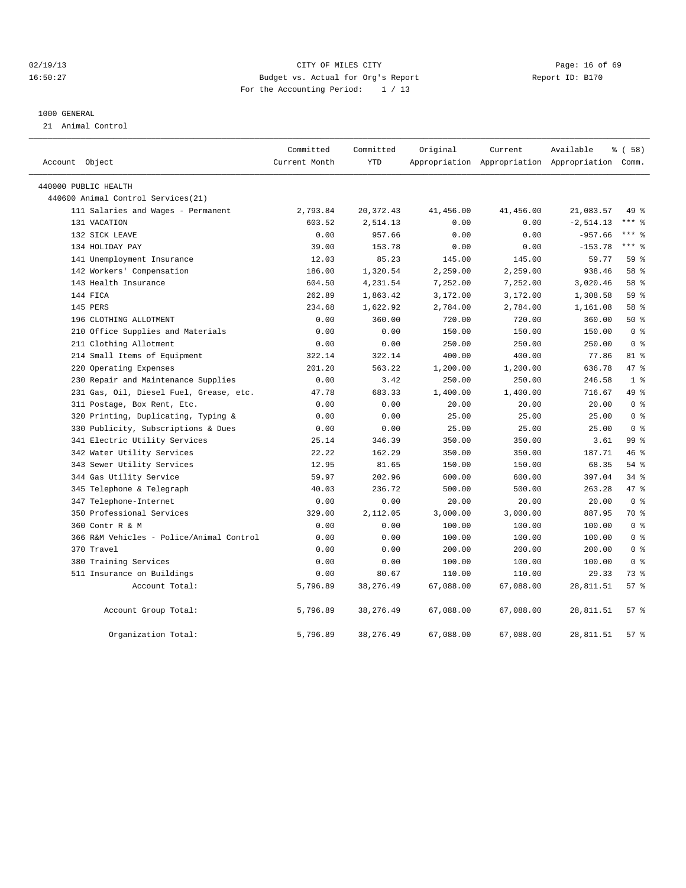## 02/19/13 Page: 16 of 69 16:50:27 Budget vs. Actual for Org's Report Report ID: B170 For the Accounting Period: 1 / 13

#### 1000 GENERAL

21 Animal Control

| Account Object                           | Committed<br>Current Month | Committed<br><b>YTD</b> | Original  | Current   | Available<br>Appropriation Appropriation Appropriation Comm. | % (58)          |
|------------------------------------------|----------------------------|-------------------------|-----------|-----------|--------------------------------------------------------------|-----------------|
|                                          |                            |                         |           |           |                                                              |                 |
| 440000 PUBLIC HEALTH                     |                            |                         |           |           |                                                              |                 |
| 440600 Animal Control Services (21)      |                            |                         |           |           |                                                              |                 |
| 111 Salaries and Wages - Permanent       | 2,793.84                   | 20, 372.43              | 41,456.00 | 41,456.00 | 21,083.57                                                    | 49 %            |
| 131 VACATION                             | 603.52                     | 2,514.13                | 0.00      | 0.00      | $-2, 514.13$                                                 | $***$ $%$       |
| 132 SICK LEAVE                           | 0.00                       | 957.66                  | 0.00      | 0.00      | $-957.66$                                                    | $***$ $%$       |
| 134 HOLIDAY PAY                          | 39.00                      | 153.78                  | 0.00      | 0.00      | $-153.78$                                                    | $***$ $-$       |
| 141 Unemployment Insurance               | 12.03                      | 85.23                   | 145.00    | 145.00    | 59.77                                                        | 59 %            |
| 142 Workers' Compensation                | 186.00                     | 1,320.54                | 2,259.00  | 2,259.00  | 938.46                                                       | 58 %            |
| 143 Health Insurance                     | 604.50                     | 4,231.54                | 7,252.00  | 7,252.00  | 3,020.46                                                     | 58 %            |
| 144 FICA                                 | 262.89                     | 1,863.42                | 3,172.00  | 3,172.00  | 1,308.58                                                     | 59 <sub>8</sub> |
| 145 PERS                                 | 234.68                     | 1,622.92                | 2,784.00  | 2,784.00  | 1,161.08                                                     | 58 %            |
| 196 CLOTHING ALLOTMENT                   | 0.00                       | 360.00                  | 720.00    | 720.00    | 360.00                                                       | 50%             |
| 210 Office Supplies and Materials        | 0.00                       | 0.00                    | 150.00    | 150.00    | 150.00                                                       | 0 <sup>8</sup>  |
| 211 Clothing Allotment                   | 0.00                       | 0.00                    | 250.00    | 250.00    | 250.00                                                       | 0 <sup>8</sup>  |
| 214 Small Items of Equipment             | 322.14                     | 322.14                  | 400.00    | 400.00    | 77.86                                                        | 81 %            |
| 220 Operating Expenses                   | 201.20                     | 563.22                  | 1,200.00  | 1,200.00  | 636.78                                                       | 47.8            |
| 230 Repair and Maintenance Supplies      | 0.00                       | 3.42                    | 250.00    | 250.00    | 246.58                                                       | 1 <sup>8</sup>  |
| 231 Gas, Oil, Diesel Fuel, Grease, etc.  | 47.78                      | 683.33                  | 1,400.00  | 1,400.00  | 716.67                                                       | 49 %            |
| 311 Postage, Box Rent, Etc.              | 0.00                       | 0.00                    | 20.00     | 20.00     | 20.00                                                        | 0 <sup>8</sup>  |
| 320 Printing, Duplicating, Typing &      | 0.00                       | 0.00                    | 25.00     | 25.00     | 25.00                                                        | 0 <sup>8</sup>  |
| 330 Publicity, Subscriptions & Dues      | 0.00                       | 0.00                    | 25.00     | 25.00     | 25.00                                                        | 0 <sup>8</sup>  |
| 341 Electric Utility Services            | 25.14                      | 346.39                  | 350.00    | 350.00    | 3.61                                                         | 99 %            |
| 342 Water Utility Services               | 22.22                      | 162.29                  | 350.00    | 350.00    | 187.71                                                       | 46%             |
| 343 Sewer Utility Services               | 12.95                      | 81.65                   | 150.00    | 150.00    | 68.35                                                        | $54$ $%$        |
| 344 Gas Utility Service                  | 59.97                      | 202.96                  | 600.00    | 600.00    | 397.04                                                       | $34$ $%$        |
| 345 Telephone & Telegraph                | 40.03                      | 236.72                  | 500.00    | 500.00    | 263.28                                                       | 47 %            |
| 347 Telephone-Internet                   | 0.00                       | 0.00                    | 20.00     | 20.00     | 20.00                                                        | 0 <sup>8</sup>  |
| 350 Professional Services                | 329.00                     | 2,112.05                | 3,000.00  | 3,000.00  | 887.95                                                       | 70 %            |
| 360 Contr R & M                          | 0.00                       | 0.00                    | 100.00    | 100.00    | 100.00                                                       | 0 <sup>8</sup>  |
| 366 R&M Vehicles - Police/Animal Control | 0.00                       | 0.00                    | 100.00    | 100.00    | 100.00                                                       | 0 <sup>8</sup>  |
| 370 Travel                               | 0.00                       | 0.00                    | 200.00    | 200.00    | 200.00                                                       | 0 <sup>8</sup>  |
| 380 Training Services                    | 0.00                       | 0.00                    | 100.00    | 100.00    | 100.00                                                       | 0 <sup>8</sup>  |
| 511 Insurance on Buildings               | 0.00                       | 80.67                   | 110.00    | 110.00    | 29.33                                                        | 73 %            |
| Account Total:                           | 5,796.89                   | 38, 276.49              | 67,088.00 | 67,088.00 | 28,811.51                                                    | 57%             |
| Account Group Total:                     | 5,796.89                   | 38, 276.49              | 67,088.00 | 67,088.00 | 28,811.51                                                    | 57%             |
| Organization Total:                      | 5,796.89                   | 38, 276.49              | 67,088.00 | 67,088.00 | 28,811.51                                                    | 57 <sub>8</sub> |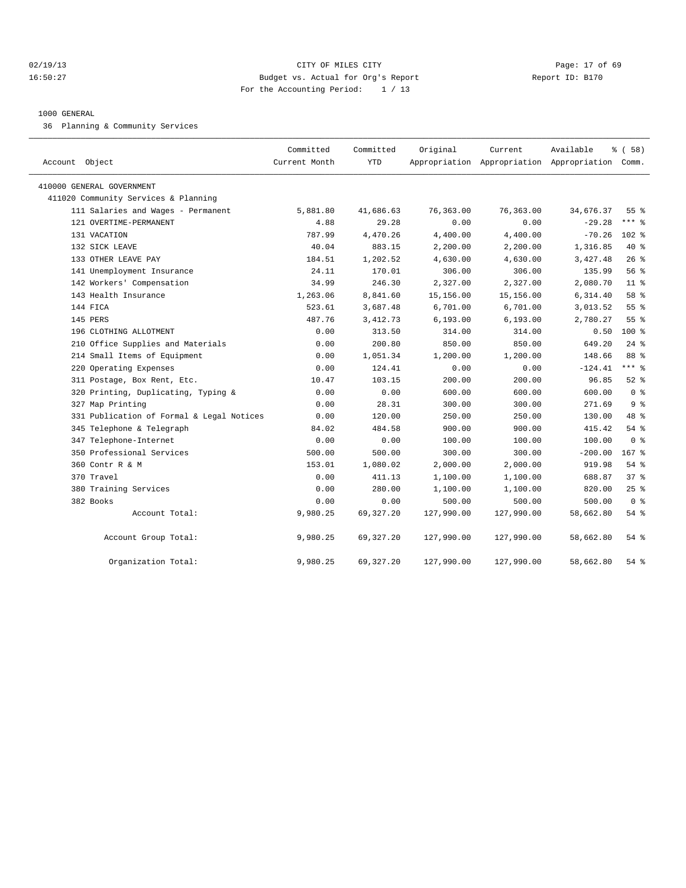## 02/19/13 Page: 17 of 69 16:50:27 Budget vs. Actual for Org's Report Report ID: B170 For the Accounting Period: 1 / 13

### 1000 GENERAL

36 Planning & Community Services

| Account Object                            | Committed<br>Current Month | Committed<br>YTD | Original   | Current    | Available<br>Appropriation Appropriation Appropriation Comm. | % (58)          |
|-------------------------------------------|----------------------------|------------------|------------|------------|--------------------------------------------------------------|-----------------|
|                                           |                            |                  |            |            |                                                              |                 |
| 410000 GENERAL GOVERNMENT                 |                            |                  |            |            |                                                              |                 |
| 411020 Community Services & Planning      |                            |                  |            |            |                                                              |                 |
| 111 Salaries and Wages - Permanent        | 5,881.80                   | 41,686.63        | 76,363.00  | 76,363.00  | 34,676.37                                                    | 55 <sup>8</sup> |
| 121 OVERTIME-PERMANENT                    | 4.88                       | 29.28            | 0.00       | 0.00       | $-29.28$                                                     | $***$ $=$       |
| 131 VACATION                              | 787.99                     | 4,470.26         | 4,400.00   | 4,400.00   | $-70.26$                                                     | $102$ %         |
| 132 SICK LEAVE                            | 40.04                      | 883.15           | 2,200.00   | 2,200.00   | 1,316.85                                                     | $40*$           |
| 133 OTHER LEAVE PAY                       | 184.51                     | 1,202.52         | 4,630.00   | 4,630.00   | 3,427.48                                                     | 26%             |
| 141 Unemployment Insurance                | 24.11                      | 170.01           | 306.00     | 306.00     | 135.99                                                       | 56%             |
| 142 Workers' Compensation                 | 34.99                      | 246.30           | 2,327.00   | 2,327.00   | 2,080.70                                                     | 11 <sup>8</sup> |
| 143 Health Insurance                      | 1,263.06                   | 8,841.60         | 15,156.00  | 15,156.00  | 6,314.40                                                     | 58 %            |
| 144 FICA                                  | 523.61                     | 3,687.48         | 6,701.00   | 6,701.00   | 3,013.52                                                     | 55%             |
| 145 PERS                                  | 487.76                     | 3, 412.73        | 6, 193.00  | 6, 193.00  | 2,780.27                                                     | 55 <sup>8</sup> |
| 196 CLOTHING ALLOTMENT                    | 0.00                       | 313.50           | 314.00     | 314.00     | 0.50                                                         | $100*$          |
| 210 Office Supplies and Materials         | 0.00                       | 200.80           | 850.00     | 850.00     | 649.20                                                       | $24$ %          |
| 214 Small Items of Equipment              | 0.00                       | 1,051.34         | 1,200.00   | 1,200.00   | 148.66                                                       | 88 %            |
| 220 Operating Expenses                    | 0.00                       | 124.41           | 0.00       | 0.00       | $-124.41$                                                    | $***$ 8         |
| 311 Postage, Box Rent, Etc.               | 10.47                      | 103.15           | 200.00     | 200.00     | 96.85                                                        | $52$ $%$        |
| 320 Printing, Duplicating, Typing &       | 0.00                       | 0.00             | 600.00     | 600.00     | 600.00                                                       | 0 <sup>8</sup>  |
| 327 Map Printing                          | 0.00                       | 28.31            | 300.00     | 300.00     | 271.69                                                       | 9 <sup>8</sup>  |
| 331 Publication of Formal & Legal Notices | 0.00                       | 120.00           | 250.00     | 250.00     | 130.00                                                       | 48 %            |
| 345 Telephone & Telegraph                 | 84.02                      | 484.58           | 900.00     | 900.00     | 415.42                                                       | 54%             |
| 347 Telephone-Internet                    | 0.00                       | 0.00             | 100.00     | 100.00     | 100.00                                                       | 0 <sup>8</sup>  |
| 350 Professional Services                 | 500.00                     | 500.00           | 300.00     | 300.00     | $-200.00$                                                    | $167$ %         |
| 360 Contr R & M                           | 153.01                     | 1,080.02         | 2,000.00   | 2,000.00   | 919.98                                                       | 54 %            |
| 370 Travel                                | 0.00                       | 411.13           | 1,100.00   | 1,100.00   | 688.87                                                       | 37%             |
| 380 Training Services                     | 0.00                       | 280.00           | 1,100.00   | 1,100.00   | 820.00                                                       | $25$ $%$        |
| 382 Books                                 | 0.00                       | 0.00             | 500.00     | 500.00     | 500.00                                                       | 0 <sup>8</sup>  |
| Account Total:                            | 9,980.25                   | 69, 327. 20      | 127,990.00 | 127,990.00 | 58,662.80                                                    | 54 %            |
| Account Group Total:                      | 9,980.25                   | 69, 327. 20      | 127,990.00 | 127,990.00 | 58,662.80                                                    | 54 %            |
| Organization Total:                       | 9,980.25                   | 69, 327.20       | 127,990.00 | 127,990.00 | 58,662.80                                                    | 54 %            |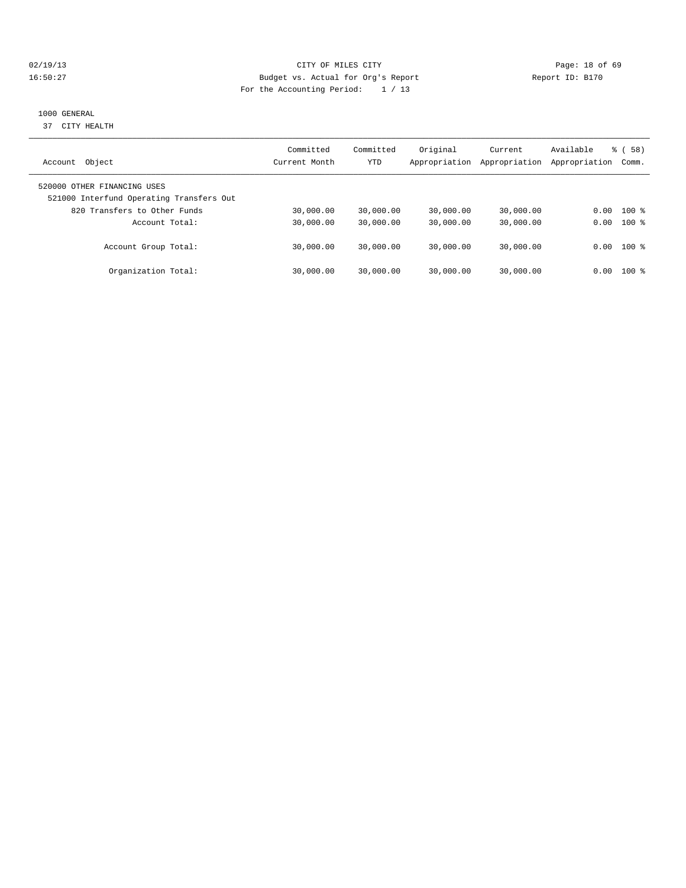## 02/19/13 Page: 18 of 69 16:50:27 Budget vs. Actual for Org's Report Report ID: B170 For the Accounting Period: 1 / 13

## 1000 GENERAL

37 CITY HEALTH

| Object<br>Account                                                                                       | Committed<br>Current Month | Committed<br><b>YTD</b> | Original<br>Appropriation | Current<br>Appropriation | Available<br>Appropriation | 58)<br>ී (<br>Comm. |
|---------------------------------------------------------------------------------------------------------|----------------------------|-------------------------|---------------------------|--------------------------|----------------------------|---------------------|
| 520000 OTHER FINANCING USES<br>521000 Interfund Operating Transfers Out<br>820 Transfers to Other Funds | 30,000.00                  | 30,000.00               | 30,000.00                 | 30,000.00                | 0.00                       | $100*$              |
| Account Total:                                                                                          | 30,000.00                  | 30,000.00               | 30,000.00                 | 30,000.00                | 0.00                       | $100*$              |
| Account Group Total:                                                                                    | 30,000.00                  | 30,000.00               | 30,000.00                 | 30,000.00                |                            | $0.00$ 100 %        |
| Organization Total:                                                                                     | 30,000.00                  | 30,000.00               | 30,000.00                 | 30,000.00                | 0.00                       | $100$ %             |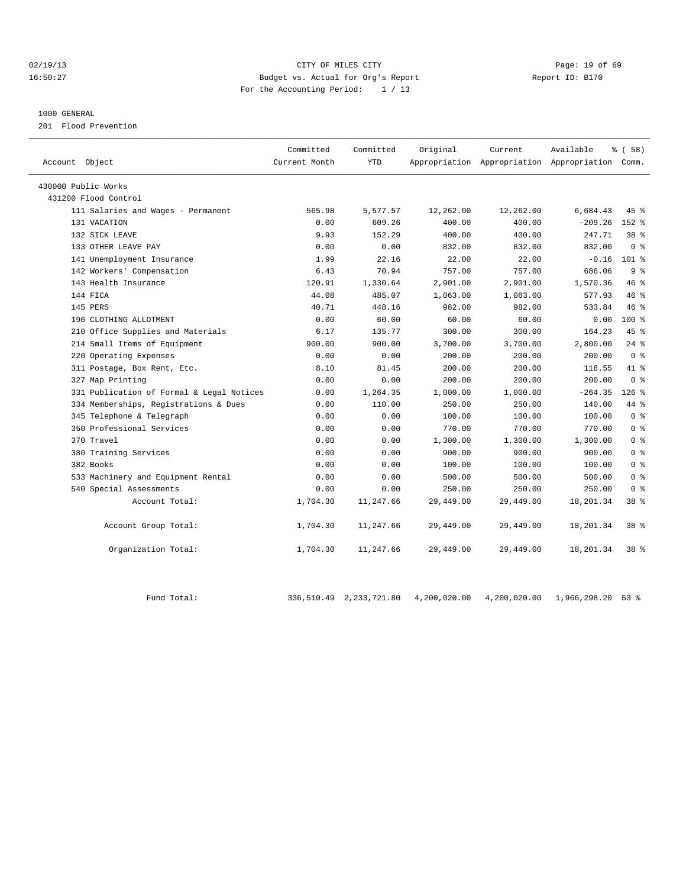## 02/19/13 Page: 19 of 69 16:50:27 Budget vs. Actual for Org's Report Report ID: B170 For the Accounting Period: 1 / 13

### 1000 GENERAL

201 Flood Prevention

| Account Object                            | Committed<br>Current Month | Committed<br><b>YTD</b> | Original  | Current<br>Appropriation Appropriation Appropriation Comm. | Available | % (58)          |
|-------------------------------------------|----------------------------|-------------------------|-----------|------------------------------------------------------------|-----------|-----------------|
| 430000 Public Works                       |                            |                         |           |                                                            |           |                 |
| 431200 Flood Control                      |                            |                         |           |                                                            |           |                 |
| 111 Salaries and Wages - Permanent        | 565.98                     | 5,577.57                | 12,262.00 | 12,262.00                                                  | 6,684.43  | 45 %            |
| 131 VACATION                              | 0.00                       | 609.26                  | 400.00    | 400.00                                                     | $-209.26$ | $152$ $%$       |
| 132 SICK LEAVE                            | 9.93                       | 152.29                  | 400.00    | 400.00                                                     | 247.71    | 38 %            |
| 133 OTHER LEAVE PAY                       | 0.00                       | 0.00                    | 832.00    | 832.00                                                     | 832.00    | 0 <sup>8</sup>  |
| 141 Unemployment Insurance                | 1.99                       | 22.16                   | 22.00     | 22.00                                                      | $-0.16$   | 101 %           |
| 142 Workers' Compensation                 | 6.43                       | 70.94                   | 757.00    | 757.00                                                     | 686.06    | 9 <sup>8</sup>  |
| 143 Health Insurance                      | 120.91                     | 1,330.64                | 2,901.00  | 2,901.00                                                   | 1,570.36  | 46%             |
| 144 FICA                                  | 44.08                      | 485.07                  | 1,063.00  | 1,063.00                                                   | 577.93    | 46%             |
| 145 PERS                                  | 40.71                      | 448.16                  | 982.00    | 982.00                                                     | 533.84    | 46%             |
| 196 CLOTHING ALLOTMENT                    | 0.00                       | 60.00                   | 60.00     | 60.00                                                      | 0.00      | $100*$          |
| 210 Office Supplies and Materials         | 6.17                       | 135.77                  | 300.00    | 300.00                                                     | 164.23    | 45%             |
| 214 Small Items of Equipment              | 900.00                     | 900.00                  | 3,700.00  | 3,700.00                                                   | 2,800.00  | $24$ %          |
| 220 Operating Expenses                    | 0.00                       | 0.00                    | 200.00    | 200.00                                                     | 200.00    | 0 <sup>8</sup>  |
| 311 Postage, Box Rent, Etc.               | 8.10                       | 81.45                   | 200.00    | 200.00                                                     | 118.55    | 41.8            |
| 327 Map Printing                          | 0.00                       | 0.00                    | 200.00    | 200.00                                                     | 200.00    | 0 <sup>8</sup>  |
| 331 Publication of Formal & Legal Notices | 0.00                       | 1,264.35                | 1,000.00  | 1,000.00                                                   | $-264.35$ | $126$ %         |
| 334 Memberships, Registrations & Dues     | 0.00                       | 110.00                  | 250.00    | 250.00                                                     | 140.00    | 44 %            |
| 345 Telephone & Telegraph                 | 0.00                       | 0.00                    | 100.00    | 100.00                                                     | 100.00    | 0 <sup>8</sup>  |
| 350 Professional Services                 | 0.00                       | 0.00                    | 770.00    | 770.00                                                     | 770.00    | 0 <sup>8</sup>  |
| 370 Travel                                | 0.00                       | 0.00                    | 1,300.00  | 1,300.00                                                   | 1,300.00  | 0 <sup>°</sup>  |
| 380 Training Services                     | 0.00                       | 0.00                    | 900.00    | 900.00                                                     | 900.00    | 0 <sup>8</sup>  |
| 382 Books                                 | 0.00                       | 0.00                    | 100.00    | 100.00                                                     | 100.00    | 0 <sup>8</sup>  |
| 533 Machinery and Equipment Rental        | 0.00                       | 0.00                    | 500.00    | 500.00                                                     | 500.00    | 0 <sup>8</sup>  |
| 540 Special Assessments                   | 0.00                       | 0.00                    | 250.00    | 250.00                                                     | 250.00    | 0 <sup>8</sup>  |
| Account Total:                            | 1,704.30                   | 11,247.66               | 29,449.00 | 29,449.00                                                  | 18,201.34 | 38 %            |
| Account Group Total:                      | 1,704.30                   | 11,247.66               | 29,449.00 | 29,449.00                                                  | 18,201.34 | 38 %            |
| Organization Total:                       | 1,704.30                   | 11,247.66               | 29,449.00 | 29,449.00                                                  | 18,201.34 | 38 <sup>8</sup> |

Fund Total: 336,510.49 2,233,721.80 4,200,020.00 4,200,020.00 1,966,298.20 53 %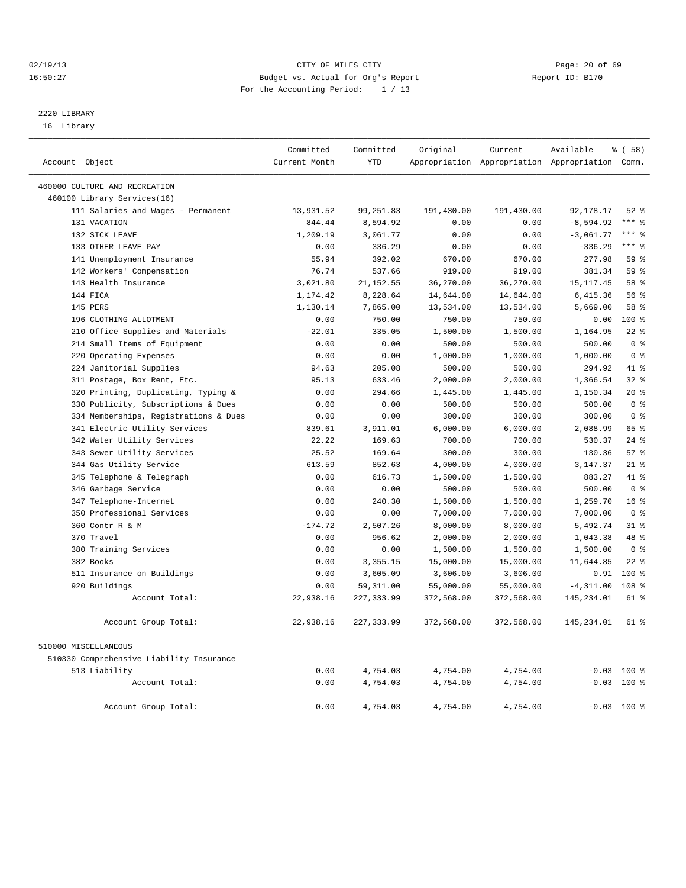## 02/19/13 Page: 20 of 69 16:50:27 Budget vs. Actual for Org's Report Report ID: B170 For the Accounting Period: 1 / 13

## 2220 LIBRARY

16 Library

|                                          | Committed     | Committed   | Original   | Current                                         | Available    | 8 ( 58 )        |
|------------------------------------------|---------------|-------------|------------|-------------------------------------------------|--------------|-----------------|
| Account Object                           | Current Month | <b>YTD</b>  |            | Appropriation Appropriation Appropriation Comm. |              |                 |
| 460000 CULTURE AND RECREATION            |               |             |            |                                                 |              |                 |
| 460100 Library Services(16)              |               |             |            |                                                 |              |                 |
| 111 Salaries and Wages - Permanent       | 13,931.52     | 99, 251.83  | 191,430.00 | 191,430.00                                      | 92, 178. 17  | $52$ $%$        |
| 131 VACATION                             | 844.44        | 8,594.92    | 0.00       | 0.00                                            | $-8,594.92$  | $***$ 8         |
| 132 SICK LEAVE                           | 1,209.19      | 3,061.77    | 0.00       | 0.00                                            | $-3,061.77$  | $***$ $=$       |
| 133 OTHER LEAVE PAY                      | 0.00          | 336.29      | 0.00       | 0.00                                            | $-336.29$    | $***$ 8         |
| 141 Unemployment Insurance               | 55.94         | 392.02      | 670.00     | 670.00                                          | 277.98       | 59 %            |
| 142 Workers' Compensation                | 76.74         | 537.66      | 919.00     | 919.00                                          | 381.34       | 59 %            |
| 143 Health Insurance                     | 3,021.80      | 21, 152.55  | 36,270.00  | 36,270.00                                       | 15, 117.45   | 58 %            |
| 144 FICA                                 | 1,174.42      | 8,228.64    | 14,644.00  | 14,644.00                                       | 6,415.36     | 56%             |
| 145 PERS                                 | 1,130.14      | 7,865.00    | 13,534.00  | 13,534.00                                       | 5,669.00     | 58 %            |
| 196 CLOTHING ALLOTMENT                   | 0.00          | 750.00      | 750.00     | 750.00                                          | 0.00         | 100 %           |
| 210 Office Supplies and Materials        | $-22.01$      | 335.05      | 1,500.00   | 1,500.00                                        | 1,164.95     | $22$ %          |
| 214 Small Items of Equipment             | 0.00          | 0.00        | 500.00     | 500.00                                          | 500.00       | 0 <sup>8</sup>  |
| 220 Operating Expenses                   | 0.00          | 0.00        | 1,000.00   | 1,000.00                                        | 1,000.00     | 0 <sup>8</sup>  |
| 224 Janitorial Supplies                  | 94.63         | 205.08      | 500.00     | 500.00                                          | 294.92       | 41 %            |
| 311 Postage, Box Rent, Etc.              | 95.13         | 633.46      | 2,000.00   | 2,000.00                                        | 1,366.54     | 32%             |
| 320 Printing, Duplicating, Typing &      | 0.00          | 294.66      | 1,445.00   | 1,445.00                                        | 1,150.34     | $20*$           |
| 330 Publicity, Subscriptions & Dues      | 0.00          | 0.00        | 500.00     | 500.00                                          | 500.00       | 0 <sup>8</sup>  |
| 334 Memberships, Registrations & Dues    | 0.00          | 0.00        | 300.00     | 300.00                                          | 300.00       | 0 <sup>8</sup>  |
| 341 Electric Utility Services            | 839.61        | 3,911.01    | 6,000.00   | 6,000.00                                        | 2,088.99     | 65 %            |
| 342 Water Utility Services               | 22.22         | 169.63      | 700.00     | 700.00                                          | 530.37       | $24$ %          |
| 343 Sewer Utility Services               | 25.52         | 169.64      | 300.00     | 300.00                                          | 130.36       | 57%             |
| 344 Gas Utility Service                  | 613.59        | 852.63      | 4,000.00   | 4,000.00                                        | 3, 147.37    | $21$ %          |
| 345 Telephone & Telegraph                | 0.00          | 616.73      | 1,500.00   | 1,500.00                                        | 883.27       | 41 %            |
| 346 Garbage Service                      | 0.00          | 0.00        | 500.00     | 500.00                                          | 500.00       | 0 <sup>8</sup>  |
| 347 Telephone-Internet                   | 0.00          | 240.30      | 1,500.00   | 1,500.00                                        | 1,259.70     | 16 <sup>8</sup> |
| 350 Professional Services                | 0.00          | 0.00        | 7,000.00   | 7,000.00                                        | 7,000.00     | 0 <sup>8</sup>  |
| 360 Contr R & M                          | $-174.72$     | 2,507.26    | 8,000.00   | 8,000.00                                        | 5,492.74     | 31.8            |
| 370 Travel                               | 0.00          | 956.62      | 2,000.00   | 2,000.00                                        | 1,043.38     | 48 %            |
| 380 Training Services                    | 0.00          | 0.00        | 1,500.00   | 1,500.00                                        | 1,500.00     | 0 <sup>8</sup>  |
| 382 Books                                | 0.00          | 3,355.15    | 15,000.00  | 15,000.00                                       | 11,644.85    | $22$ %          |
| 511 Insurance on Buildings               | 0.00          | 3,605.09    | 3,606.00   | 3,606.00                                        | 0.91         | $100*$          |
| 920 Buildings                            | 0.00          | 59, 311.00  | 55,000.00  | 55,000.00                                       | $-4, 311.00$ | 108 %           |
| Account Total:                           | 22,938.16     | 227, 333.99 | 372,568.00 | 372,568.00                                      | 145, 234.01  | 61 %            |
| Account Group Total:                     | 22,938.16     | 227, 333.99 | 372,568.00 | 372,568.00                                      | 145,234.01   | 61 %            |
| 510000 MISCELLANEOUS                     |               |             |            |                                                 |              |                 |
| 510330 Comprehensive Liability Insurance |               |             |            |                                                 |              |                 |
| 513 Liability                            | 0.00          | 4,754.03    | 4,754.00   | 4,754.00                                        |              | $-0.03$ 100 %   |
| Account Total:                           | 0.00          | 4,754.03    | 4,754.00   | 4,754.00                                        |              | $-0.03$ 100 %   |
| Account Group Total:                     | 0.00          | 4,754.03    | 4,754.00   | 4,754.00                                        |              | $-0.03$ 100 %   |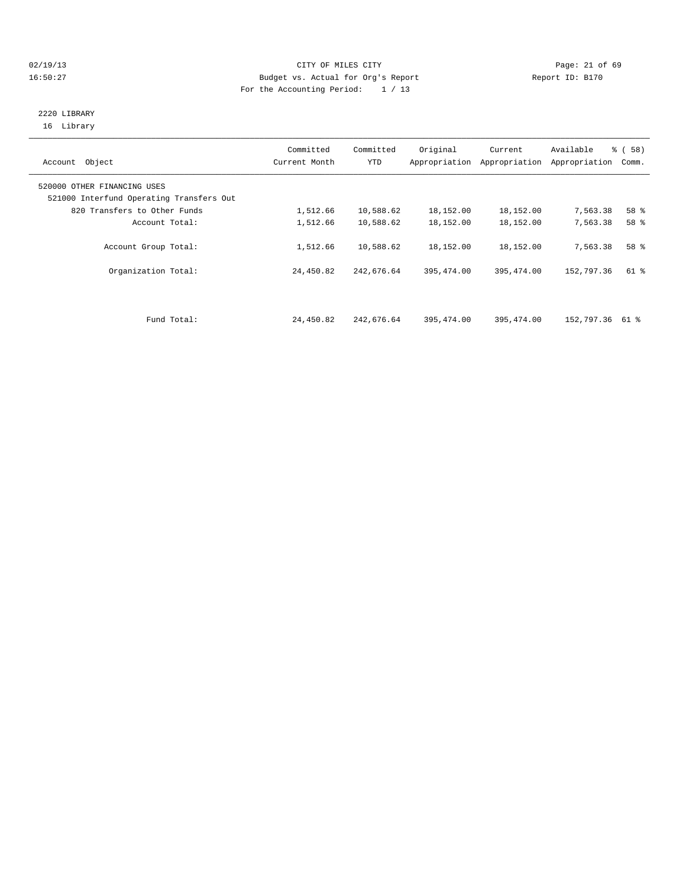## 02/19/13 Page: 21 of 69 16:50:27 Budget vs. Actual for Org's Report Report ID: B170 For the Accounting Period: 1 / 13

## 2220 LIBRARY 16 Library

| Account Object                                                          | Committed<br>Current Month | Committed<br>YTD | Original   | Current<br>Appropriation Appropriation | Available<br>Appropriation | % (58)<br>Comm. |
|-------------------------------------------------------------------------|----------------------------|------------------|------------|----------------------------------------|----------------------------|-----------------|
| 520000 OTHER FINANCING USES<br>521000 Interfund Operating Transfers Out |                            |                  |            |                                        |                            |                 |
| 820 Transfers to Other Funds                                            | 1,512.66                   | 10,588.62        | 18,152.00  | 18,152.00                              | 7,563.38                   | 58 %            |
| Account Total:                                                          | 1,512.66                   | 10,588.62        | 18,152.00  | 18,152.00                              | 7,563.38                   | 58 %            |
| Account Group Total:                                                    | 1,512.66                   | 10,588.62        | 18,152.00  | 18,152.00                              | 7,563.38                   | 58 %            |
| Organization Total:                                                     | 24,450.82                  | 242,676.64       | 395,474.00 | 395, 474.00                            | 152,797.36                 | 61 %            |
|                                                                         |                            |                  |            |                                        |                            |                 |
| Fund Total:                                                             | 24,450.82                  | 242,676.64       | 395,474.00 | 395,474.00                             | 152,797.36 61 %            |                 |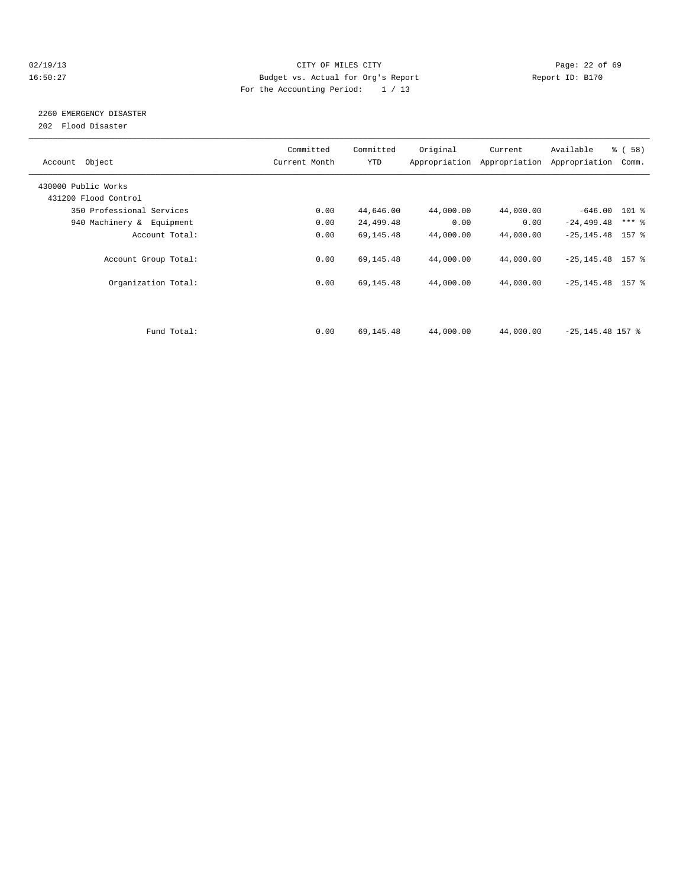## 02/19/13 Page: 22 of 69 16:50:27 Budget vs. Actual for Org's Report Report ID: B170 For the Accounting Period: 1 / 13

## 2260 EMERGENCY DISASTER

202 Flood Disaster

| Account Object            | Committed<br>Current Month | Committed<br><b>YTD</b> | Original  | Current<br>Appropriation Appropriation | Available<br>Appropriation | % (58)<br>Comm. |
|---------------------------|----------------------------|-------------------------|-----------|----------------------------------------|----------------------------|-----------------|
| 430000 Public Works       |                            |                         |           |                                        |                            |                 |
| 431200 Flood Control      |                            |                         |           |                                        |                            |                 |
| 350 Professional Services | 0.00                       | 44,646.00               | 44,000.00 | 44,000.00                              | $-646.00$ 101 %            |                 |
| 940 Machinery & Equipment | 0.00                       | 24,499.48               | 0.00      | 0.00                                   | $-24, 499.48$              | $***$ $-$       |
| Account Total:            | 0.00                       | 69,145.48               | 44,000.00 | 44,000.00                              | $-25, 145.48$ 157 %        |                 |
| Account Group Total:      | 0.00                       | 69,145.48               | 44,000.00 | 44,000.00                              | $-25, 145.48$ 157 %        |                 |
| Organization Total:       | 0.00                       | 69,145.48               | 44,000.00 | 44,000.00                              | $-25, 145.48$ 157 %        |                 |
|                           |                            |                         |           |                                        |                            |                 |
| Fund Total:               | 0.00                       | 69,145.48               | 44,000.00 | 44,000.00                              | $-25, 145.48$ 157 %        |                 |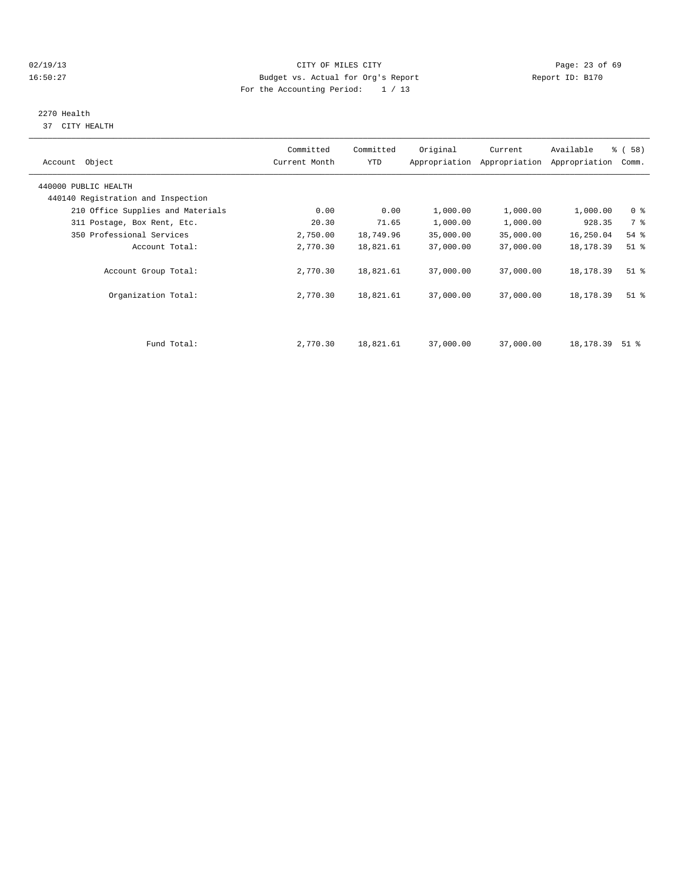## 02/19/13 Page: 23 of 69 16:50:27 Budget vs. Actual for Org's Report Report ID: B170 For the Accounting Period: 1 / 13

## 2270 Health

37 CITY HEALTH

| Account Object                                             | Committed<br>Current Month | Committed<br>YTD | Original  | Current<br>Appropriation Appropriation | Available<br>Appropriation | % (58)<br>Comm.               |  |
|------------------------------------------------------------|----------------------------|------------------|-----------|----------------------------------------|----------------------------|-------------------------------|--|
| 440000 PUBLIC HEALTH<br>440140 Registration and Inspection |                            |                  |           |                                        |                            |                               |  |
| 210 Office Supplies and Materials                          | 0.00                       | 0.00             | 1,000.00  | 1,000.00                               | 1,000.00                   | 0 <sup>8</sup>                |  |
| 311 Postage, Box Rent, Etc.                                | 20.30                      | 71.65            | 1,000.00  | 1,000.00                               | 928.35                     | 7 %                           |  |
| 350 Professional Services                                  | 2,750.00                   | 18,749.96        | 35,000.00 | 35,000.00                              | 16,250.04                  | 54 %                          |  |
| Account Total:                                             | 2,770.30                   | 18,821.61        | 37,000.00 | 37,000.00                              | 18,178.39                  | $51$ %                        |  |
| Account Group Total:                                       | 2,770.30                   | 18,821.61        | 37,000.00 | 37,000.00                              | 18,178.39                  | $51$ %                        |  |
| Organization Total:                                        | 2,770.30                   | 18,821.61        | 37,000.00 | 37,000.00                              | 18,178.39                  | $51$ $\overline{\phantom{0}}$ |  |
|                                                            |                            |                  |           |                                        |                            |                               |  |
| Fund Total:                                                | 2,770.30                   | 18,821.61        | 37,000.00 | 37,000.00                              | 18,178.39                  | $51$ %                        |  |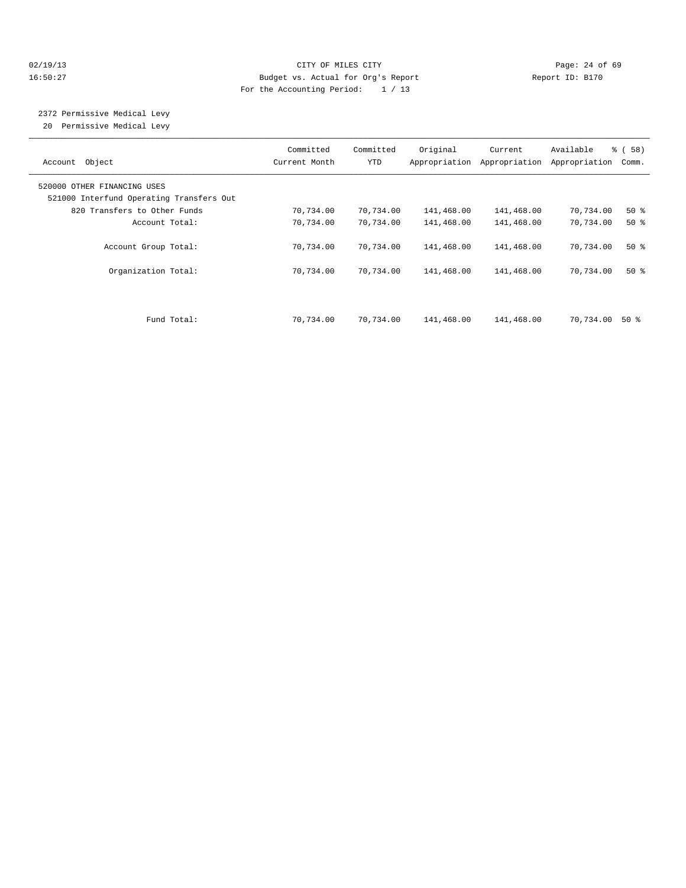## 02/19/13 Page: 24 of 69 16:50:27 Budget vs. Actual for Org's Report Report ID: B170 For the Accounting Period: 1 / 13

# 2372 Permissive Medical Levy

20 Permissive Medical Levy

| Object<br>Account                                                       | Committed<br>Current Month | Committed<br>YTD | Original   | Current<br>Appropriation Appropriation | Available<br>Appropriation | % (58)<br>Comm. |
|-------------------------------------------------------------------------|----------------------------|------------------|------------|----------------------------------------|----------------------------|-----------------|
| 520000 OTHER FINANCING USES<br>521000 Interfund Operating Transfers Out |                            |                  |            |                                        |                            |                 |
| 820 Transfers to Other Funds                                            | 70,734.00                  | 70,734.00        | 141,468.00 | 141,468.00                             | 70,734.00                  | $50*$           |
| Account Total:                                                          | 70,734.00                  | 70,734.00        | 141,468.00 | 141,468.00                             | 70,734.00                  | $50*$           |
| Account Group Total:                                                    | 70,734.00                  | 70,734.00        | 141,468.00 | 141,468.00                             | 70,734.00                  | $50*$           |
| Organization Total:                                                     | 70,734.00                  | 70,734.00        | 141,468.00 | 141,468.00                             | 70,734.00                  | $50*$           |
| Fund Total:                                                             |                            |                  |            |                                        |                            | 50 %            |
|                                                                         | 70,734.00                  | 70,734.00        | 141,468.00 | 141,468.00                             | 70,734.00                  |                 |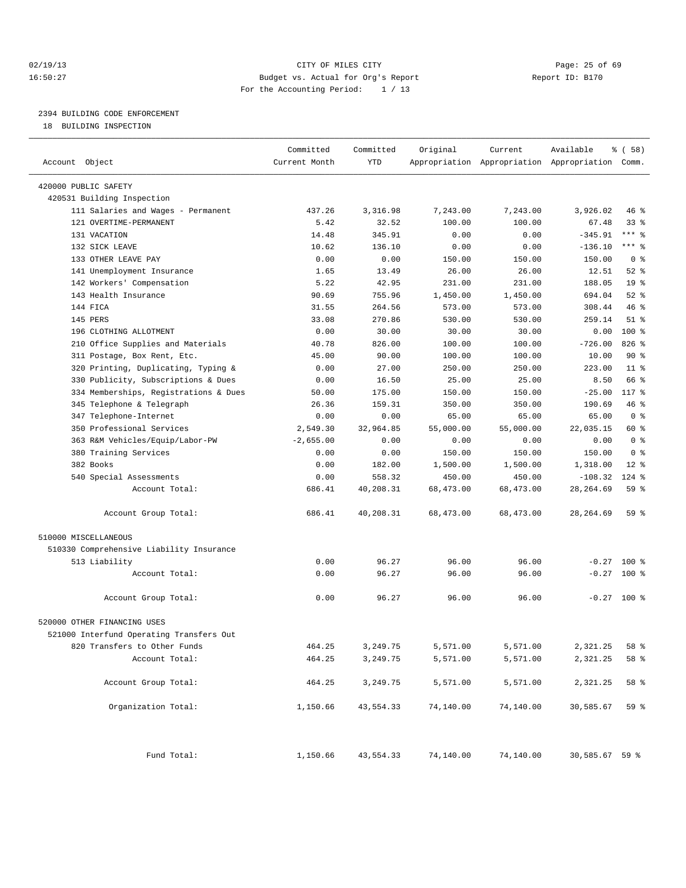## 02/19/13 Page: 25 of 69 16:50:27 Budget vs. Actual for Org's Report Report ID: B170 For the Accounting Period: 1 / 13

————————————————————————————————————————————————————————————————————————————————————————————————————————————————————————————————————

## 2394 BUILDING CODE ENFORCEMENT

18 BUILDING INSPECTION

|                                          | Committed     | Committed | Original  | Current   | Available                                       | % (58)          |
|------------------------------------------|---------------|-----------|-----------|-----------|-------------------------------------------------|-----------------|
| Account Object                           | Current Month | YTD       |           |           | Appropriation Appropriation Appropriation Comm. |                 |
|                                          |               |           |           |           |                                                 |                 |
| 420000 PUBLIC SAFETY                     |               |           |           |           |                                                 |                 |
| 420531 Building Inspection               | 437.26        |           |           |           |                                                 |                 |
| 111 Salaries and Wages - Permanent       |               | 3,316.98  | 7,243.00  | 7,243.00  | 3,926.02                                        | 46 %            |
| 121 OVERTIME-PERMANENT                   | 5.42          | 32.52     | 100.00    | 100.00    | 67.48                                           | $33$ $%$        |
| 131 VACATION                             | 14.48         | 345.91    | 0.00      | 0.00      | $-345.91$                                       | $***$ $-$       |
| 132 SICK LEAVE                           | 10.62         | 136.10    | 0.00      | 0.00      | $-136.10$                                       | *** 응           |
| 133 OTHER LEAVE PAY                      | 0.00          | 0.00      | 150.00    | 150.00    | 150.00                                          | 0 <sup>8</sup>  |
| 141 Unemployment Insurance               | 1.65          | 13.49     | 26.00     | 26.00     | 12.51                                           | $52$ $%$        |
| 142 Workers' Compensation                | 5.22          | 42.95     | 231.00    | 231.00    | 188.05                                          | 19 <sup>°</sup> |
| 143 Health Insurance                     | 90.69         | 755.96    | 1,450.00  | 1,450.00  | 694.04                                          | $52$ %          |
| 144 FICA                                 | 31.55         | 264.56    | 573.00    | 573.00    | 308.44                                          | 46 %            |
| 145 PERS                                 | 33.08         | 270.86    | 530.00    | 530.00    | 259.14                                          | $51$ %          |
| 196 CLOTHING ALLOTMENT                   | 0.00          | 30.00     | 30.00     | 30.00     | 0.00                                            | $100*$          |
| 210 Office Supplies and Materials        | 40.78         | 826.00    | 100.00    | 100.00    | $-726.00$                                       | 826 %           |
| 311 Postage, Box Rent, Etc.              | 45.00         | 90.00     | 100.00    | 100.00    | 10.00                                           | 90%             |
| 320 Printing, Duplicating, Typing &      | 0.00          | 27.00     | 250.00    | 250.00    | 223.00                                          | $11$ %          |
| 330 Publicity, Subscriptions & Dues      | 0.00          | 16.50     | 25.00     | 25.00     | 8.50                                            | 66 %            |
| 334 Memberships, Registrations & Dues    | 50.00         | 175.00    | 150.00    | 150.00    | $-25.00$                                        | 117 %           |
| 345 Telephone & Telegraph                | 26.36         | 159.31    | 350.00    | 350.00    | 190.69                                          | 46 %            |
| 347 Telephone-Internet                   | 0.00          | 0.00      | 65.00     | 65.00     | 65.00                                           | 0 <sup>8</sup>  |
| 350 Professional Services                | 2,549.30      | 32,964.85 | 55,000.00 | 55,000.00 | 22,035.15                                       | 60 %            |
| 363 R&M Vehicles/Equip/Labor-PW          | $-2,655.00$   | 0.00      | 0.00      | 0.00      | 0.00                                            | 0 <sup>8</sup>  |
| 380 Training Services                    | 0.00          | 0.00      | 150.00    | 150.00    | 150.00                                          | 0 <sup>8</sup>  |
| 382 Books                                | 0.00          | 182.00    | 1,500.00  | 1,500.00  | 1,318.00                                        | $12$ $\approx$  |
| 540 Special Assessments                  | 0.00          | 558.32    | 450.00    | 450.00    | $-108.32$                                       | $124$ %         |
| Account Total:                           | 686.41        | 40,208.31 | 68,473.00 | 68,473.00 | 28, 264.69                                      | 59 %            |
| Account Group Total:                     | 686.41        | 40,208.31 | 68,473.00 | 68,473.00 | 28, 264.69                                      | 59 %            |
| 510000 MISCELLANEOUS                     |               |           |           |           |                                                 |                 |
| 510330 Comprehensive Liability Insurance |               |           |           |           |                                                 |                 |
| 513 Liability                            | 0.00          | 96.27     | 96.00     | 96.00     | $-0.27$                                         | 100 %           |
| Account Total:                           | 0.00          | 96.27     | 96.00     | 96.00     | $-0.27$                                         | $100*$          |
| Account Group Total:                     | 0.00          | 96.27     | 96.00     | 96.00     |                                                 | $-0.27$ 100 %   |
| 520000 OTHER FINANCING USES              |               |           |           |           |                                                 |                 |
| 521000 Interfund Operating Transfers Out |               |           |           |           |                                                 |                 |
| 820 Transfers to Other Funds             | 464.25        | 3,249.75  | 5,571.00  | 5,571.00  | 2,321.25                                        | 58 %            |
| Account Total:                           | 464.25        | 3,249.75  | 5,571.00  | 5,571.00  | 2,321.25                                        | 58 %            |
|                                          |               |           |           |           |                                                 |                 |
| Account Group Total:                     | 464.25        | 3,249.75  | 5,571.00  | 5,571.00  | 2,321.25                                        | 58 %            |
| Organization Total:                      | 1,150.66      | 43,554.33 | 74,140.00 | 74,140.00 | 30,585.67                                       | 59 %            |
| Fund Total:                              | 1,150.66      | 43,554.33 | 74,140.00 | 74,140.00 | 30,585.67 59 %                                  |                 |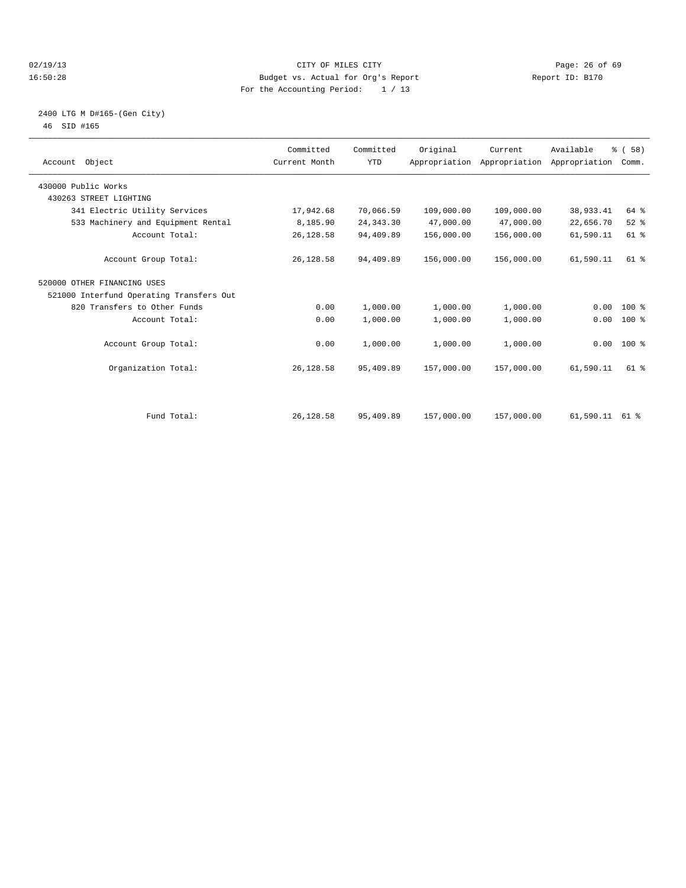## 02/19/13 Page: 26 of 69 16:50:28 Budget vs. Actual for Org's Report Report ID: B170 For the Accounting Period: 1 / 13

## 2400 LTG M D#165-(Gen City) 46 SID #165

| Account Object                           | Committed<br>Current Month | Committed<br><b>YTD</b> | Original   | Current<br>Appropriation Appropriation Appropriation | Available | % (58)<br>Comm. |  |
|------------------------------------------|----------------------------|-------------------------|------------|------------------------------------------------------|-----------|-----------------|--|
| 430000 Public Works                      |                            |                         |            |                                                      |           |                 |  |
| 430263 STREET LIGHTING                   |                            |                         |            |                                                      |           |                 |  |
| 341 Electric Utility Services            | 17,942.68                  | 70,066.59               | 109,000.00 | 109,000.00                                           | 38,933.41 | 64 %            |  |
| 533 Machinery and Equipment Rental       | 8,185.90                   | 24, 343.30              | 47,000.00  | 47,000.00                                            | 22,656.70 | $52$ $%$        |  |
| Account Total:                           | 26, 128.58                 | 94,409.89               | 156,000.00 | 156,000.00                                           | 61,590.11 | 61 %            |  |
| Account Group Total:                     | 26, 128.58                 | 94,409.89               | 156,000.00 | 156,000.00                                           | 61,590.11 | $61$ $%$        |  |
| 520000 OTHER FINANCING USES              |                            |                         |            |                                                      |           |                 |  |
| 521000 Interfund Operating Transfers Out |                            |                         |            |                                                      |           |                 |  |
| 820 Transfers to Other Funds             | 0.00                       | 1,000.00                | 1,000.00   | 1,000.00                                             | 0.00      | $100*$          |  |
| Account Total:                           | 0.00                       | 1,000.00                | 1,000.00   | 1,000.00                                             | 0.00      | $100*$          |  |
| Account Group Total:                     | 0.00                       | 1,000.00                | 1,000.00   | 1,000.00                                             |           | $0.00$ 100 %    |  |
| Organization Total:                      | 26,128.58                  | 95,409.89               | 157,000.00 | 157,000.00                                           | 61,590.11 | $61$ $%$        |  |
|                                          |                            |                         |            |                                                      |           |                 |  |
| Fund Total:                              | 26,128.58                  | 95,409.89               | 157,000.00 | 157,000.00                                           | 61,590.11 | 61 %            |  |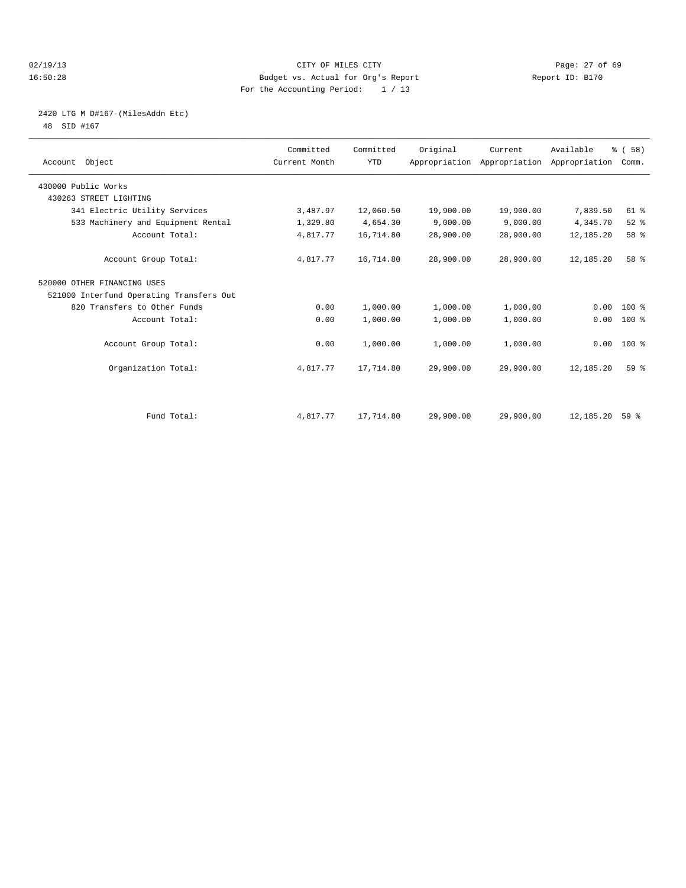## 02/19/13 Page: 27 of 69 16:50:28 Budget vs. Actual for Org's Report Report ID: B170 For the Accounting Period: 1 / 13

## 2420 LTG M D#167-(MilesAddn Etc)

48 SID #167

| Account Object                           | Committed<br>Current Month | Committed<br><b>YTD</b> | Original  | Current<br>Appropriation Appropriation Appropriation | Available | % (58)<br>Comm. |  |
|------------------------------------------|----------------------------|-------------------------|-----------|------------------------------------------------------|-----------|-----------------|--|
| 430000 Public Works                      |                            |                         |           |                                                      |           |                 |  |
| 430263 STREET LIGHTING                   |                            |                         |           |                                                      |           |                 |  |
| 341 Electric Utility Services            | 3,487.97                   | 12,060.50               | 19,900.00 | 19,900.00                                            | 7,839.50  | $61$ $%$        |  |
| 533 Machinery and Equipment Rental       | 1,329.80                   | 4,654.30                | 9,000.00  | 9,000.00                                             | 4,345.70  | $52$ $%$        |  |
| Account Total:                           | 4,817.77                   | 16,714.80               | 28,900.00 | 28,900.00                                            | 12,185.20 | 58 %            |  |
| Account Group Total:                     | 4,817.77                   | 16,714.80               | 28,900.00 | 28,900.00                                            | 12,185.20 | 58 <sup>8</sup> |  |
| 520000 OTHER FINANCING USES              |                            |                         |           |                                                      |           |                 |  |
| 521000 Interfund Operating Transfers Out |                            |                         |           |                                                      |           |                 |  |
| 820 Transfers to Other Funds             | 0.00                       | 1,000.00                | 1,000.00  | 1,000.00                                             | 0.00      | $100*$          |  |
| Account Total:                           | 0.00                       | 1,000.00                | 1,000.00  | 1,000.00                                             | 0.00      | 100 %           |  |
| Account Group Total:                     | 0.00                       | 1,000.00                | 1,000.00  | 1,000.00                                             |           | $0.00$ 100 %    |  |
| Organization Total:                      | 4,817.77                   | 17,714.80               | 29,900.00 | 29,900.00                                            | 12,185.20 | 59 <sup>8</sup> |  |
|                                          |                            |                         |           |                                                      |           |                 |  |
| Fund Total:                              | 4,817.77                   | 17,714.80               | 29,900.00 | 29,900.00                                            | 12,185.20 | 59%             |  |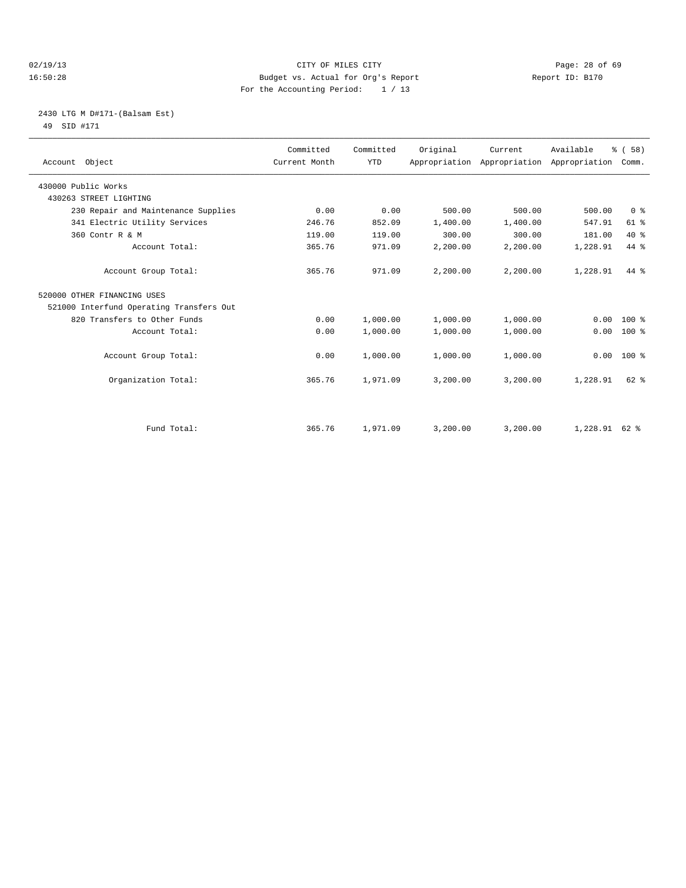## 02/19/13 Page: 28 of 69 16:50:28 Budget vs. Actual for Org's Report Report ID: B170 For the Accounting Period: 1 / 13

## 2430 LTG M D#171-(Balsam Est) 49 SID #171

| Account Object                           | Committed<br>Current Month | Committed<br><b>YTD</b> | Original | Current  | Available<br>Appropriation Appropriation Appropriation | % (58)<br>Comm. |  |
|------------------------------------------|----------------------------|-------------------------|----------|----------|--------------------------------------------------------|-----------------|--|
| 430000 Public Works                      |                            |                         |          |          |                                                        |                 |  |
| 430263 STREET LIGHTING                   |                            |                         |          |          |                                                        |                 |  |
| 230 Repair and Maintenance Supplies      | 0.00                       | 0.00                    | 500.00   | 500.00   | 500.00                                                 | 0 <sup>8</sup>  |  |
| 341 Electric Utility Services            | 246.76                     | 852.09                  | 1,400.00 | 1,400.00 | 547.91                                                 | $61$ $%$        |  |
| 360 Contr R & M                          | 119.00                     | 119.00                  | 300.00   | 300.00   | 181.00                                                 | $40*$           |  |
| Account Total:                           | 365.76                     | 971.09                  | 2,200.00 | 2,200.00 | 1,228.91                                               | 44 %            |  |
| Account Group Total:                     | 365.76                     | 971.09                  | 2,200.00 | 2,200.00 | 1,228.91                                               | 44 %            |  |
| 520000 OTHER FINANCING USES              |                            |                         |          |          |                                                        |                 |  |
| 521000 Interfund Operating Transfers Out |                            |                         |          |          |                                                        |                 |  |
| 820 Transfers to Other Funds             | 0.00                       | 1,000.00                | 1,000.00 | 1,000.00 | 0.00                                                   | $100*$          |  |
| Account Total:                           | 0.00                       | 1,000.00                | 1,000.00 | 1,000.00 | 0.00                                                   | 100 %           |  |
| Account Group Total:                     | 0.00                       | 1,000.00                | 1,000.00 | 1,000.00 | 0.00                                                   | 100 %           |  |
| Organization Total:                      | 365.76                     | 1,971.09                | 3,200.00 | 3,200.00 | 1,228.91                                               | $62$ $%$        |  |
|                                          |                            |                         |          |          |                                                        |                 |  |
| Fund Total:                              | 365.76                     | 1,971.09                | 3,200.00 | 3,200.00 | $1,228.91$ 62 %                                        |                 |  |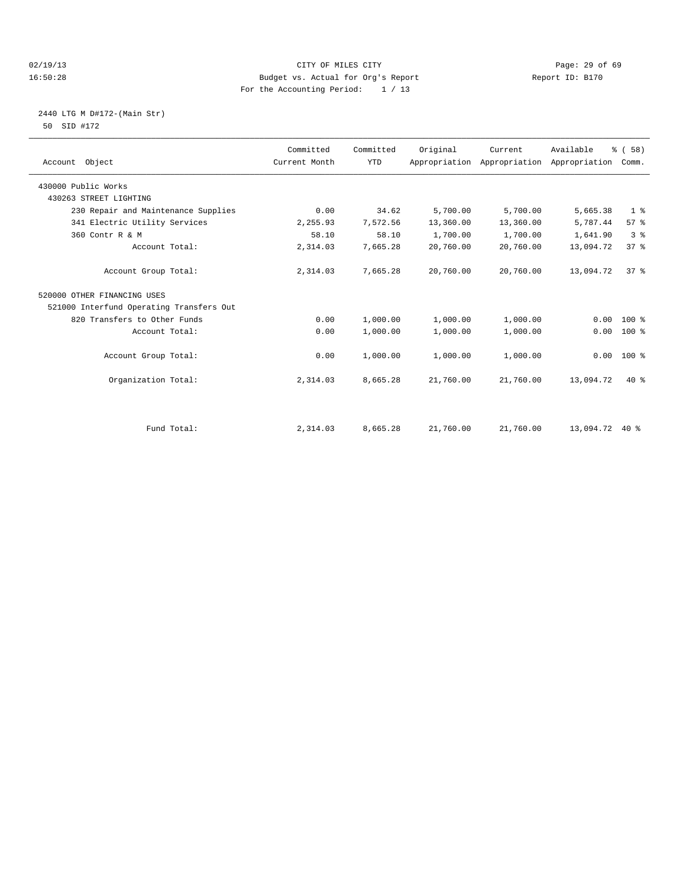## 02/19/13 Page: 29 of 69 16:50:28 Budget vs. Actual for Org's Report Report ID: B170 For the Accounting Period: 1 / 13

## 2440 LTG M D#172-(Main Str) 50 SID #172

| Account Object                           | Committed<br>Current Month | Committed<br><b>YTD</b> | Original  | Current<br>Appropriation Appropriation | Available<br>Appropriation | % (58)<br>Comm. |
|------------------------------------------|----------------------------|-------------------------|-----------|----------------------------------------|----------------------------|-----------------|
| 430000 Public Works                      |                            |                         |           |                                        |                            |                 |
| 430263 STREET LIGHTING                   |                            |                         |           |                                        |                            |                 |
| 230 Repair and Maintenance Supplies      | 0.00                       | 34.62                   | 5,700.00  | 5,700.00                               | 5,665.38                   | 1 <sup>8</sup>  |
| 341 Electric Utility Services            | 2,255.93                   | 7,572.56                | 13,360.00 | 13,360.00                              | 5,787.44                   | 57%             |
| 360 Contr R & M                          | 58.10                      | 58.10                   | 1,700.00  | 1,700.00                               | 1,641.90                   | 3 <sup>8</sup>  |
| Account Total:                           | 2,314.03                   | 7,665.28                | 20,760.00 | 20,760.00                              | 13,094.72                  | 37 <sup>8</sup> |
| Account Group Total:                     | 2,314.03                   | 7,665.28                | 20,760.00 | 20,760.00                              | 13,094.72                  | 37 <sup>8</sup> |
| 520000 OTHER FINANCING USES              |                            |                         |           |                                        |                            |                 |
| 521000 Interfund Operating Transfers Out |                            |                         |           |                                        |                            |                 |
| 820 Transfers to Other Funds             | 0.00                       | 1,000.00                | 1,000.00  | 1,000.00                               | 0.00                       | $100*$          |
| Account Total:                           | 0.00                       | 1,000.00                | 1,000.00  | 1,000.00                               | 0.00                       | $100*$          |
| Account Group Total:                     | 0.00                       | 1,000.00                | 1,000.00  | 1,000.00                               | 0.00                       | 100 %           |
| Organization Total:                      | 2,314.03                   | 8,665.28                | 21,760.00 | 21,760.00                              | 13,094.72                  | $40*$           |
|                                          |                            |                         |           |                                        |                            |                 |
| Fund Total:                              | 2,314.03                   | 8,665.28                | 21,760.00 | 21,760.00                              | 13,094.72                  | $40*$           |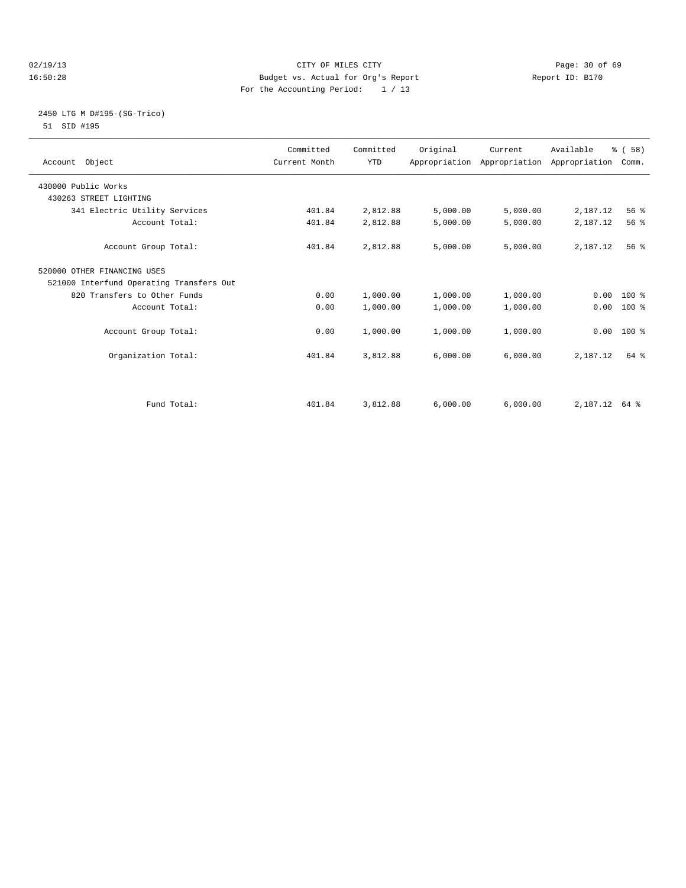## 02/19/13 Page: 30 of 69 16:50:28 Budget vs. Actual for Org's Report Report ID: B170 For the Accounting Period: 1 / 13

## 2450 LTG M D#195-(SG-Trico) 51 SID #195

| Account Object                           | Committed<br>Current Month | Committed<br><b>YTD</b> | Original | Current  | Available<br>Appropriation Appropriation Appropriation | % (58)<br>Comm. |  |
|------------------------------------------|----------------------------|-------------------------|----------|----------|--------------------------------------------------------|-----------------|--|
| 430000 Public Works                      |                            |                         |          |          |                                                        |                 |  |
| 430263 STREET LIGHTING                   |                            |                         |          |          |                                                        |                 |  |
| 341 Electric Utility Services            | 401.84                     | 2,812.88                | 5,000.00 | 5,000.00 | 2,187.12                                               | 56 %            |  |
| Account Total:                           | 401.84                     | 2,812.88                | 5,000.00 | 5,000.00 | 2,187.12                                               | 56 %            |  |
| Account Group Total:                     | 401.84                     | 2,812.88                | 5,000.00 | 5,000.00 | 2,187.12                                               | 56%             |  |
| 520000 OTHER FINANCING USES              |                            |                         |          |          |                                                        |                 |  |
| 521000 Interfund Operating Transfers Out |                            |                         |          |          |                                                        |                 |  |
| 820 Transfers to Other Funds             | 0.00                       | 1,000.00                | 1,000.00 | 1,000.00 |                                                        | $0.00 100$ %    |  |
| Account Total:                           | 0.00                       | 1,000.00                | 1,000.00 | 1,000.00 | 0.00                                                   | 100 %           |  |
| Account Group Total:                     | 0.00                       | 1,000.00                | 1,000.00 | 1,000.00 |                                                        | $0.00$ 100 %    |  |
| Organization Total:                      | 401.84                     | 3,812.88                | 6,000.00 | 6,000.00 | 2,187.12                                               | 64 %            |  |
|                                          |                            |                         |          |          |                                                        |                 |  |
| Fund Total:                              | 401.84                     | 3,812.88                | 6,000.00 | 6,000.00 | 2, 187. 12 64 %                                        |                 |  |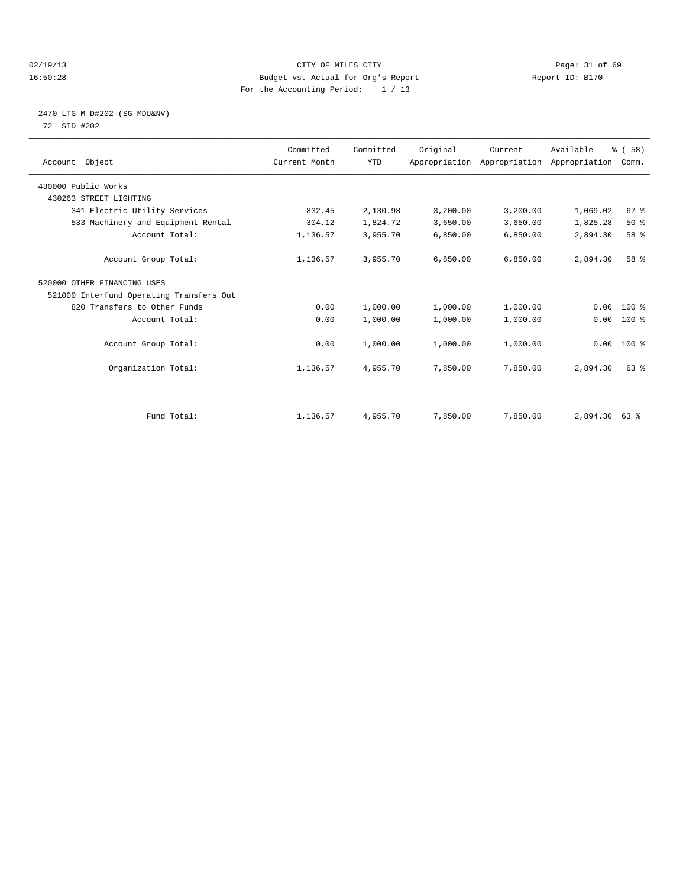## 02/19/13 Page: 31 of 69 16:50:28 Budget vs. Actual for Org's Report Report ID: B170 For the Accounting Period: 1 / 13

## 2470 LTG M D#202-(SG-MDU&NV) 72 SID #202

| Account Object                           | Committed<br>Current Month | Committed<br><b>YTD</b> | Original | Current<br>Appropriation Appropriation Appropriation | Available | % (58)<br>Comm. |  |
|------------------------------------------|----------------------------|-------------------------|----------|------------------------------------------------------|-----------|-----------------|--|
| 430000 Public Works                      |                            |                         |          |                                                      |           |                 |  |
| 430263 STREET LIGHTING                   |                            |                         |          |                                                      |           |                 |  |
| 341 Electric Utility Services            | 832.45                     | 2,130.98                | 3,200.00 | 3,200.00                                             | 1,069.02  | 67 %            |  |
| 533 Machinery and Equipment Rental       | 304.12                     | 1,824.72                | 3,650.00 | 3,650.00                                             | 1,825.28  | 50%             |  |
| Account Total:                           | 1,136.57                   | 3,955.70                | 6,850.00 | 6,850.00                                             | 2,894.30  | 58 %            |  |
| Account Group Total:                     | 1,136.57                   | 3,955.70                | 6.850.00 | 6,850.00                                             | 2,894.30  | 58 %            |  |
| 520000 OTHER FINANCING USES              |                            |                         |          |                                                      |           |                 |  |
| 521000 Interfund Operating Transfers Out |                            |                         |          |                                                      |           |                 |  |
| 820 Transfers to Other Funds             | 0.00                       | 1,000.00                | 1,000.00 | 1,000.00                                             | 0.00      | 100 %           |  |
| Account Total:                           | 0.00                       | 1,000.00                | 1,000.00 | 1,000.00                                             | 0.00      | 100 %           |  |
| Account Group Total:                     | 0.00                       | 1,000.00                | 1,000.00 | 1,000.00                                             | 0.00      | 100 %           |  |
| Organization Total:                      | 1,136.57                   | 4,955.70                | 7,850.00 | 7,850.00                                             | 2,894.30  | 63%             |  |
|                                          |                            |                         |          |                                                      |           |                 |  |
| Fund Total:                              | 1,136.57                   | 4,955.70                | 7,850.00 | 7,850.00                                             | 2,894.30  | 63 %            |  |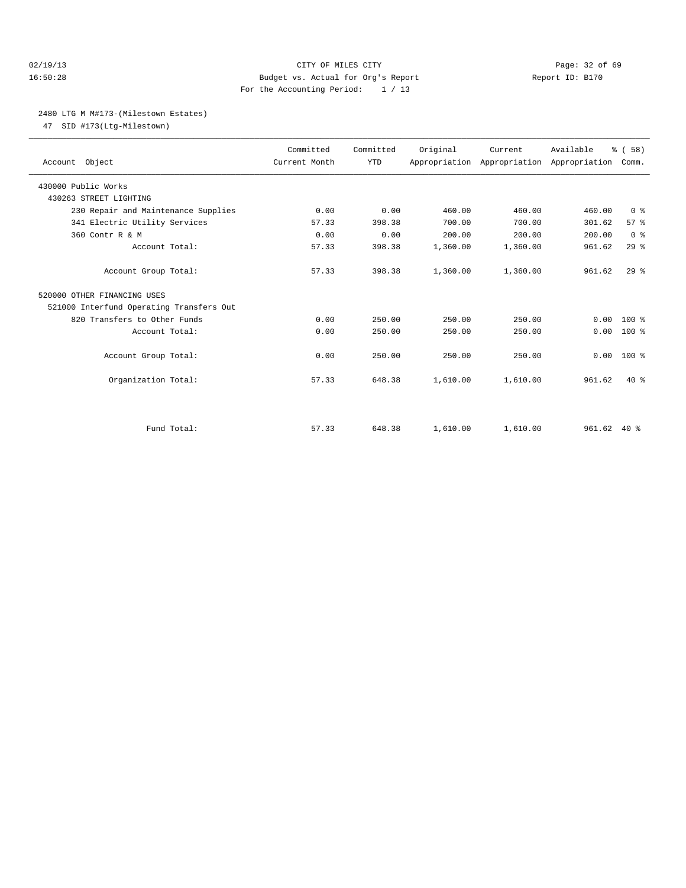## 02/19/13 Page: 32 of 69 16:50:28 Budget vs. Actual for Org's Report Report ID: B170 For the Accounting Period: 1 / 13

### 2480 LTG M M#173-(Milestown Estates)

47 SID #173(Ltg-Milestown)

| Account Object                           | Committed<br>Current Month | Committed<br><b>YTD</b> | Original | Current<br>Appropriation Appropriation Appropriation | Available | % (58)<br>Comm. |  |
|------------------------------------------|----------------------------|-------------------------|----------|------------------------------------------------------|-----------|-----------------|--|
| 430000 Public Works                      |                            |                         |          |                                                      |           |                 |  |
| 430263 STREET LIGHTING                   |                            |                         |          |                                                      |           |                 |  |
| 230 Repair and Maintenance Supplies      | 0.00                       | 0.00                    | 460.00   | 460.00                                               | 460.00    | 0 <sup>8</sup>  |  |
| 341 Electric Utility Services            | 57.33                      | 398.38                  | 700.00   | 700.00                                               | 301.62    | 57 <sup>8</sup> |  |
| 360 Contr R & M                          | 0.00                       | 0.00                    | 200.00   | 200.00                                               | 200.00    | 0 <sup>8</sup>  |  |
| Account Total:                           | 57.33                      | 398.38                  | 1,360.00 | 1,360.00                                             | 961.62    | 29%             |  |
| Account Group Total:                     | 57.33                      | 398.38                  | 1,360.00 | 1,360.00                                             | 961.62    | 29 <sup>8</sup> |  |
| 520000 OTHER FINANCING USES              |                            |                         |          |                                                      |           |                 |  |
| 521000 Interfund Operating Transfers Out |                            |                         |          |                                                      |           |                 |  |
| 820 Transfers to Other Funds             | 0.00                       | 250.00                  | 250.00   | 250.00                                               | 0.00      | $100*$          |  |
| Account Total:                           | 0.00                       | 250.00                  | 250.00   | 250.00                                               | 0.00      | $100*$          |  |
| Account Group Total:                     | 0.00                       | 250.00                  | 250.00   | 250.00                                               | 0.00      | $100*$          |  |
| Organization Total:                      | 57.33                      | 648.38                  | 1,610.00 | 1,610.00                                             | 961.62    | $40*$           |  |
|                                          |                            |                         |          |                                                      |           |                 |  |
| Fund Total:                              | 57.33                      | 648.38                  | 1,610.00 | 1,610.00                                             | 961.62    | $40*$           |  |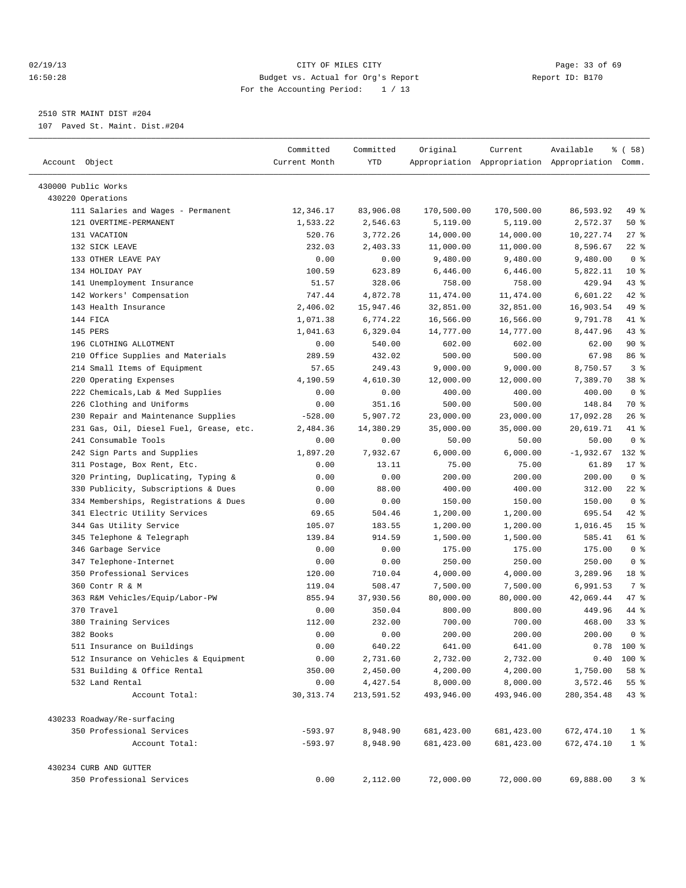## 02/19/13 Page: 33 of 69 16:50:28 Budget vs. Actual for Org's Report Report ID: B170 For the Accounting Period: 1 / 13

————————————————————————————————————————————————————————————————————————————————————————————————————————————————————————————————————

## 2510 STR MAINT DIST #204

107 Paved St. Maint. Dist.#204

| Account Object                          | Committed<br>Current Month | Committed<br>YTD | Original    | Current     | Available<br>Appropriation Appropriation Appropriation Comm. | % ( 58)            |
|-----------------------------------------|----------------------------|------------------|-------------|-------------|--------------------------------------------------------------|--------------------|
| 430000 Public Works                     |                            |                  |             |             |                                                              |                    |
| 430220 Operations                       |                            |                  |             |             |                                                              |                    |
| 111 Salaries and Wages - Permanent      | 12,346.17                  | 83,906.08        | 170,500.00  | 170,500.00  | 86,593.92                                                    | 49 %               |
| 121 OVERTIME-PERMANENT                  | 1,533.22                   | 2,546.63         | 5,119.00    | 5,119.00    | 2,572.37                                                     | 50%                |
| 131 VACATION                            | 520.76                     | 3,772.26         | 14,000.00   | 14,000.00   | 10,227.74                                                    | $27$ %             |
| 132 SICK LEAVE                          | 232.03                     | 2,403.33         | 11,000.00   | 11,000.00   | 8,596.67                                                     | $22$ %             |
| 133 OTHER LEAVE PAY                     | 0.00                       | 0.00             | 9,480.00    | 9,480.00    | 9,480.00                                                     | 0 <sup>8</sup>     |
| 134 HOLIDAY PAY                         | 100.59                     | 623.89           | 6,446.00    | 6,446.00    | 5,822.11                                                     | $10*$              |
| 141 Unemployment Insurance              | 51.57                      | 328.06           | 758.00      | 758.00      | 429.94                                                       | 43 %               |
| 142 Workers' Compensation               | 747.44                     | 4,872.78         | 11,474.00   | 11,474.00   | 6,601.22                                                     | 42 %               |
| 143 Health Insurance                    | 2,406.02                   | 15,947.46        | 32,851.00   | 32,851.00   | 16,903.54                                                    | 49 %               |
| 144 FICA                                | 1,071.38                   | 6,774.22         | 16,566.00   | 16,566.00   | 9,791.78                                                     | 41 %               |
| 145 PERS                                | 1,041.63                   | 6,329.04         | 14,777.00   | 14,777.00   | 8,447.96                                                     | 43 %               |
| 196 CLOTHING ALLOTMENT                  | 0.00                       | 540.00           | 602.00      | 602.00      | 62.00                                                        | 90%                |
| 210 Office Supplies and Materials       | 289.59                     | 432.02           | 500.00      | 500.00      | 67.98                                                        | 86 %               |
| 214 Small Items of Equipment            | 57.65                      | 249.43           | 9,000.00    | 9,000.00    | 8,750.57                                                     | 3 <sup>8</sup>     |
| 220 Operating Expenses                  | 4,190.59                   | 4,610.30         | 12,000.00   | 12,000.00   | 7,389.70                                                     | 38 <sup>8</sup>    |
| 222 Chemicals, Lab & Med Supplies       | 0.00                       | 0.00             | 400.00      | 400.00      | 400.00                                                       | 0 <sup>8</sup>     |
| 226 Clothing and Uniforms               | 0.00                       | 351.16           | 500.00      | 500.00      | 148.84                                                       | 70 %               |
| 230 Repair and Maintenance Supplies     | $-528.00$                  | 5,907.72         | 23,000.00   | 23,000.00   | 17,092.28                                                    | $26$ %             |
| 231 Gas, Oil, Diesel Fuel, Grease, etc. | 2,484.36                   | 14,380.29        | 35,000.00   | 35,000.00   | 20,619.71                                                    | 41 %               |
| 241 Consumable Tools                    | 0.00                       | 0.00             | 50.00       | 50.00       | 50.00                                                        | 0 <sup>8</sup>     |
| 242 Sign Parts and Supplies             | 1,897.20                   | 7,932.67         | 6,000.00    | 6,000.00    | $-1,932.67$                                                  | 132 %              |
| 311 Postage, Box Rent, Etc.             | 0.00                       | 13.11            | 75.00       | 75.00       | 61.89                                                        | 17 <sub>8</sub>    |
| 320 Printing, Duplicating, Typing &     | 0.00                       | 0.00             | 200.00      | 200.00      | 200.00                                                       | 0 <sup>8</sup>     |
| 330 Publicity, Subscriptions & Dues     | 0.00                       | 88.00            | 400.00      | 400.00      | 312.00                                                       | $22$ %             |
| 334 Memberships, Registrations & Dues   | 0.00                       | 0.00             | 150.00      | 150.00      | 150.00                                                       | 0 <sup>8</sup>     |
| 341 Electric Utility Services           | 69.65                      | 504.46           | 1,200.00    | 1,200.00    | 695.54                                                       | 42 %               |
| 344 Gas Utility Service                 | 105.07                     | 183.55           | 1,200.00    | 1,200.00    | 1,016.45                                                     | 15 <sup>8</sup>    |
| 345 Telephone & Telegraph               | 139.84                     | 914.59           | 1,500.00    | 1,500.00    | 585.41                                                       | 61 %               |
| 346 Garbage Service                     | 0.00                       | 0.00             | 175.00      | 175.00      | 175.00                                                       | 0 <sup>8</sup>     |
| 347 Telephone-Internet                  | 0.00                       | 0.00             | 250.00      | 250.00      | 250.00                                                       | 0 <sup>8</sup>     |
| 350 Professional Services               | 120.00                     | 710.04           | 4,000.00    | 4,000.00    | 3,289.96                                                     | 18 %               |
| 360 Contr R & M                         | 119.04                     | 508.47           | 7,500.00    | 7,500.00    | 6,991.53                                                     | 7 %                |
| 363 R&M Vehicles/Equip/Labor-PW         | 855.94                     | 37,930.56        | 80,000.00   | 80,000.00   | 42,069.44                                                    | 47 %               |
| 370 Travel                              | 0.00                       | 350.04           | 800.00      | 800.00      | 449.96                                                       | 44 %               |
| 380 Training Services                   | 112.00                     | 232.00           | 700.00      | 700.00      | 468.00                                                       | 338                |
| 382 Books                               | 0.00                       | 0.00             | 200.00      | 200.00      | 200.00                                                       | 0 <sup>8</sup>     |
| 511 Insurance on Buildings              | 0.00                       | 640.22           | 641.00      | 641.00      | 0.78                                                         | 100 %              |
| 512 Insurance on Vehicles & Equipment   | 0.00                       | 2,731.60         | 2,732.00    | 2,732.00    |                                                              | $0.40$ 100 %       |
| 531 Building & Office Rental            | 350.00                     | 2,450.00         | 4,200.00    | 4,200.00    | 1,750.00                                                     | 58 %               |
| 532 Land Rental                         | 0.00                       | 4,427.54         | 8,000.00    | 8,000.00    | 3,572.46                                                     | $55$ $\frac{6}{3}$ |
| Account Total:                          | 30, 313.74                 | 213,591.52       | 493,946.00  | 493,946.00  | 280, 354.48                                                  | 43%                |
| 430233 Roadway/Re-surfacing             |                            |                  |             |             |                                                              |                    |
| 350 Professional Services               | $-593.97$                  | 8,948.90         | 681, 423.00 | 681, 423.00 | 672, 474.10                                                  | 1 <sup>°</sup>     |
| Account Total:                          | $-593.97$                  | 8,948.90         | 681, 423.00 | 681,423.00  | 672, 474.10                                                  | 1 <sup>8</sup>     |
| 430234 CURB AND GUTTER                  |                            |                  |             |             |                                                              |                    |
| 350 Professional Services               | 0.00                       | 2,112.00         | 72,000.00   | 72,000.00   | 69,888.00                                                    | 3%                 |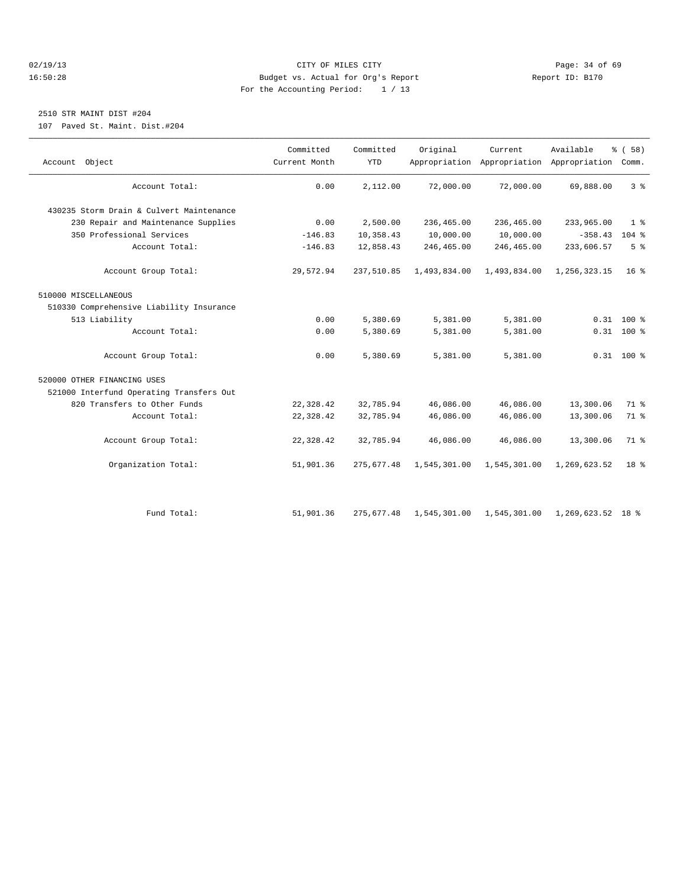## 02/19/13 Page: 34 of 69 16:50:28 Budget vs. Actual for Org's Report Report ID: B170 For the Accounting Period: 1 / 13

## 2510 STR MAINT DIST #204

107 Paved St. Maint. Dist.#204

| Account Object                           | Committed<br>Current Month | Committed<br><b>YTD</b> | Original     | Current                   | Available<br>Appropriation Appropriation Appropriation Comm. | % (58)          |
|------------------------------------------|----------------------------|-------------------------|--------------|---------------------------|--------------------------------------------------------------|-----------------|
| Account Total:                           | 0.00                       | 2,112.00                | 72,000.00    | 72,000.00                 | 69,888.00                                                    | 3 <sup>8</sup>  |
| 430235 Storm Drain & Culvert Maintenance |                            |                         |              |                           |                                                              |                 |
| 230 Repair and Maintenance Supplies      | 0.00                       | 2,500.00                | 236,465.00   | 236,465.00                | 233,965.00                                                   | 1 <sup>8</sup>  |
| 350 Professional Services                | $-146.83$                  | 10,358.43               | 10,000.00    | 10,000.00                 | $-358.43$                                                    | $104$ %         |
| Account Total:                           | $-146.83$                  | 12,858.43               | 246,465.00   | 246,465.00                | 233,606.57                                                   | 5 <sup>°</sup>  |
| Account Group Total:                     | 29,572.94                  | 237,510.85              | 1,493,834.00 | 1,493,834.00              | 1,256,323.15                                                 | 16 <sup>8</sup> |
| 510000 MISCELLANEOUS                     |                            |                         |              |                           |                                                              |                 |
| 510330 Comprehensive Liability Insurance |                            |                         |              |                           |                                                              |                 |
| 513 Liability                            | 0.00                       | 5,380.69                | 5,381.00     | 5,381.00                  |                                                              | $0.31$ 100 %    |
| Account Total:                           | 0.00                       | 5,380.69                | 5,381.00     | 5,381.00                  |                                                              | $0.31$ 100 %    |
| Account Group Total:                     | 0.00                       | 5,380.69                | 5,381.00     | 5,381.00                  |                                                              | $0.31$ 100 %    |
| 520000 OTHER FINANCING USES              |                            |                         |              |                           |                                                              |                 |
| 521000 Interfund Operating Transfers Out |                            |                         |              |                           |                                                              |                 |
| 820 Transfers to Other Funds             | 22,328.42                  | 32,785.94               | 46,086.00    | 46,086.00                 | 13,300.06                                                    | 71 %            |
| Account Total:                           | 22,328.42                  | 32,785.94               | 46,086.00    | 46,086.00                 | 13,300.06                                                    | 71 %            |
| Account Group Total:                     | 22,328.42                  | 32,785.94               | 46,086.00    | 46,086.00                 | 13,300.06                                                    | 71.8            |
| Organization Total:                      | 51,901.36                  | 275,677.48              | 1,545,301.00 | 1,545,301.00              | 1,269,623.52                                                 | 18 <sup>8</sup> |
|                                          |                            |                         |              |                           |                                                              |                 |
| Fund Total:                              | 51,901.36                  | 275,677.48              |              | 1,545,301.00 1,545,301.00 | 1,269,623.52 18 %                                            |                 |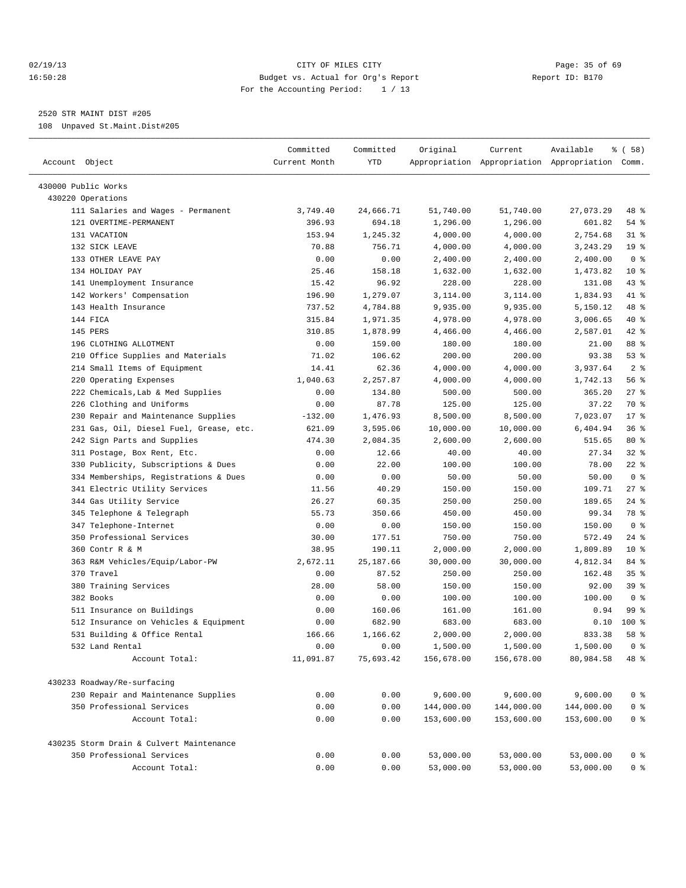## 02/19/13 Page: 35 of 69 16:50:28 Budget vs. Actual for Org's Report Report ID: B170 For the Accounting Period: 1 / 13

————————————————————————————————————————————————————————————————————————————————————————————————————————————————————————————————————

2520 STR MAINT DIST #205

108 Unpaved St.Maint.Dist#205

|                                                                  | Committed     | Committed    | Original                 | Current                  | Available                                       | १ ( 58)         |
|------------------------------------------------------------------|---------------|--------------|--------------------------|--------------------------|-------------------------------------------------|-----------------|
| Account Object                                                   | Current Month | YTD          |                          |                          | Appropriation Appropriation Appropriation Comm. |                 |
| 430000 Public Works                                              |               |              |                          |                          |                                                 |                 |
| 430220 Operations                                                |               |              |                          |                          |                                                 |                 |
| 111 Salaries and Wages - Permanent                               | 3,749.40      | 24,666.71    | 51,740.00                | 51,740.00                | 27,073.29                                       | 48 %            |
| 121 OVERTIME-PERMANENT                                           | 396.93        | 694.18       | 1,296.00                 | 1,296.00                 | 601.82                                          | 54 %            |
| 131 VACATION                                                     | 153.94        | 1,245.32     | 4,000.00                 | 4,000.00                 | 2,754.68                                        | $31$ $8$        |
| 132 SICK LEAVE                                                   | 70.88         | 756.71       | 4,000.00                 | 4,000.00                 | 3,243.29                                        | 19 <sup>°</sup> |
| 133 OTHER LEAVE PAY                                              | 0.00          | 0.00         | 2,400.00                 | 2,400.00                 | 2,400.00                                        | 0 <sup>8</sup>  |
| 134 HOLIDAY PAY                                                  | 25.46         | 158.18       | 1,632.00                 | 1,632.00                 | 1,473.82                                        | $10*$           |
| 141 Unemployment Insurance                                       | 15.42         | 96.92        | 228.00                   | 228.00                   | 131.08                                          | $43$ %          |
| 142 Workers' Compensation                                        | 196.90        | 1,279.07     | 3,114.00                 | 3,114.00                 | 1,834.93                                        | 41 %            |
| 143 Health Insurance                                             | 737.52        | 4,784.88     | 9,935.00                 | 9,935.00                 | 5,150.12                                        | 48 %            |
| 144 FICA                                                         | 315.84        | 1,971.35     | 4,978.00                 | 4,978.00                 | 3,006.65                                        | 40 %            |
| 145 PERS                                                         | 310.85        | 1,878.99     | 4,466.00                 | 4,466.00                 | 2,587.01                                        | $42$ %          |
| 196 CLOTHING ALLOTMENT                                           | 0.00          | 159.00       | 180.00                   | 180.00                   | 21.00                                           | 88 %            |
| 210 Office Supplies and Materials                                | 71.02         | 106.62       | 200.00                   | 200.00                   | 93.38                                           | 53%             |
| 214 Small Items of Equipment                                     | 14.41         | 62.36        | 4,000.00                 | 4,000.00                 | 3,937.64                                        | 2 <sub>8</sub>  |
| 220 Operating Expenses                                           | 1,040.63      | 2,257.87     | 4,000.00                 | 4,000.00                 | 1,742.13                                        | 56%             |
| 222 Chemicals, Lab & Med Supplies                                | 0.00          | 134.80       | 500.00                   | 500.00                   | 365.20                                          | $27$ %          |
| 226 Clothing and Uniforms                                        | 0.00          | 87.78        | 125.00                   | 125.00                   | 37.22                                           | 70 %            |
| 230 Repair and Maintenance Supplies                              | $-132.00$     | 1,476.93     | 8,500.00                 | 8,500.00                 | 7,023.07                                        | $17*$           |
| 231 Gas, Oil, Diesel Fuel, Grease, etc.                          | 621.09        | 3,595.06     | 10,000.00                | 10,000.00                | 6,404.94                                        | 36%             |
| 242 Sign Parts and Supplies                                      | 474.30        | 2,084.35     | 2,600.00                 | 2,600.00                 | 515.65                                          | $80*$           |
| 311 Postage, Box Rent, Etc.                                      | 0.00          | 12.66        | 40.00                    | 40.00                    | 27.34                                           | $32$ $%$        |
| 330 Publicity, Subscriptions & Dues                              | 0.00          | 22.00        | 100.00                   | 100.00                   | 78.00                                           | $22$ %          |
| 334 Memberships, Registrations & Dues                            | 0.00          | 0.00         | 50.00                    | 50.00                    | 50.00                                           | 0 <sup>8</sup>  |
| 341 Electric Utility Services                                    | 11.56         | 40.29        | 150.00                   | 150.00                   | 109.71                                          | $27$ %          |
| 344 Gas Utility Service                                          | 26.27         | 60.35        | 250.00                   | 250.00                   | 189.65                                          | $24$ %          |
| 345 Telephone & Telegraph                                        | 55.73         | 350.66       | 450.00                   | 450.00                   | 99.34                                           | 78 %            |
| 347 Telephone-Internet                                           | 0.00          | 0.00         | 150.00                   | 150.00                   | 150.00                                          | 0 <sup>8</sup>  |
| 350 Professional Services                                        | 30.00         | 177.51       | 750.00                   | 750.00                   | 572.49                                          | $24$ %          |
| 360 Contr R & M                                                  | 38.95         | 190.11       | 2,000.00                 | 2,000.00                 | 1,809.89                                        | $10*$           |
| 363 R&M Vehicles/Equip/Labor-PW                                  | 2,672.11      | 25,187.66    | 30,000.00                | 30,000.00                | 4,812.34                                        | 84 %            |
| 370 Travel                                                       | 0.00          | 87.52        | 250.00                   | 250.00                   | 162.48                                          | 35%             |
| 380 Training Services                                            | 28.00         | 58.00        | 150.00                   | 150.00                   | 92.00                                           | 39 %            |
| 382 Books                                                        | 0.00          | 0.00         | 100.00                   | 100.00                   | 100.00                                          | 0 <sup>8</sup>  |
| 511 Insurance on Buildings                                       | 0.00          | 160.06       | 161.00                   | 161.00                   | 0.94                                            | 99 %            |
| 512 Insurance on Vehicles & Equipment                            | 0.00          | 682.90       | 683.00                   | 683.00                   | 0.10                                            | $100$ %         |
| 531 Building & Office Rental                                     | 166.66        | 1,166.62     | 2,000.00                 | 2,000.00                 | 833.38                                          | 58 %            |
| 532 Land Rental                                                  | 0.00          | 0.00         | 1,500.00                 | 1,500.00                 | 1,500.00                                        | 0 <sup>8</sup>  |
| Account Total:                                                   | 11,091.87     | 75,693.42    | 156,678.00               | 156,678.00               | 80,984.58                                       | 48 %            |
|                                                                  |               |              |                          |                          |                                                 |                 |
| 430233 Roadway/Re-surfacing                                      |               |              |                          |                          |                                                 |                 |
| 230 Repair and Maintenance Supplies<br>350 Professional Services | 0.00          | 0.00         | 9,600.00                 | 9,600.00                 | 9,600.00                                        | $0$ %           |
| Account Total:                                                   | 0.00<br>0.00  | 0.00<br>0.00 | 144,000.00<br>153,600.00 | 144,000.00<br>153,600.00 | 144,000.00<br>153,600.00                        | $0$ %<br>$0$ %  |
|                                                                  |               |              |                          |                          |                                                 |                 |
| 430235 Storm Drain & Culvert Maintenance                         |               |              |                          |                          |                                                 |                 |
| 350 Professional Services                                        | 0.00          | 0.00         | 53,000.00                | 53,000.00                | 53,000.00                                       | 0 %             |
| Account Total:                                                   | 0.00          | 0.00         | 53,000.00                | 53,000.00                | 53,000.00                                       | $0$ %           |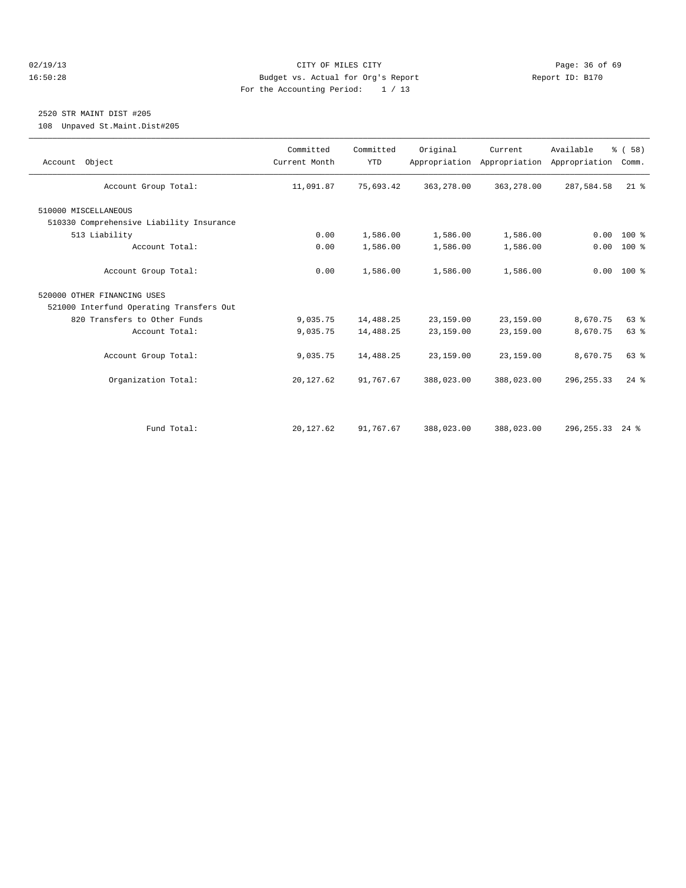## 02/19/13 Page: 36 of 69 16:50:28 Budget vs. Actual for Org's Report Report ID: B170 For the Accounting Period: 1 / 13

## 2520 STR MAINT DIST #205

108 Unpaved St.Maint.Dist#205

| Account Object                           | Committed<br>Current Month | Committed<br><b>YTD</b> | Original   | Current<br>Appropriation Appropriation | Available<br>Appropriation | % (58)<br>Comm. |
|------------------------------------------|----------------------------|-------------------------|------------|----------------------------------------|----------------------------|-----------------|
| Account Group Total:                     | 11,091.87                  | 75,693.42               | 363,278.00 | 363,278.00                             | 287,584.58                 | $21$ %          |
| 510000 MISCELLANEOUS                     |                            |                         |            |                                        |                            |                 |
| 510330 Comprehensive Liability Insurance |                            |                         |            |                                        |                            |                 |
| 513 Liability                            | 0.00                       | 1,586.00                | 1,586.00   | 1,586.00                               | 0.00                       | $100*$          |
| Account Total:                           | 0.00                       | 1,586.00                | 1,586.00   | 1,586.00                               | 0.00                       | 100 %           |
| Account Group Total:                     | 0.00                       | 1,586.00                | 1,586.00   | 1,586.00                               |                            | $0.00 100$ %    |
| 520000 OTHER FINANCING USES              |                            |                         |            |                                        |                            |                 |
| 521000 Interfund Operating Transfers Out |                            |                         |            |                                        |                            |                 |
| 820 Transfers to Other Funds             | 9,035.75                   | 14,488.25               | 23,159.00  | 23,159.00                              | 8,670.75                   | 63%             |
| Account Total:                           | 9,035.75                   | 14,488.25               | 23,159.00  | 23,159.00                              | 8,670.75                   | 63%             |
| Account Group Total:                     | 9,035.75                   | 14,488.25               | 23,159.00  | 23,159.00                              | 8,670.75                   | 63%             |
| Organization Total:                      | 20, 127.62                 | 91,767.67               | 388,023.00 | 388,023.00                             | 296, 255.33                | $24$ $%$        |
|                                          |                            |                         |            |                                        |                            |                 |
| Fund Total:                              | 20, 127.62                 | 91,767.67               | 388,023.00 | 388,023.00                             | 296, 255. 33 24 %          |                 |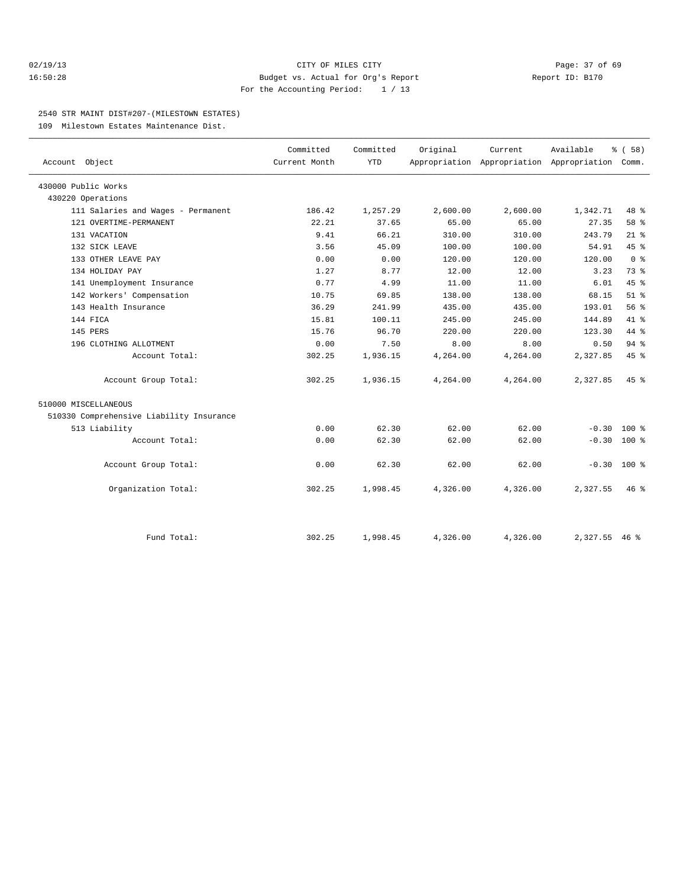## 02/19/13 Page: 37 of 69 16:50:28 Budget vs. Actual for Org's Report Report ID: B170 For the Accounting Period: 1 / 13

### 2540 STR MAINT DIST#207-(MILESTOWN ESTATES)

109 Milestown Estates Maintenance Dist.

|                                          | Committed     | Committed  | Original | Current  | Available                                 | % (58)         |  |
|------------------------------------------|---------------|------------|----------|----------|-------------------------------------------|----------------|--|
| Account Object                           | Current Month | <b>YTD</b> |          |          | Appropriation Appropriation Appropriation | Comm.          |  |
| 430000 Public Works                      |               |            |          |          |                                           |                |  |
| 430220 Operations                        |               |            |          |          |                                           |                |  |
| 111 Salaries and Wages - Permanent       | 186.42        | 1,257.29   | 2,600.00 | 2,600.00 | 1,342.71                                  | 48 %           |  |
| 121 OVERTIME-PERMANENT                   | 22.21         | 37.65      | 65.00    | 65.00    | 27.35                                     | 58 %           |  |
| 131 VACATION                             | 9.41          | 66.21      | 310.00   | 310.00   | 243.79                                    | $21$ %         |  |
| 132 SICK LEAVE                           | 3.56          | 45.09      | 100.00   | 100.00   | 54.91                                     | 45 %           |  |
| 133 OTHER LEAVE PAY                      | 0.00          | 0.00       | 120.00   | 120.00   | 120.00                                    | 0 <sup>8</sup> |  |
| 134 HOLIDAY PAY                          | 1.27          | 8.77       | 12.00    | 12.00    | 3.23                                      | 73.8           |  |
| 141 Unemployment Insurance               | 0.77          | 4.99       | 11.00    | 11.00    | 6.01                                      | 45%            |  |
| 142 Workers' Compensation                | 10.75         | 69.85      | 138.00   | 138.00   | 68.15                                     | $51$ $%$       |  |
| 143 Health Insurance                     | 36.29         | 241.99     | 435.00   | 435.00   | 193.01                                    | 56%            |  |
| 144 FICA                                 | 15.81         | 100.11     | 245.00   | 245.00   | 144.89                                    | 41.8           |  |
| 145 PERS                                 | 15.76         | 96.70      | 220.00   | 220.00   | 123.30                                    | 44 %           |  |
| 196 CLOTHING ALLOTMENT                   | 0.00          | 7.50       | 8.00     | 8.00     | 0.50                                      | 94%            |  |
| Account Total:                           | 302.25        | 1,936.15   | 4,264.00 | 4,264.00 | 2,327.85                                  | 45 %           |  |
| Account Group Total:                     | 302.25        | 1,936.15   | 4,264.00 | 4,264.00 | 2,327.85                                  | 45 %           |  |
| 510000 MISCELLANEOUS                     |               |            |          |          |                                           |                |  |
| 510330 Comprehensive Liability Insurance |               |            |          |          |                                           |                |  |
| 513 Liability                            | 0.00          | 62.30      | 62.00    | 62.00    | $-0.30$                                   | $100*$         |  |
| Account Total:                           | 0.00          | 62.30      | 62.00    | 62.00    | $-0.30$                                   | 100 %          |  |
| Account Group Total:                     | 0.00          | 62.30      | 62.00    | 62.00    | $-0.30$                                   | $100*$         |  |
| Organization Total:                      | 302.25        | 1,998.45   | 4,326.00 | 4,326.00 | 2,327.55                                  | $46*$          |  |
|                                          |               |            |          |          |                                           |                |  |
| Fund Total:                              | 302.25        | 1,998.45   | 4,326.00 | 4,326.00 | 2,327.55 46 %                             |                |  |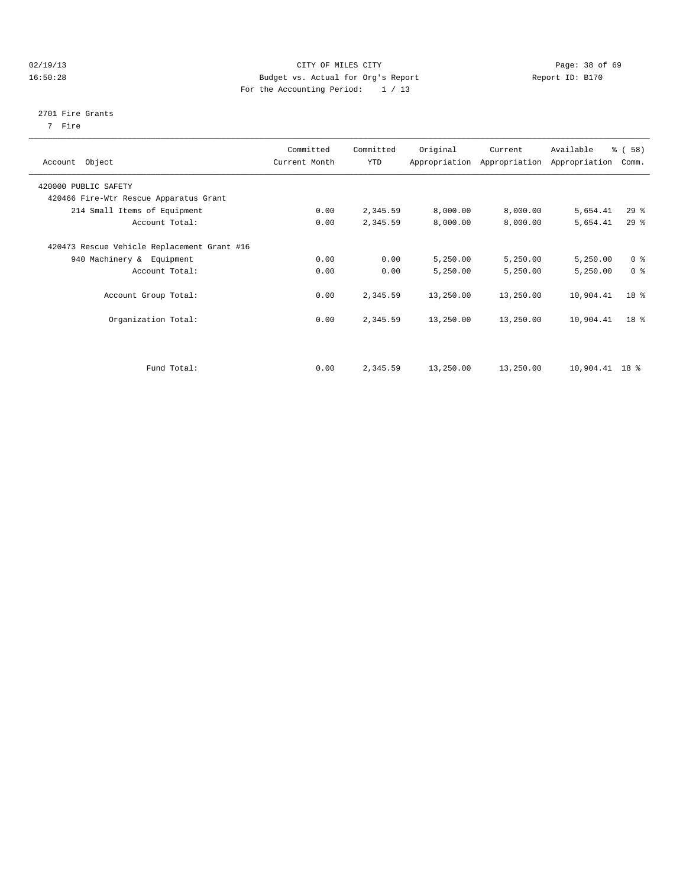## 02/19/13 Page: 38 of 69 16:50:28 Budget vs. Actual for Org's Report Report ID: B170 For the Accounting Period: 1 / 13

#### 2701 Fire Grants

7 Fire

| Account Object                              | Committed<br>Current Month | Committed<br><b>YTD</b> | Original  | Current<br>Appropriation Appropriation | Available<br>Appropriation | % (58)<br>Comm. |
|---------------------------------------------|----------------------------|-------------------------|-----------|----------------------------------------|----------------------------|-----------------|
| 420000 PUBLIC SAFETY                        |                            |                         |           |                                        |                            |                 |
| 420466 Fire-Wtr Rescue Apparatus Grant      |                            |                         |           |                                        |                            |                 |
| 214 Small Items of Equipment                | 0.00                       | 2,345.59                | 8,000.00  | 8,000.00                               | 5,654.41                   | $29$ $%$        |
| Account Total:                              | 0.00                       | 2,345.59                | 8,000.00  | 8,000.00                               | 5,654.41                   | $29*$           |
| 420473 Rescue Vehicle Replacement Grant #16 |                            |                         |           |                                        |                            |                 |
| 940 Machinery & Equipment                   | 0.00                       | 0.00                    | 5,250.00  | 5,250.00                               | 5,250.00                   | 0 <sup>8</sup>  |
| Account Total:                              | 0.00                       | 0.00                    | 5,250.00  | 5,250.00                               | 5,250.00                   | 0 <sup>8</sup>  |
| Account Group Total:                        | 0.00                       | 2,345.59                | 13,250.00 | 13,250.00                              | 10,904.41                  | 18 <sup>8</sup> |
| Organization Total:                         | 0.00                       | 2,345.59                | 13,250.00 | 13,250.00                              | 10,904.41                  | $18*$           |
|                                             |                            |                         |           |                                        |                            |                 |
| Fund Total:                                 | 0.00                       | 2,345.59                | 13,250.00 | 13,250.00                              | $10,904.41$ 18 %           |                 |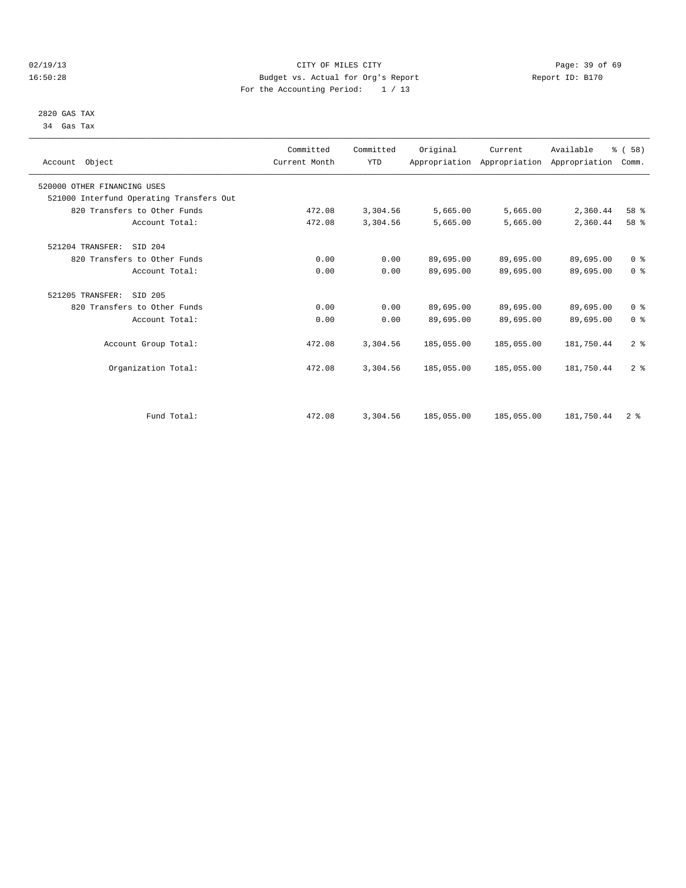## 02/19/13 Page: 39 of 69 16:50:28 Budget vs. Actual for Org's Report Report ID: B170 For the Accounting Period: 1 / 13

 2820 GAS TAX 34 Gas Tax

| Account Object                           | Committed<br>Current Month | Committed<br><b>YTD</b> | Original   | Current<br>Appropriation Appropriation Appropriation | Available  | % (58)<br>Comm. |  |
|------------------------------------------|----------------------------|-------------------------|------------|------------------------------------------------------|------------|-----------------|--|
| 520000 OTHER FINANCING USES              |                            |                         |            |                                                      |            |                 |  |
| 521000 Interfund Operating Transfers Out |                            |                         |            |                                                      |            |                 |  |
| 820 Transfers to Other Funds             | 472.08                     | 3,304.56                | 5,665.00   | 5,665.00                                             | 2,360.44   | 58 %            |  |
| Account Total:                           | 472.08                     | 3,304.56                | 5,665.00   | 5,665.00                                             | 2,360.44   | 58 %            |  |
| SID 204<br>521204 TRANSFER:              |                            |                         |            |                                                      |            |                 |  |
| 820 Transfers to Other Funds             | 0.00                       | 0.00                    | 89,695.00  | 89,695.00                                            | 89,695.00  | 0 <sup>8</sup>  |  |
| Account Total:                           | 0.00                       | 0.00                    | 89,695.00  | 89,695.00                                            | 89,695.00  | 0 <sup>8</sup>  |  |
| 521205 TRANSFER:<br>SID 205              |                            |                         |            |                                                      |            |                 |  |
| 820 Transfers to Other Funds             | 0.00                       | 0.00                    | 89,695.00  | 89,695.00                                            | 89,695.00  | 0 <sup>8</sup>  |  |
| Account Total:                           | 0.00                       | 0.00                    | 89,695.00  | 89,695.00                                            | 89,695.00  | 0 <sup>8</sup>  |  |
| Account Group Total:                     | 472.08                     | 3,304.56                | 185,055.00 | 185,055.00                                           | 181,750.44 | 2 <sup>8</sup>  |  |
| Organization Total:                      | 472.08                     | 3,304.56                | 185,055.00 | 185,055.00                                           | 181,750.44 | 2 <sup>8</sup>  |  |
|                                          |                            |                         |            |                                                      |            |                 |  |
| Fund Total:                              | 472.08                     | 3,304.56                | 185,055.00 | 185,055.00                                           | 181,750.44 | 2 <sup>8</sup>  |  |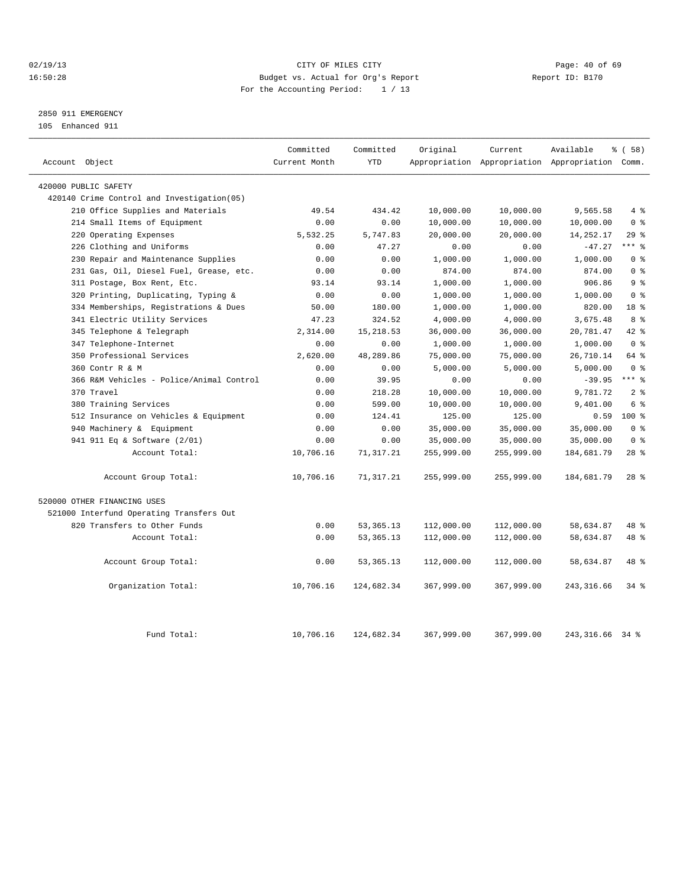## 02/19/13 Page: 40 of 69 16:50:28 Budget vs. Actual for Org's Report Report ID: B170 For the Accounting Period: 1 / 13

## 2850 911 EMERGENCY

105 Enhanced 911

| Account Object                             | Committed<br>Current Month | Committed<br><b>YTD</b> | Original   | Current<br>Appropriation Appropriation Appropriation Comm. | Available         | % (58)          |
|--------------------------------------------|----------------------------|-------------------------|------------|------------------------------------------------------------|-------------------|-----------------|
|                                            |                            |                         |            |                                                            |                   |                 |
| 420000 PUBLIC SAFETY                       |                            |                         |            |                                                            |                   |                 |
| 420140 Crime Control and Investigation(05) |                            |                         |            |                                                            |                   |                 |
| 210 Office Supplies and Materials          | 49.54                      | 434.42                  | 10,000.00  | 10,000.00                                                  | 9,565.58          | 4%              |
| 214 Small Items of Equipment               | 0.00                       | 0.00                    | 10,000.00  | 10,000.00                                                  | 10,000.00         | 0 <sup>8</sup>  |
| 220 Operating Expenses                     | 5,532.25                   | 5,747.83                | 20,000.00  | 20,000.00                                                  | 14, 252. 17       | 29%             |
| 226 Clothing and Uniforms                  | 0.00                       | 47.27                   | 0.00       | 0.00                                                       | $-47.27$          | *** %           |
| 230 Repair and Maintenance Supplies        | 0.00                       | 0.00                    | 1,000.00   | 1,000.00                                                   | 1,000.00          | 0 <sup>8</sup>  |
| 231 Gas, Oil, Diesel Fuel, Grease, etc.    | 0.00                       | 0.00                    | 874.00     | 874.00                                                     | 874.00            | 0 <sup>8</sup>  |
| 311 Postage, Box Rent, Etc.                | 93.14                      | 93.14                   | 1,000.00   | 1,000.00                                                   | 906.86            | 9 <sup>8</sup>  |
| 320 Printing, Duplicating, Typing &        | 0.00                       | 0.00                    | 1,000.00   | 1,000.00                                                   | 1,000.00          | 0 <sup>8</sup>  |
| 334 Memberships, Registrations & Dues      | 50.00                      | 180.00                  | 1,000.00   | 1,000.00                                                   | 820.00            | 18 %            |
| 341 Electric Utility Services              | 47.23                      | 324.52                  | 4,000.00   | 4,000.00                                                   | 3,675.48          | 8 %             |
| 345 Telephone & Telegraph                  | 2,314.00                   | 15, 218.53              | 36,000.00  | 36,000.00                                                  | 20,781.47         | 42 %            |
| 347 Telephone-Internet                     | 0.00                       | 0.00                    | 1,000.00   | 1,000.00                                                   | 1,000.00          | 0 <sup>8</sup>  |
| 350 Professional Services                  | 2,620.00                   | 48,289.86               | 75,000.00  | 75,000.00                                                  | 26,710.14         | 64 %            |
| 360 Contr R & M                            | 0.00                       | 0.00                    | 5,000.00   | 5,000.00                                                   | 5,000.00          | 0 <sup>8</sup>  |
| 366 R&M Vehicles - Police/Animal Control   | 0.00                       | 39.95                   | 0.00       | 0.00                                                       | $-39.95$          | $***$ $-$       |
| 370 Travel                                 | 0.00                       | 218.28                  | 10,000.00  | 10,000.00                                                  | 9,781.72          | 2 <sup>8</sup>  |
| 380 Training Services                      | 0.00                       | 599.00                  | 10,000.00  | 10,000.00                                                  | 9,401.00          | 6 %             |
| 512 Insurance on Vehicles & Equipment      | 0.00                       | 124.41                  | 125.00     | 125.00                                                     | 0.59              | $100*$          |
| 940 Machinery & Equipment                  | 0.00                       | 0.00                    | 35,000.00  | 35,000.00                                                  | 35,000.00         | 0 <sup>8</sup>  |
| 941 911 Eq & Software (2/01)               | 0.00                       | 0.00                    | 35,000.00  | 35,000.00                                                  | 35,000.00         | 0 <sup>8</sup>  |
| Account Total:                             | 10,706.16                  | 71, 317.21              | 255,999.00 | 255,999.00                                                 | 184,681.79        | $28$ %          |
| Account Group Total:                       | 10,706.16                  | 71, 317.21              | 255,999.00 | 255,999.00                                                 | 184,681.79        | 28 <sup>8</sup> |
| 520000 OTHER FINANCING USES                |                            |                         |            |                                                            |                   |                 |
| 521000 Interfund Operating Transfers Out   |                            |                         |            |                                                            |                   |                 |
| 820 Transfers to Other Funds               | 0.00                       | 53, 365. 13             | 112,000.00 | 112,000.00                                                 | 58,634.87         | 48 %            |
| Account Total:                             | 0.00                       | 53, 365. 13             | 112,000.00 | 112,000.00                                                 | 58,634.87         | 48 %            |
| Account Group Total:                       | 0.00                       | 53, 365. 13             | 112,000.00 | 112,000.00                                                 | 58,634.87         | 48 %            |
| Organization Total:                        | 10,706.16                  | 124,682.34              | 367,999.00 | 367,999.00                                                 | 243, 316.66       | $34*$           |
| Fund Total:                                | 10,706.16                  | 124,682.34              | 367,999.00 | 367,999.00                                                 | 243, 316, 66 34 % |                 |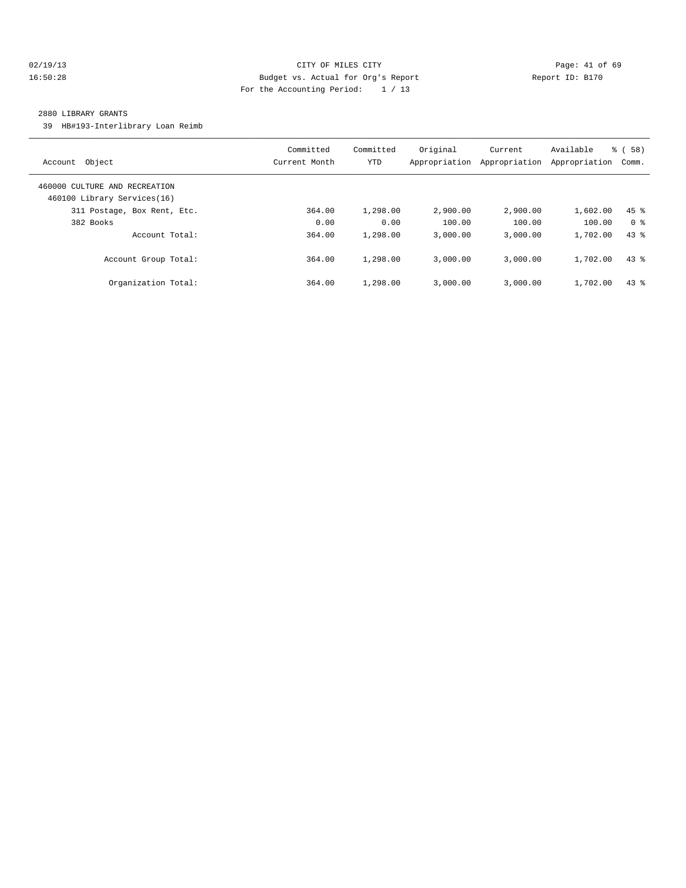## 02/19/13 Page: 41 of 69 16:50:28 Budget vs. Actual for Org's Report Report ID: B170 For the Accounting Period: 1 / 13

### 2880 LIBRARY GRANTS

39 HB#193-Interlibrary Loan Reimb

| Object<br>Account                                            | Committed<br>Current Month | Committed<br>YTD | Original<br>Appropriation | Current<br>Appropriation | Available<br>Appropriation | 58)<br>ී (<br>Comm. |
|--------------------------------------------------------------|----------------------------|------------------|---------------------------|--------------------------|----------------------------|---------------------|
| 460000 CULTURE AND RECREATION<br>460100 Library Services(16) |                            |                  |                           |                          |                            |                     |
| 311 Postage, Box Rent, Etc.                                  | 364.00                     | 1,298.00         | 2,900.00                  | 2,900.00                 | 1,602.00                   | $45$ %              |
| 382 Books                                                    | 0.00                       | 0.00             | 100.00                    | 100.00                   | 100.00                     | 0 <sup>8</sup>      |
| Account Total:                                               | 364.00                     | 1,298.00         | 3.000.00                  | 3.000.00                 | 1,702.00                   | $43*$               |
| Account Group Total:                                         | 364.00                     | 1,298.00         | 3.000.00                  | 3.000.00                 | 1,702.00                   | 43.8                |
| Organization Total:                                          | 364.00                     | 1,298.00         | 3,000.00                  | 3.000.00                 | 1,702.00                   | 43.8                |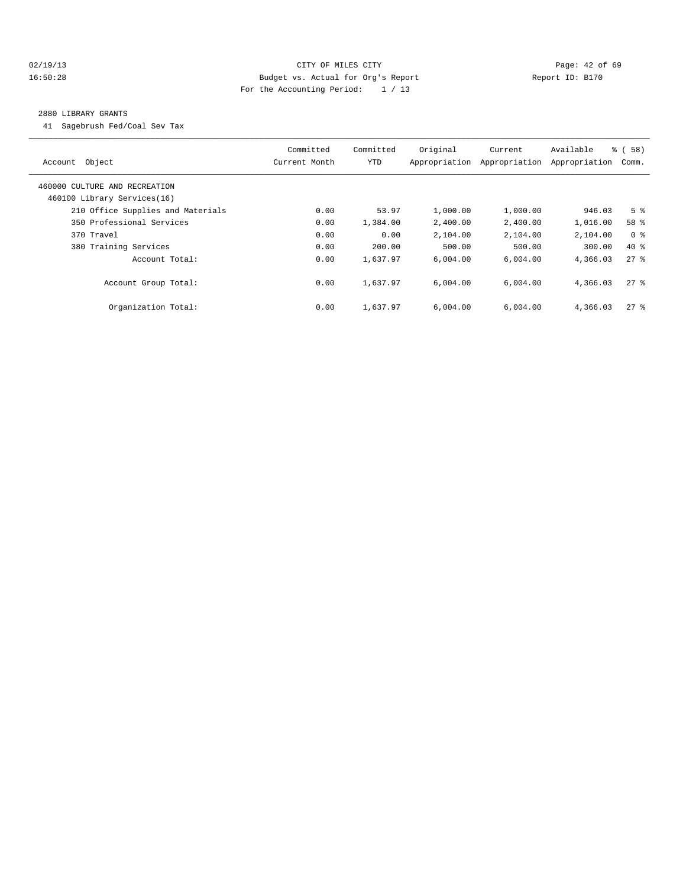## 02/19/13 Page: 42 of 69 16:50:28 Budget vs. Actual for Org's Report Report ID: B170 For the Accounting Period: 1 / 13

#### 2880 LIBRARY GRANTS

41 Sagebrush Fed/Coal Sev Tax

| Account Object                                               | Committed<br>Current Month | Committed<br><b>YTD</b> | Original<br>Appropriation | Current<br>Appropriation | Available<br>Appropriation | % (58)<br>Comm. |
|--------------------------------------------------------------|----------------------------|-------------------------|---------------------------|--------------------------|----------------------------|-----------------|
| 460000 CULTURE AND RECREATION<br>460100 Library Services(16) |                            |                         |                           |                          |                            |                 |
| 210 Office Supplies and Materials                            | 0.00                       | 53.97                   | 1,000.00                  | 1,000.00                 | 946.03                     | 5 <sup>8</sup>  |
| 350 Professional Services                                    | 0.00                       | 1,384.00                | 2,400.00                  | 2,400.00                 | 1,016.00                   | 58 %            |
| 370 Travel                                                   | 0.00                       | 0.00                    | 2,104.00                  | 2,104.00                 | 2,104.00                   | 0 <sup>8</sup>  |
| 380 Training Services                                        | 0.00                       | 200.00                  | 500.00                    | 500.00                   | 300.00                     | $40*$           |
| Account Total:                                               | 0.00                       | 1,637.97                | 6,004.00                  | 6,004.00                 | 4,366.03                   | $27$ $%$        |
| Account Group Total:                                         | 0.00                       | 1,637.97                | 6,004.00                  | 6,004.00                 | 4,366.03                   | $27$ %          |
| Organization Total:                                          | 0.00                       | 1,637.97                | 6,004.00                  | 6,004.00                 | 4,366.03                   | $27$ $%$        |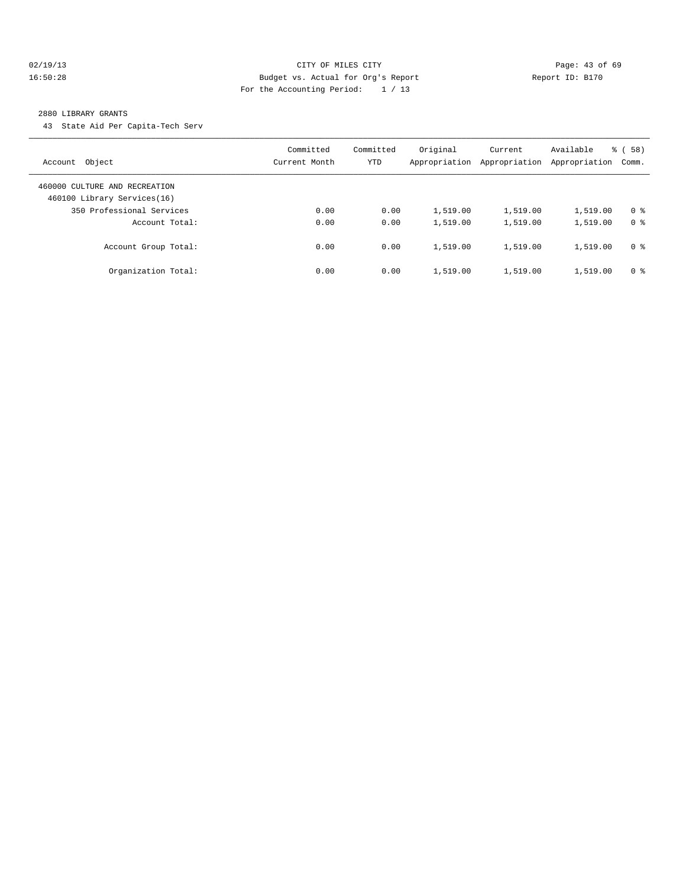## 02/19/13 Page: 43 of 69 16:50:28 Budget vs. Actual for Org's Report Report ID: B170 For the Accounting Period: 1 / 13

#### 2880 LIBRARY GRANTS

43 State Aid Per Capita-Tech Serv

| Object<br>Account                                            | Committed<br>Current Month | Committed<br>YTD | Original<br>Appropriation | Current<br>Appropriation | Available<br>Appropriation | % (58)<br>Comm. |
|--------------------------------------------------------------|----------------------------|------------------|---------------------------|--------------------------|----------------------------|-----------------|
| 460000 CULTURE AND RECREATION<br>460100 Library Services(16) |                            |                  |                           |                          |                            |                 |
| 350 Professional Services                                    | 0.00                       | 0.00             | 1,519.00                  | 1,519.00                 | 1,519.00                   | 0 <sup>8</sup>  |
| Account Total:                                               | 0.00                       | 0.00             | 1,519.00                  | 1,519.00                 | 1,519.00                   | 0 <sup>8</sup>  |
| Account Group Total:                                         | 0.00                       | 0.00             | 1,519.00                  | 1,519.00                 | 1,519.00                   | 0 <sup>8</sup>  |
| Organization Total:                                          | 0.00                       | 0.00             | 1,519.00                  | 1,519.00                 | 1,519.00                   | 0 <sup>8</sup>  |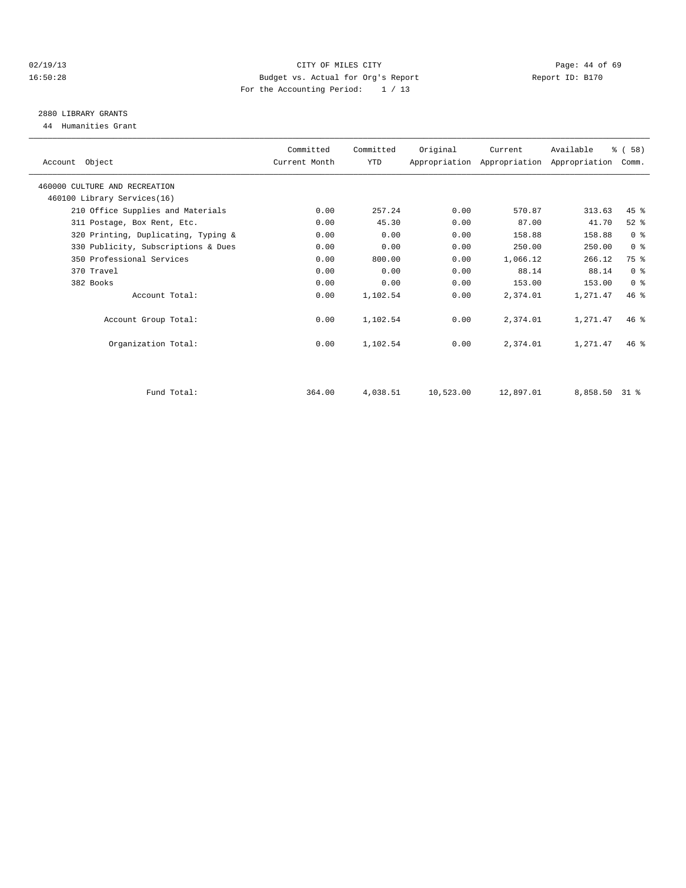## 02/19/13 Page: 44 of 69 16:50:28 Budget vs. Actual for Org's Report Report ID: B170 For the Accounting Period: 1 / 13

## 2880 LIBRARY GRANTS

44 Humanities Grant

| Account Object                      | Committed<br>Current Month | Committed<br>YTD | Original  | Current   | Available<br>Appropriation Appropriation Appropriation | % (58)<br>Comm. |  |
|-------------------------------------|----------------------------|------------------|-----------|-----------|--------------------------------------------------------|-----------------|--|
| 460000 CULTURE AND RECREATION       |                            |                  |           |           |                                                        |                 |  |
| 460100 Library Services(16)         |                            |                  |           |           |                                                        |                 |  |
| 210 Office Supplies and Materials   | 0.00                       | 257.24           | 0.00      | 570.87    | 313.63                                                 | 45 %            |  |
| 311 Postage, Box Rent, Etc.         | 0.00                       | 45.30            | 0.00      | 87.00     | 41.70                                                  | $52$ %          |  |
| 320 Printing, Duplicating, Typing & | 0.00                       | 0.00             | 0.00      | 158.88    | 158.88                                                 | 0 <sup>8</sup>  |  |
| 330 Publicity, Subscriptions & Dues | 0.00                       | 0.00             | 0.00      | 250.00    | 250.00                                                 | 0 <sup>8</sup>  |  |
| 350 Professional Services           | 0.00                       | 800.00           | 0.00      | 1,066.12  | 266.12                                                 | 75 %            |  |
| 370 Travel                          | 0.00                       | 0.00             | 0.00      | 88.14     | 88.14                                                  | 0 <sup>8</sup>  |  |
| 382 Books                           | 0.00                       | 0.00             | 0.00      | 153.00    | 153.00                                                 | 0 <sup>8</sup>  |  |
| Account Total:                      | 0.00                       | 1,102.54         | 0.00      | 2,374.01  | 1,271.47                                               | $46*$           |  |
| Account Group Total:                | 0.00                       | 1,102.54         | 0.00      | 2,374.01  | 1,271.47                                               | $46*$           |  |
| Organization Total:                 | 0.00                       | 1,102.54         | 0.00      | 2,374.01  | 1,271.47                                               | $46*$           |  |
|                                     |                            |                  |           |           |                                                        |                 |  |
| Fund Total:                         | 364.00                     | 4,038.51         | 10,523.00 | 12,897.01 | 8,858.50 31 %                                          |                 |  |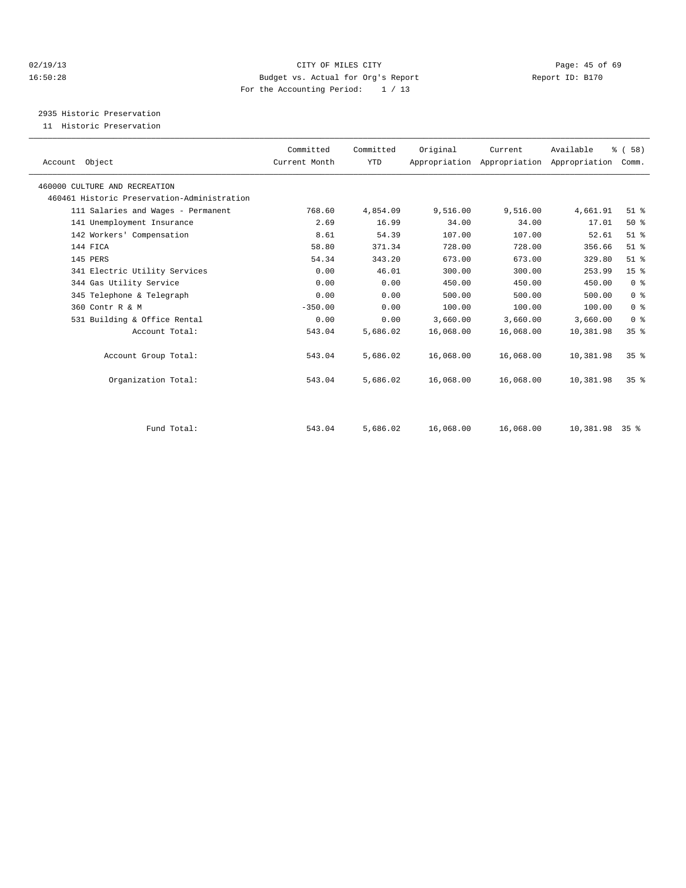## 02/19/13 Page: 45 of 69 16:50:28 Budget vs. Actual for Org's Report Report ID: B170 For the Accounting Period: 1 / 13

2935 Historic Preservation

11 Historic Preservation

| Account Object                              | Committed<br>Current Month | Committed<br><b>YTD</b> | Original  | Current<br>Appropriation Appropriation Appropriation | Available | % (58)<br>Comm. |
|---------------------------------------------|----------------------------|-------------------------|-----------|------------------------------------------------------|-----------|-----------------|
| 460000 CULTURE AND RECREATION               |                            |                         |           |                                                      |           |                 |
| 460461 Historic Preservation-Administration |                            |                         |           |                                                      |           |                 |
| 111 Salaries and Wages - Permanent          | 768.60                     | 4,854.09                | 9,516.00  | 9,516.00                                             | 4,661.91  | $51$ %          |
| 141 Unemployment Insurance                  | 2.69                       | 16.99                   | 34.00     | 34.00                                                | 17.01     | 50%             |
| 142 Workers' Compensation                   | 8.61                       | 54.39                   | 107.00    | 107.00                                               | 52.61     | $51$ %          |
| 144 FICA                                    | 58.80                      | 371.34                  | 728.00    | 728.00                                               | 356.66    | $51$ $%$        |
| 145 PERS                                    | 54.34                      | 343.20                  | 673.00    | 673.00                                               | 329.80    | $51$ %          |
| 341 Electric Utility Services               | 0.00                       | 46.01                   | 300.00    | 300.00                                               | 253.99    | 15 <sup>8</sup> |
| 344 Gas Utility Service                     | 0.00                       | 0.00                    | 450.00    | 450.00                                               | 450.00    | 0 <sup>8</sup>  |
| 345 Telephone & Telegraph                   | 0.00                       | 0.00                    | 500.00    | 500.00                                               | 500.00    | 0 <sup>8</sup>  |
| 360 Contr R & M                             | $-350.00$                  | 0.00                    | 100.00    | 100.00                                               | 100.00    | 0 <sup>8</sup>  |
| 531 Building & Office Rental                | 0.00                       | 0.00                    | 3,660.00  | 3,660.00                                             | 3,660.00  | 0 <sup>8</sup>  |
| Account Total:                              | 543.04                     | 5,686.02                | 16,068.00 | 16,068.00                                            | 10,381.98 | 35%             |
| Account Group Total:                        | 543.04                     | 5,686.02                | 16,068.00 | 16,068.00                                            | 10,381.98 | 35 <sup>8</sup> |
| Organization Total:                         | 543.04                     | 5,686.02                | 16,068.00 | 16,068.00                                            | 10,381.98 | 35 <sup>8</sup> |
|                                             |                            |                         |           |                                                      |           |                 |
| Fund Total:                                 | 543.04                     | 5,686.02                | 16,068.00 | 16,068.00                                            | 10,381.98 | 35 <sup>8</sup> |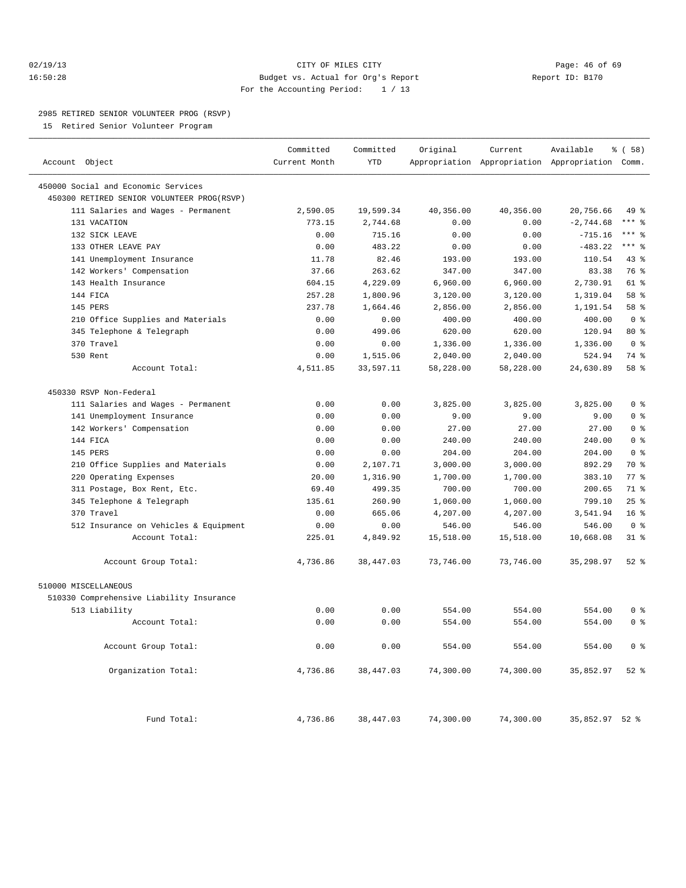## 02/19/13 Page: 46 of 69 16:50:28 Budget vs. Actual for Org's Report Report ID: B170 For the Accounting Period: 1 / 13

————————————————————————————————————————————————————————————————————————————————————————————————————————————————————————————————————

#### 2985 RETIRED SENIOR VOLUNTEER PROG (RSVP)

15 Retired Senior Volunteer Program

|                                            | Committed     | Committed  | Original  | Current                                         | Available       | % ( 58 )        |
|--------------------------------------------|---------------|------------|-----------|-------------------------------------------------|-----------------|-----------------|
| Account Object                             | Current Month | <b>YTD</b> |           | Appropriation Appropriation Appropriation Comm. |                 |                 |
| 450000 Social and Economic Services        |               |            |           |                                                 |                 |                 |
| 450300 RETIRED SENIOR VOLUNTEER PROG(RSVP) |               |            |           |                                                 |                 |                 |
| 111 Salaries and Wages - Permanent         | 2,590.05      | 19,599.34  | 40,356.00 | 40,356.00                                       | 20,756.66       | 49 %            |
| 131 VACATION                               | 773.15        | 2,744.68   | 0.00      | 0.00                                            | $-2,744.68$     | $***$ 8         |
| 132 SICK LEAVE                             | 0.00          | 715.16     | 0.00      | 0.00                                            | $-715.16$       | $***$ 8         |
| 133 OTHER LEAVE PAY                        | 0.00          | 483.22     | 0.00      | 0.00                                            | $-483.22$       | $***$ 8         |
| 141 Unemployment Insurance                 | 11.78         | 82.46      | 193.00    | 193.00                                          | 110.54          | $43$ %          |
| 142 Workers' Compensation                  | 37.66         | 263.62     | 347.00    | 347.00                                          | 83.38           | 76 %            |
| 143 Health Insurance                       | 604.15        | 4,229.09   | 6,960.00  | 6,960.00                                        | 2,730.91        | 61 %            |
| 144 FICA                                   | 257.28        | 1,800.96   | 3,120.00  | 3,120.00                                        | 1,319.04        | 58 %            |
| 145 PERS                                   | 237.78        | 1,664.46   | 2,856.00  | 2,856.00                                        | 1,191.54        | 58 %            |
| 210 Office Supplies and Materials          | 0.00          | 0.00       | 400.00    | 400.00                                          | 400.00          | 0 <sup>8</sup>  |
| 345 Telephone & Telegraph                  | 0.00          | 499.06     | 620.00    | 620.00                                          | 120.94          | $80*$           |
| 370 Travel                                 | 0.00          | 0.00       | 1,336.00  | 1,336.00                                        | 1,336.00        | 0 <sup>8</sup>  |
| 530 Rent                                   | 0.00          | 1,515.06   | 2,040.00  | 2,040.00                                        | 524.94          | 74 %            |
| Account Total:                             | 4,511.85      | 33,597.11  | 58,228.00 | 58,228.00                                       | 24,630.89       | 58 %            |
| 450330 RSVP Non-Federal                    |               |            |           |                                                 |                 |                 |
|                                            | 0.00          | 0.00       | 3,825.00  | 3,825.00                                        | 3,825.00        | 0 <sup>8</sup>  |
| 111 Salaries and Wages - Permanent         |               | 0.00       |           |                                                 |                 | 0 <sup>8</sup>  |
| 141 Unemployment Insurance                 | 0.00          |            | 9.00      | 9.00                                            | 9.00            | 0 <sup>8</sup>  |
| 142 Workers' Compensation<br>144 FICA      | 0.00          | 0.00       | 27.00     | 27.00                                           | 27.00<br>240.00 | 0 <sup>8</sup>  |
|                                            | 0.00          | 0.00       | 240.00    | 240.00                                          |                 |                 |
| 145 PERS                                   | 0.00          | 0.00       | 204.00    | 204.00                                          | 204.00          | 0 <sup>8</sup>  |
| 210 Office Supplies and Materials          | 0.00          | 2,107.71   | 3,000.00  | 3,000.00                                        | 892.29          | 70 %            |
| 220 Operating Expenses                     | 20.00         | 1,316.90   | 1,700.00  | 1,700.00                                        | 383.10          | 77.8            |
| 311 Postage, Box Rent, Etc.                | 69.40         | 499.35     | 700.00    | 700.00                                          | 200.65          | 71.8            |
| 345 Telephone & Telegraph                  | 135.61        | 260.90     | 1,060.00  | 1,060.00                                        | 799.10          | 25%             |
| 370 Travel                                 | 0.00          | 665.06     | 4,207.00  | 4,207.00                                        | 3,541.94        | 16 <sup>°</sup> |
| 512 Insurance on Vehicles & Equipment      | 0.00          | 0.00       | 546.00    | 546.00                                          | 546.00          | 0 <sup>8</sup>  |
| Account Total:                             | 225.01        | 4,849.92   | 15,518.00 | 15,518.00                                       | 10,668.08       | 31.8            |
| Account Group Total:                       | 4,736.86      | 38, 447.03 | 73,746.00 | 73,746.00                                       | 35,298.97       | $52$ $%$        |
| 510000 MISCELLANEOUS                       |               |            |           |                                                 |                 |                 |
| 510330 Comprehensive Liability Insurance   |               |            |           |                                                 |                 |                 |
| 513 Liability                              | 0.00          | 0.00       | 554.00    | 554.00                                          | 554.00          | 0 <sup>8</sup>  |
| Account Total:                             | 0.00          | 0.00       | 554.00    | 554.00                                          | 554.00          | 0 <sup>8</sup>  |
| Account Group Total:                       | 0.00          | 0.00       | 554.00    | 554.00                                          | 554.00          | 0 <sup>8</sup>  |
| Organization Total:                        | 4,736.86      | 38, 447.03 | 74,300.00 | 74,300.00                                       | 35,852.97       | $52$ $%$        |
| Fund Total:                                | 4,736.86      | 38, 447.03 | 74,300.00 | 74,300.00                                       | 35,852.97 52 %  |                 |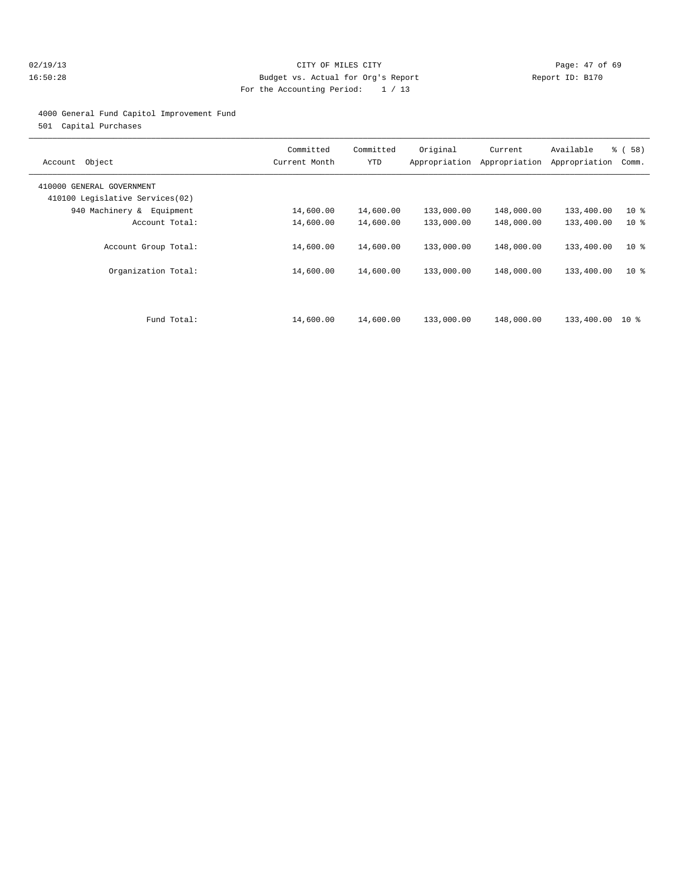## 02/19/13 Page: 47 of 69 16:50:28 Budget vs. Actual for Org's Report Report ID: B170 For the Accounting Period: 1 / 13

### 4000 General Fund Capitol Improvement Fund

501 Capital Purchases

| Object<br>Account                                            | Committed<br>Current Month | Committed<br>YTD       | Original<br>Appropriation | Current<br>Appropriation | Available<br>Appropriation | % (58)<br>Comm.                    |
|--------------------------------------------------------------|----------------------------|------------------------|---------------------------|--------------------------|----------------------------|------------------------------------|
| 410000 GENERAL GOVERNMENT<br>410100 Legislative Services(02) |                            |                        |                           |                          |                            |                                    |
| 940 Machinery & Equipment                                    | 14,600.00                  | 14,600.00              | 133,000.00                | 148,000.00               | 133,400.00                 | $10*$                              |
| Account Total:                                               | 14,600.00                  | 14,600.00              | 133,000.00                | 148,000.00               | 133,400.00                 | $10*$                              |
| Account Group Total:<br>Organization Total:                  | 14,600.00<br>14,600.00     | 14,600.00<br>14,600.00 | 133,000.00<br>133,000.00  | 148,000.00<br>148,000.00 | 133,400.00<br>133,400.00   | 10 <sup>8</sup><br>10 <sup>8</sup> |
| Fund Total:                                                  | 14,600.00                  | 14,600.00              | 133,000.00                | 148,000.00               | 133,400.00                 | $10*$                              |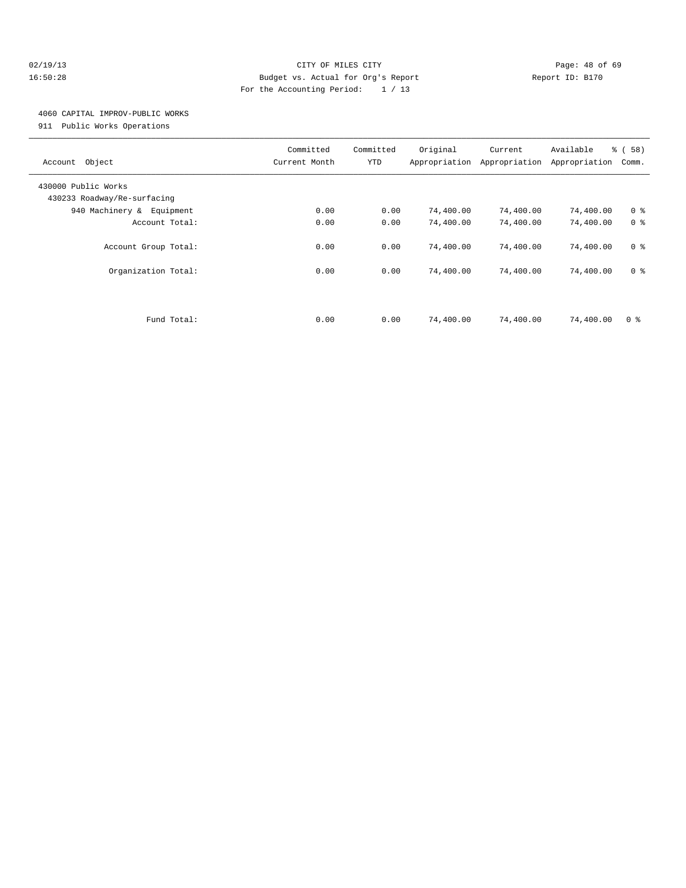## 02/19/13 Page: 48 of 69 16:50:28 Budget vs. Actual for Org's Report Report ID: B170 For the Accounting Period: 1 / 13

## 4060 CAPITAL IMPROV-PUBLIC WORKS

911 Public Works Operations

| Object<br>Account                                  | Committed<br>Current Month | Committed<br>YTD | Original<br>Appropriation | Current<br>Appropriation | Available<br>Appropriation | % (58)<br>Comm. |
|----------------------------------------------------|----------------------------|------------------|---------------------------|--------------------------|----------------------------|-----------------|
| 430000 Public Works<br>430233 Roadway/Re-surfacing |                            |                  |                           |                          |                            |                 |
| 940 Machinery & Equipment                          | 0.00                       | 0.00             | 74,400.00                 | 74,400.00                | 74,400.00                  | 0 <sup>8</sup>  |
| Account Total:                                     | 0.00                       | 0.00             | 74,400.00                 | 74,400.00                | 74,400.00                  | 0 <sup>8</sup>  |
| Account Group Total:                               | 0.00                       | 0.00             | 74,400.00                 | 74,400.00                | 74,400.00                  | 0 <sup>8</sup>  |
| Organization Total:                                | 0.00                       | 0.00             | 74,400.00                 | 74,400.00                | 74,400.00                  | 0 <sup>8</sup>  |
|                                                    |                            |                  |                           |                          |                            |                 |
| Fund Total:                                        | 0.00                       | 0.00             | 74,400.00                 | 74,400.00                | 74,400.00                  | 0 <sup>8</sup>  |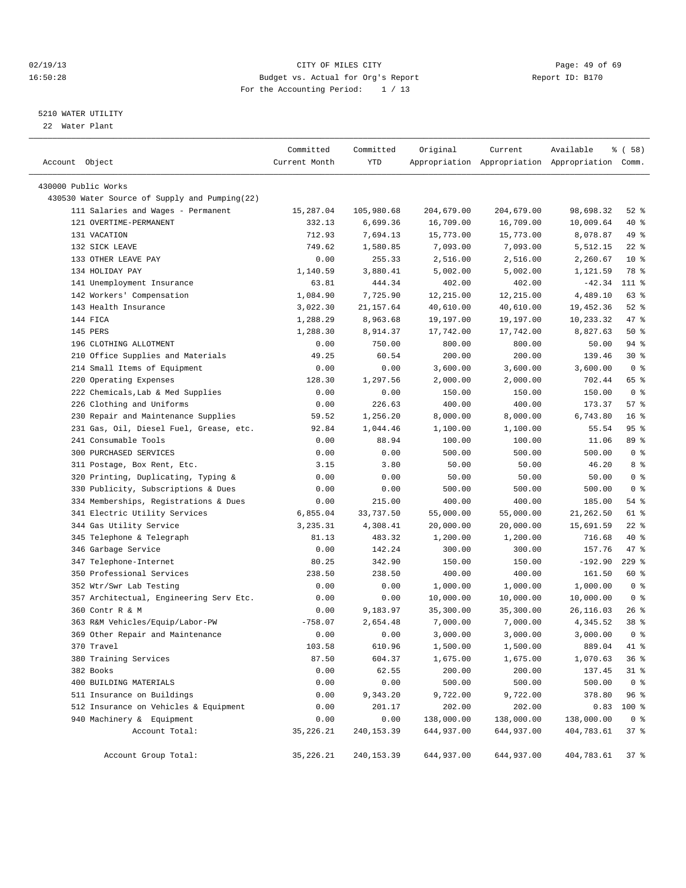## 02/19/13 Page: 49 of 69 16:50:28 Budget vs. Actual for Org's Report Report ID: B170 For the Accounting Period: 1 / 13

————————————————————————————————————————————————————————————————————————————————————————————————————————————————————————————————————

## 5210 WATER UTILITY

22 Water Plant

|                                               | Committed     | Committed   | Original   | Current    | Available                                       | १ ( 58)         |
|-----------------------------------------------|---------------|-------------|------------|------------|-------------------------------------------------|-----------------|
| Account Object                                | Current Month | YTD         |            |            | Appropriation Appropriation Appropriation Comm. |                 |
|                                               |               |             |            |            |                                                 |                 |
| 430000 Public Works                           |               |             |            |            |                                                 |                 |
| 430530 Water Source of Supply and Pumping(22) |               |             |            |            |                                                 |                 |
| 111 Salaries and Wages - Permanent            | 15,287.04     | 105,980.68  | 204,679.00 | 204,679.00 | 98,698.32                                       | $52$ $%$        |
| 121 OVERTIME-PERMANENT                        | 332.13        | 6,699.36    | 16,709.00  | 16,709.00  | 10,009.64                                       | 40 %            |
| 131 VACATION                                  | 712.93        | 7,694.13    | 15,773.00  | 15,773.00  | 8,078.87                                        | 49 %            |
| 132 SICK LEAVE                                | 749.62        | 1,580.85    | 7,093.00   | 7,093.00   | 5,512.15                                        | $22$ %          |
| 133 OTHER LEAVE PAY                           | 0.00          | 255.33      | 2,516.00   | 2,516.00   | 2,260.67                                        | $10*$           |
| 134 HOLIDAY PAY                               | 1,140.59      | 3,880.41    | 5,002.00   | 5,002.00   | 1,121.59                                        | 78 %            |
| 141 Unemployment Insurance                    | 63.81         | 444.34      | 402.00     | 402.00     | $-42.34$                                        | 111 %           |
| 142 Workers' Compensation                     | 1,084.90      | 7,725.90    | 12,215.00  | 12,215.00  | 4,489.10                                        | 63 %            |
| 143 Health Insurance                          | 3,022.30      | 21, 157.64  | 40,610.00  | 40,610.00  | 19,452.36                                       | $52$ $%$        |
| 144 FICA                                      | 1,288.29      | 8,963.68    | 19,197.00  | 19,197.00  | 10,233.32                                       | 47 %            |
| 145 PERS                                      | 1,288.30      | 8,914.37    | 17,742.00  | 17,742.00  | 8,827.63                                        | 50%             |
| 196 CLOTHING ALLOTMENT                        | 0.00          | 750.00      | 800.00     | 800.00     | 50.00                                           | 94 %            |
| 210 Office Supplies and Materials             | 49.25         | 60.54       | 200.00     | 200.00     | 139.46                                          | $30*$           |
| 214 Small Items of Equipment                  | 0.00          | 0.00        | 3,600.00   | 3,600.00   | 3,600.00                                        | 0 <sup>8</sup>  |
| 220 Operating Expenses                        | 128.30        | 1,297.56    | 2,000.00   | 2,000.00   | 702.44                                          | 65 %            |
| 222 Chemicals, Lab & Med Supplies             | 0.00          | 0.00        | 150.00     | 150.00     | 150.00                                          | 0 <sup>8</sup>  |
| 226 Clothing and Uniforms                     | 0.00          | 226.63      | 400.00     | 400.00     | 173.37                                          | 57%             |
| 230 Repair and Maintenance Supplies           | 59.52         | 1,256.20    | 8,000.00   | 8,000.00   | 6,743.80                                        | 16 <sup>°</sup> |
| 231 Gas, Oil, Diesel Fuel, Grease, etc.       | 92.84         | 1,044.46    | 1,100.00   | 1,100.00   | 55.54                                           | 95%             |
| 241 Consumable Tools                          | 0.00          | 88.94       | 100.00     | 100.00     | 11.06                                           | 89 %            |
| 300 PURCHASED SERVICES                        | 0.00          | 0.00        | 500.00     | 500.00     | 500.00                                          | 0 <sup>8</sup>  |
| 311 Postage, Box Rent, Etc.                   | 3.15          | 3.80        | 50.00      | 50.00      | 46.20                                           | 8 %             |
| 320 Printing, Duplicating, Typing &           | 0.00          | 0.00        | 50.00      | 50.00      | 50.00                                           | 0 <sup>8</sup>  |
| 330 Publicity, Subscriptions & Dues           | 0.00          | 0.00        | 500.00     | 500.00     | 500.00                                          | 0 <sup>8</sup>  |
| 334 Memberships, Registrations & Dues         | 0.00          | 215.00      | 400.00     | 400.00     | 185.00                                          | 54 %            |
| 341 Electric Utility Services                 | 6,855.04      | 33,737.50   | 55,000.00  | 55,000.00  | 21,262.50                                       | 61 %            |
| 344 Gas Utility Service                       | 3,235.31      | 4,308.41    | 20,000.00  | 20,000.00  | 15,691.59                                       | $22$ %          |
| 345 Telephone & Telegraph                     | 81.13         | 483.32      | 1,200.00   | 1,200.00   | 716.68                                          | 40 %            |
| 346 Garbage Service                           | 0.00          | 142.24      | 300.00     | 300.00     | 157.76                                          | 47 %            |
| 347 Telephone-Internet                        | 80.25         | 342.90      | 150.00     | 150.00     | $-192.90$                                       | $229$ $%$       |
| 350 Professional Services                     | 238.50        | 238.50      | 400.00     | 400.00     | 161.50                                          | 60 %            |
| 352 Wtr/Swr Lab Testing                       | 0.00          | 0.00        | 1,000.00   | 1,000.00   | 1,000.00                                        | 0 <sup>8</sup>  |
| 357 Architectual, Engineering Serv Etc.       | 0.00          | 0.00        | 10,000.00  | 10,000.00  | 10,000.00                                       | 0 <sup>8</sup>  |
| 360 Contr R & M                               | 0.00          | 9,183.97    | 35,300.00  | 35,300.00  | 26,116.03                                       | $26$ %          |
| 363 R&M Vehicles/Equip/Labor-PW               | $-758.07$     | 2,654.48    | 7,000.00   | 7,000.00   | 4,345.52                                        | 38 %            |
| 369 Other Repair and Maintenance              | 0.00          | 0.00        | 3,000.00   | 3,000.00   | 3,000.00                                        | 0 <sup>8</sup>  |
| 370 Travel                                    | 103.58        | 610.96      | 1,500.00   | 1,500.00   | 889.04                                          | 41 %            |
| 380 Training Services                         | 87.50         | 604.37      | 1,675.00   | 1,675.00   | 1,070.63                                        | 36%             |
| 382 Books                                     | 0.00          | 62.55       | 200.00     | 200.00     | 137.45                                          | $31$ %          |
| 400 BUILDING MATERIALS                        | 0.00          | 0.00        | 500.00     | 500.00     | 500.00                                          | 0 <sup>8</sup>  |
| 511 Insurance on Buildings                    | 0.00          | 9,343.20    | 9,722.00   | 9,722.00   | 378.80                                          | 96 %            |
| 512 Insurance on Vehicles & Equipment         | 0.00          | 201.17      | 202.00     | 202.00     | 0.83                                            | 100 %           |
| 940 Machinery & Equipment                     | 0.00          | 0.00        | 138,000.00 | 138,000.00 | 138,000.00                                      | 0 <sup>8</sup>  |
| Account Total:                                | 35, 226. 21   | 240,153.39  | 644,937.00 | 644,937.00 | 404,783.61                                      | 37%             |
| Account Group Total:                          | 35, 226. 21   | 240, 153.39 | 644,937.00 | 644,937.00 | 404,783.61                                      | 37%             |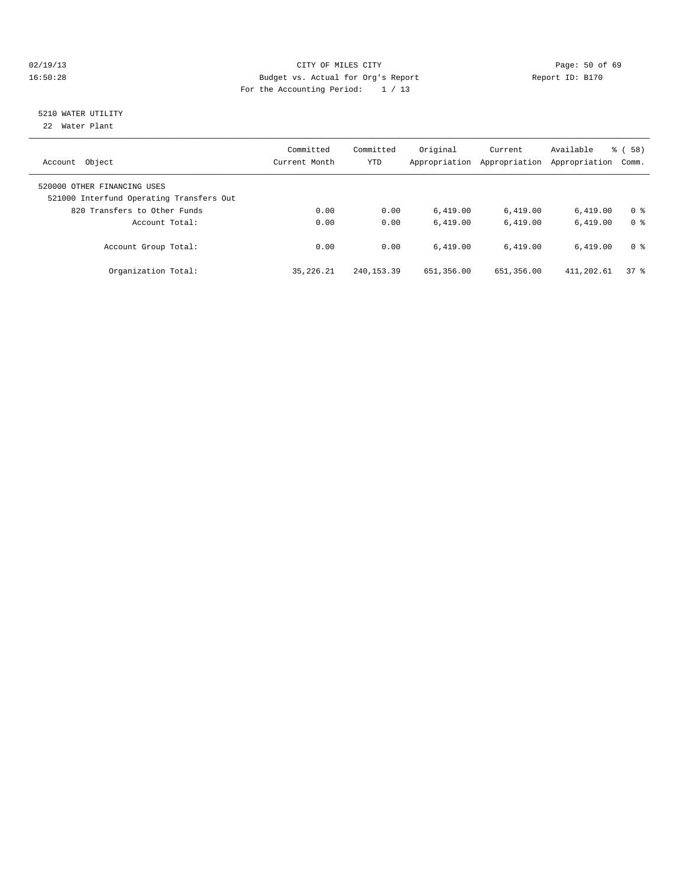## 02/19/13 Page: 50 of 69 16:50:28 Budget vs. Actual for Org's Report Report ID: B170 For the Accounting Period: 1 / 13

## 5210 WATER UTILITY

22 Water Plant

| Object<br>Account                                                       | Committed<br>Current Month | Committed<br><b>YTD</b> | Original<br>Appropriation | Current<br>Appropriation | Available<br>Appropriation | % (58)<br>Comm. |
|-------------------------------------------------------------------------|----------------------------|-------------------------|---------------------------|--------------------------|----------------------------|-----------------|
| 520000 OTHER FINANCING USES<br>521000 Interfund Operating Transfers Out |                            |                         |                           |                          |                            |                 |
| 820 Transfers to Other Funds                                            | 0.00                       | 0.00                    | 6.419.00                  | 6,419.00                 | 6.419.00                   | 0 <sup>8</sup>  |
| Account Total:                                                          | 0.00                       | 0.00                    | 6.419.00                  | 6.419.00                 | 6.419.00                   | 0 <sup>8</sup>  |
| Account Group Total:                                                    | 0.00                       | 0.00                    | 6.419.00                  | 6.419.00                 | 6.419.00                   | 0 <sup>8</sup>  |
| Organization Total:                                                     | 35, 226. 21                | 240, 153, 39            | 651,356.00                | 651,356.00               | 411,202.61                 | 378             |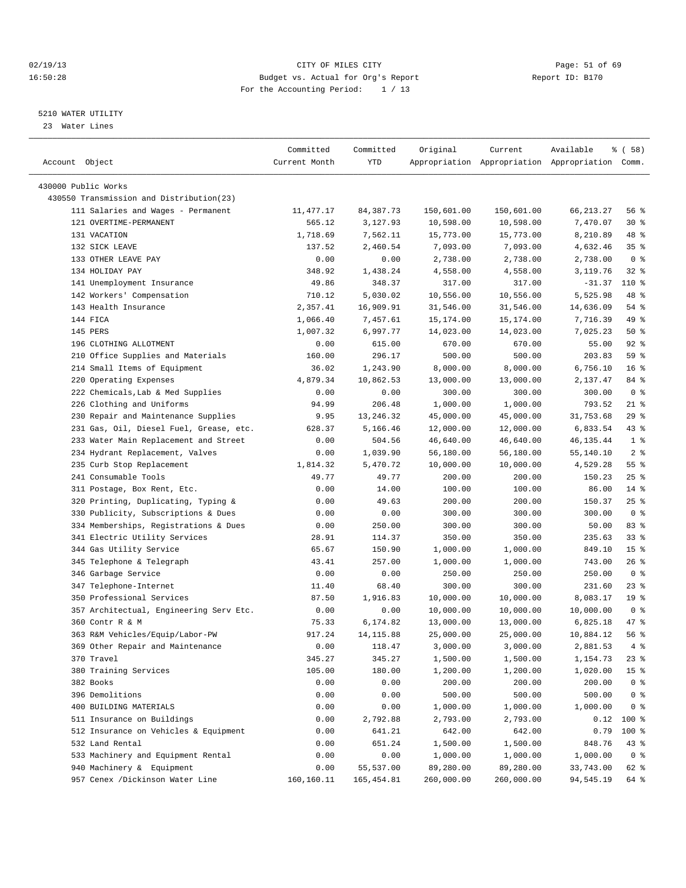## 02/19/13 Page: 51 of 69 16:50:28 Budget vs. Actual for Org's Report Report ID: B170 For the Accounting Period: 1 / 13

————————————————————————————————————————————————————————————————————————————————————————————————————————————————————————————————————

## 5210 WATER UTILITY

23 Water Lines

|                                                                 | Committed     | Committed   | Original   | Current    | Available                                       | % ( 58 )              |
|-----------------------------------------------------------------|---------------|-------------|------------|------------|-------------------------------------------------|-----------------------|
| Account Object                                                  | Current Month | YTD         |            |            | Appropriation Appropriation Appropriation Comm. |                       |
|                                                                 |               |             |            |            |                                                 |                       |
| 430000 Public Works<br>430550 Transmission and Distribution(23) |               |             |            |            |                                                 |                       |
| 111 Salaries and Wages - Permanent                              | 11,477.17     | 84,387.73   | 150,601.00 | 150,601.00 | 66, 213.27                                      | 56 %                  |
| 121 OVERTIME-PERMANENT                                          | 565.12        | 3,127.93    | 10,598.00  | 10,598.00  | 7,470.07                                        | $30*$                 |
|                                                                 |               |             |            |            |                                                 | 48 %                  |
| 131 VACATION                                                    | 1,718.69      | 7,562.11    | 15,773.00  | 15,773.00  | 8,210.89                                        |                       |
| 132 SICK LEAVE                                                  | 137.52        | 2,460.54    | 7,093.00   | 7,093.00   | 4,632.46                                        | 35%<br>0 <sup>8</sup> |
| 133 OTHER LEAVE PAY<br>134 HOLIDAY PAY                          | 0.00          | 0.00        | 2,738.00   | 2,738.00   | 2,738.00                                        |                       |
|                                                                 | 348.92        | 1,438.24    | 4,558.00   | 4,558.00   | 3,119.76                                        | 328                   |
| 141 Unemployment Insurance                                      | 49.86         | 348.37      | 317.00     | 317.00     | $-31.37$                                        | 110 %                 |
| 142 Workers' Compensation                                       | 710.12        | 5,030.02    | 10,556.00  | 10,556.00  | 5,525.98                                        | 48 %                  |
| 143 Health Insurance                                            | 2,357.41      | 16,909.91   | 31,546.00  | 31,546.00  | 14,636.09                                       | 54 %                  |
| 144 FICA                                                        | 1,066.40      | 7,457.61    | 15,174.00  | 15,174.00  | 7,716.39                                        | 49 %                  |
| 145 PERS                                                        | 1,007.32      | 6,997.77    | 14,023.00  | 14,023.00  | 7,025.23                                        | $50*$                 |
| 196 CLOTHING ALLOTMENT                                          | 0.00          | 615.00      | 670.00     | 670.00     | 55.00                                           | $92$ $%$              |
| 210 Office Supplies and Materials                               | 160.00        | 296.17      | 500.00     | 500.00     | 203.83                                          | 59 %                  |
| 214 Small Items of Equipment                                    | 36.02         | 1,243.90    | 8,000.00   | 8,000.00   | 6,756.10                                        | 16 <sup>°</sup>       |
| 220 Operating Expenses                                          | 4,879.34      | 10,862.53   | 13,000.00  | 13,000.00  | 2,137.47                                        | 84 %                  |
| 222 Chemicals, Lab & Med Supplies                               | 0.00          | 0.00        | 300.00     | 300.00     | 300.00                                          | 0 <sup>8</sup>        |
| 226 Clothing and Uniforms                                       | 94.99         | 206.48      | 1,000.00   | 1,000.00   | 793.52                                          | $21$ %                |
| 230 Repair and Maintenance Supplies                             | 9.95          | 13,246.32   | 45,000.00  | 45,000.00  | 31,753.68                                       | 29 %                  |
| 231 Gas, Oil, Diesel Fuel, Grease, etc.                         | 628.37        | 5,166.46    | 12,000.00  | 12,000.00  | 6,833.54                                        | 43 %                  |
| 233 Water Main Replacement and Street                           | 0.00          | 504.56      | 46,640.00  | 46,640.00  | 46, 135. 44                                     | 1 <sup>8</sup>        |
| 234 Hydrant Replacement, Valves                                 | 0.00          | 1,039.90    | 56,180.00  | 56,180.00  | 55,140.10                                       | 2 <sup>8</sup>        |
| 235 Curb Stop Replacement                                       | 1,814.32      | 5,470.72    | 10,000.00  | 10,000.00  | 4,529.28                                        | $55$ $%$              |
| 241 Consumable Tools                                            | 49.77         | 49.77       | 200.00     | 200.00     | 150.23                                          | $25$ $%$              |
| 311 Postage, Box Rent, Etc.                                     | 0.00          | 14.00       | 100.00     | 100.00     | 86.00                                           | $14*$                 |
| 320 Printing, Duplicating, Typing &                             | 0.00          | 49.63       | 200.00     | 200.00     | 150.37                                          | $25$ $%$              |
| 330 Publicity, Subscriptions & Dues                             | 0.00          | 0.00        | 300.00     | 300.00     | 300.00                                          | 0 <sup>8</sup>        |
| 334 Memberships, Registrations & Dues                           | 0.00          | 250.00      | 300.00     | 300.00     | 50.00                                           | 83%                   |
| 341 Electric Utility Services                                   | 28.91         | 114.37      | 350.00     | 350.00     | 235.63                                          | 338                   |
| 344 Gas Utility Service                                         | 65.67         | 150.90      | 1,000.00   | 1,000.00   | 849.10                                          | 15 <sup>°</sup>       |
| 345 Telephone & Telegraph                                       | 43.41         | 257.00      | 1,000.00   | 1,000.00   | 743.00                                          | $26$ %                |
| 346 Garbage Service                                             | 0.00          | 0.00        | 250.00     | 250.00     | 250.00                                          | 0 <sup>8</sup>        |
| 347 Telephone-Internet                                          | 11.40         | 68.40       | 300.00     | 300.00     | 231.60                                          | $23$ $%$              |
| 350 Professional Services                                       | 87.50         | 1,916.83    | 10,000.00  | 10,000.00  | 8,083.17                                        | 19 <sup>°</sup>       |
| 357 Architectual, Engineering Serv Etc.                         | 0.00          | 0.00        | 10,000.00  | 10,000.00  | 10,000.00                                       | 0 <sup>8</sup>        |
| 360 Contr R & M                                                 | 75.33         | 6,174.82    | 13,000.00  | 13,000.00  | 6,825.18                                        | 47 %                  |
| 363 R&M Vehicles/Equip/Labor-PW                                 | 917.24        | 14, 115.88  | 25,000.00  | 25,000.00  | 10,884.12                                       | 56%                   |
| 369 Other Repair and Maintenance                                | 0.00          | 118.47      | 3,000.00   | 3,000.00   | 2,881.53                                        | 4%                    |
| 370 Travel                                                      | 345.27        | 345.27      | 1,500.00   | 1,500.00   | 1,154.73                                        | 23 %                  |
| 380 Training Services                                           | 105.00        | 180.00      | 1,200.00   | 1,200.00   | 1,020.00                                        | 15 <sup>°</sup>       |
| 382 Books                                                       | 0.00          | 0.00        | 200.00     | 200.00     | 200.00                                          | $0$ %                 |
| 396 Demolitions                                                 | 0.00          | 0.00        | 500.00     | 500.00     | 500.00                                          | 0 <sup>8</sup>        |
| 400 BUILDING MATERIALS                                          | 0.00          | 0.00        | 1,000.00   | 1,000.00   | 1,000.00                                        | 0 <sup>8</sup>        |
| 511 Insurance on Buildings                                      | 0.00          | 2,792.88    | 2,793.00   | 2,793.00   | 0.12                                            | 100 %                 |
| 512 Insurance on Vehicles & Equipment                           | 0.00          | 641.21      | 642.00     | 642.00     | 0.79                                            | 100 %                 |
| 532 Land Rental                                                 | 0.00          | 651.24      | 1,500.00   | 1,500.00   | 848.76                                          | 43 %                  |
| 533 Machinery and Equipment Rental                              | 0.00          | 0.00        | 1,000.00   | 1,000.00   | 1,000.00                                        | 0 <sup>8</sup>        |
| 940 Machinery & Equipment                                       | 0.00          | 55,537.00   | 89,280.00  | 89,280.00  | 33,743.00                                       | 62 %                  |
| 957 Cenex /Dickinson Water Line                                 | 160,160.11    | 165, 454.81 | 260,000.00 | 260,000.00 | 94,545.19                                       | 64 %                  |
|                                                                 |               |             |            |            |                                                 |                       |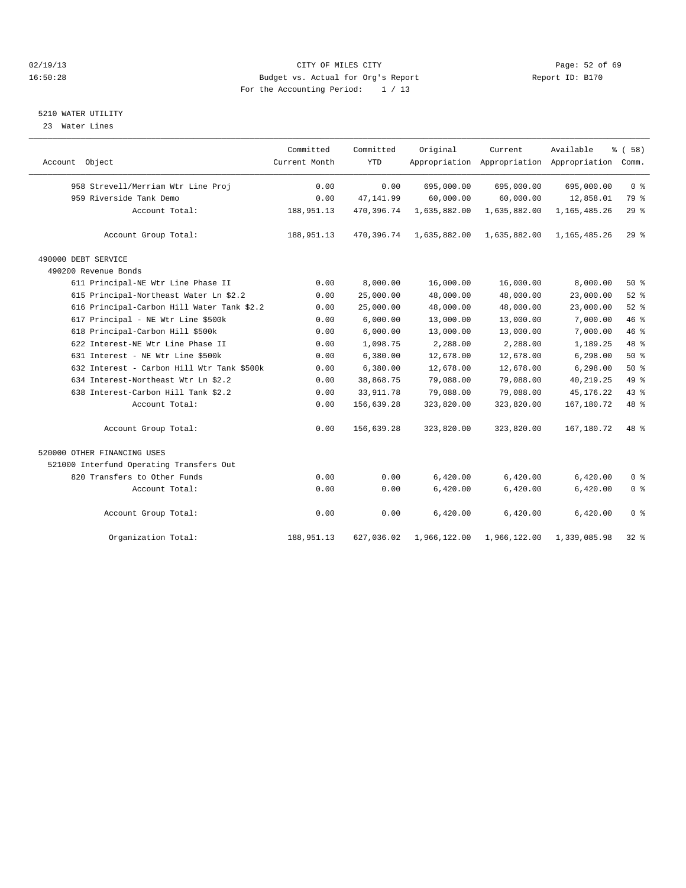## 02/19/13 Page: 52 of 69 16:50:28 Budget vs. Actual for Org's Report Report ID: B170 For the Accounting Period: 1 / 13

### 5210 WATER UTILITY

23 Water Lines

|                                            | Committed     | Committed  | Original     | Current      | Available                                 | % (58)         |
|--------------------------------------------|---------------|------------|--------------|--------------|-------------------------------------------|----------------|
| Account Object                             | Current Month | <b>YTD</b> |              |              | Appropriation Appropriation Appropriation | Comm.          |
| 958 Strevell/Merriam Wtr Line Proj         | 0.00          | 0.00       | 695,000.00   | 695,000.00   | 695,000.00                                | 0 <sup>8</sup> |
| 959 Riverside Tank Demo                    | 0.00          | 47, 141.99 | 60,000.00    | 60,000.00    | 12,858.01                                 | 79 %           |
| Account Total:                             | 188,951.13    | 470,396.74 | 1,635,882.00 | 1,635,882.00 | 1, 165, 485. 26                           | 29%            |
| Account Group Total:                       | 188,951.13    | 470,396.74 | 1,635,882.00 | 1,635,882.00 | 1, 165, 485. 26                           | 29%            |
| 490000 DEBT SERVICE                        |               |            |              |              |                                           |                |
| 490200 Revenue Bonds                       |               |            |              |              |                                           |                |
| 611 Principal-NE Wtr Line Phase II         | 0.00          | 8,000.00   | 16,000.00    | 16,000.00    | 8,000.00                                  | 50%            |
| 615 Principal-Northeast Water Ln \$2.2     | 0.00          | 25,000.00  | 48,000.00    | 48,000.00    | 23,000.00                                 | 52%            |
| 616 Principal-Carbon Hill Water Tank \$2.2 | 0.00          | 25,000.00  | 48,000.00    | 48,000.00    | 23,000.00                                 | 52%            |
| 617 Principal - NE Wtr Line \$500k         | 0.00          | 6,000.00   | 13,000.00    | 13,000.00    | 7,000.00                                  | 46 %           |
| 618 Principal-Carbon Hill \$500k           | 0.00          | 6,000.00   | 13,000.00    | 13,000.00    | 7,000.00                                  | 46 %           |
| 622 Interest-NE Wtr Line Phase II          | 0.00          | 1,098.75   | 2,288.00     | 2,288.00     | 1,189.25                                  | 48 %           |
| 631 Interest - NE Wtr Line \$500k          | 0.00          | 6,380.00   | 12,678.00    | 12,678.00    | 6,298.00                                  | $50*$          |
| 632 Interest - Carbon Hill Wtr Tank \$500k | 0.00          | 6,380.00   | 12,678.00    | 12,678.00    | 6, 298.00                                 | 50%            |
| 634 Interest-Northeast Wtr Ln \$2.2        | 0.00          | 38,868.75  | 79,088.00    | 79,088.00    | 40, 219. 25                               | 49 %           |
| 638 Interest-Carbon Hill Tank \$2.2        | 0.00          | 33, 911.78 | 79,088.00    | 79,088.00    | 45, 176. 22                               | 43 %           |
| Account Total:                             | 0.00          | 156,639.28 | 323,820.00   | 323,820.00   | 167, 180. 72                              | 48 %           |
| Account Group Total:                       | 0.00          | 156,639.28 | 323,820.00   | 323,820.00   | 167,180.72                                | 48 %           |
| 520000 OTHER FINANCING USES                |               |            |              |              |                                           |                |
| 521000 Interfund Operating Transfers Out   |               |            |              |              |                                           |                |
| 820 Transfers to Other Funds               | 0.00          | 0.00       | 6,420.00     | 6,420.00     | 6,420.00                                  | 0 <sup>8</sup> |
| Account Total:                             | 0.00          | 0.00       | 6,420.00     | 6,420.00     | 6,420.00                                  | 0 <sup>°</sup> |
| Account Group Total:                       | 0.00          | 0.00       | 6,420.00     | 6,420.00     | 6,420.00                                  | 0 <sup>8</sup> |
| Organization Total:                        | 188,951.13    | 627,036.02 | 1,966,122.00 | 1,966,122.00 | 1,339,085.98                              | $32$ $%$       |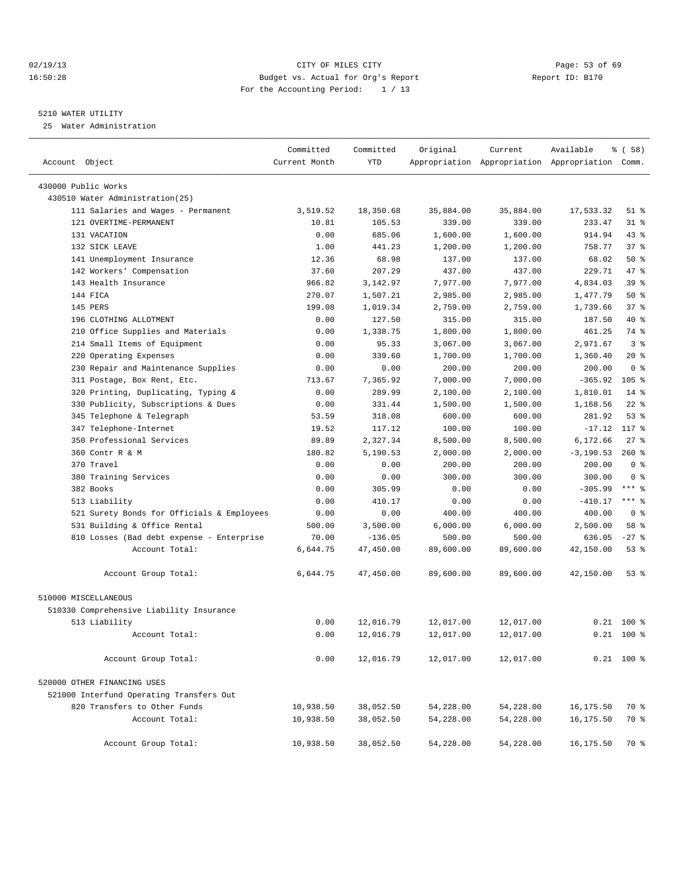## 02/19/13 Page: 53 of 69 16:50:28 Budget vs. Actual for Org's Report Report ID: B170 For the Accounting Period: 1 / 13

————————————————————————————————————————————————————————————————————————————————————————————————————————————————————————————————————

## 5210 WATER UTILITY

25 Water Administration

|                                            | Committed     | Committed  | Original  | Current   | Available                                       | $\frac{1}{6}$ (58) |
|--------------------------------------------|---------------|------------|-----------|-----------|-------------------------------------------------|--------------------|
| Account Object                             | Current Month | <b>YTD</b> |           |           | Appropriation Appropriation Appropriation Comm. |                    |
| 430000 Public Works                        |               |            |           |           |                                                 |                    |
| 430510 Water Administration(25)            |               |            |           |           |                                                 |                    |
| 111 Salaries and Wages - Permanent         | 3,519.52      | 18,350.68  | 35,884.00 | 35,884.00 | 17,533.32                                       | $51$ %             |
| 121 OVERTIME-PERMANENT                     | 10.81         | 105.53     | 339.00    | 339.00    | 233.47                                          | $31$ %             |
| 131 VACATION                               | 0.00          | 685.06     | 1,600.00  | 1,600.00  | 914.94                                          | $43$ $%$           |
| 132 SICK LEAVE                             | 1.00          | 441.23     | 1,200.00  | 1,200.00  | 758.77                                          | 37%                |
| 141 Unemployment Insurance                 | 12.36         | 68.98      | 137.00    | 137.00    | 68.02                                           | 50%                |
| 142 Workers' Compensation                  | 37.60         | 207.29     | 437.00    | 437.00    | 229.71                                          | 47 %               |
| 143 Health Insurance                       | 966.82        | 3,142.97   | 7,977.00  | 7,977.00  | 4,834.03                                        | 39 %               |
| 144 FICA                                   | 270.07        | 1,507.21   | 2,985.00  | 2,985.00  | 1,477.79                                        | 50%                |
| 145 PERS                                   | 199.08        | 1,019.34   | 2,759.00  | 2,759.00  | 1,739.66                                        | 37%                |
| 196 CLOTHING ALLOTMENT                     | 0.00          | 127.50     | 315.00    | 315.00    | 187.50                                          | 40 %               |
| 210 Office Supplies and Materials          | 0.00          | 1,338.75   | 1,800.00  | 1,800.00  | 461.25                                          | 74 %               |
| 214 Small Items of Equipment               | 0.00          | 95.33      | 3,067.00  | 3,067.00  | 2,971.67                                        | 3 <sup>8</sup>     |
| 220 Operating Expenses                     | 0.00          | 339.60     | 1,700.00  | 1,700.00  | 1,360.40                                        | 20%                |
| 230 Repair and Maintenance Supplies        | 0.00          | 0.00       | 200.00    | 200.00    | 200.00                                          | 0 <sup>8</sup>     |
| 311 Postage, Box Rent, Etc.                | 713.67        | 7,365.92   | 7,000.00  | 7,000.00  | $-365.92$                                       | $105$ %            |
| 320 Printing, Duplicating, Typing &        | 0.00          | 289.99     | 2,100.00  | 2,100.00  | 1,810.01                                        | $14$ %             |
| 330 Publicity, Subscriptions & Dues        | 0.00          | 331.44     | 1,500.00  | 1,500.00  | 1,168.56                                        | $22$ %             |
| 345 Telephone & Telegraph                  | 53.59         | 318.08     | 600.00    | 600.00    | 281.92                                          | 53%                |
| 347 Telephone-Internet                     | 19.52         | 117.12     | 100.00    | 100.00    | $-17.12$                                        | 117 %              |
| 350 Professional Services                  | 89.89         | 2,327.34   | 8,500.00  | 8,500.00  | 6,172.66                                        | $27$ %             |
| 360 Contr R & M                            | 180.82        | 5,190.53   | 2,000.00  | 2,000.00  | $-3, 190.53$                                    | $260*$             |
| 370 Travel                                 | 0.00          | 0.00       | 200.00    | 200.00    | 200.00                                          | 0 <sup>8</sup>     |
| 380 Training Services                      | 0.00          | 0.00       | 300.00    | 300.00    | 300.00                                          | 0 <sup>8</sup>     |
| 382 Books                                  | 0.00          | 305.99     | 0.00      | 0.00      | $-305.99$                                       | $***$ $-$          |
| 513 Liability                              | 0.00          | 410.17     | 0.00      | 0.00      | $-410.17$                                       | $***$ $%$          |
| 521 Surety Bonds for Officials & Employees | 0.00          | 0.00       | 400.00    | 400.00    | 400.00                                          | 0 <sup>8</sup>     |
| 531 Building & Office Rental               | 500.00        | 3,500.00   | 6,000.00  | 6,000.00  | 2,500.00                                        | 58 %               |
| 810 Losses (Bad debt expense - Enterprise  | 70.00         | $-136.05$  | 500.00    | 500.00    | 636.05                                          | $-27$ %            |
| Account Total:                             | 6,644.75      | 47,450.00  | 89,600.00 | 89,600.00 | 42,150.00                                       | 53%                |
| Account Group Total:                       | 6,644.75      | 47,450.00  | 89,600.00 | 89,600.00 | 42,150.00                                       | $53$ $%$           |
| 510000 MISCELLANEOUS                       |               |            |           |           |                                                 |                    |
| 510330 Comprehensive Liability Insurance   |               |            |           |           |                                                 |                    |
| 513 Liability                              | 0.00          | 12,016.79  | 12,017.00 | 12,017.00 |                                                 | $0.21$ 100 %       |
| Account Total:                             | 0.00          | 12,016.79  | 12,017.00 | 12,017.00 |                                                 | $0.21$ 100 %       |
| Account Group Total:                       | 0.00          | 12,016.79  | 12,017.00 | 12,017.00 |                                                 | $0.21$ 100 %       |
| 520000 OTHER FINANCING USES                |               |            |           |           |                                                 |                    |
| 521000 Interfund Operating Transfers Out   |               |            |           |           |                                                 |                    |
| 820 Transfers to Other Funds               | 10,938.50     | 38,052.50  | 54,228.00 | 54,228.00 | 16,175.50                                       | 70 %               |
| Account Total:                             | 10,938.50     | 38,052.50  | 54,228.00 | 54,228.00 | 16,175.50                                       | 70 %               |
| Account Group Total:                       | 10,938.50     | 38,052.50  | 54,228.00 | 54,228.00 | 16,175.50                                       | 70 %               |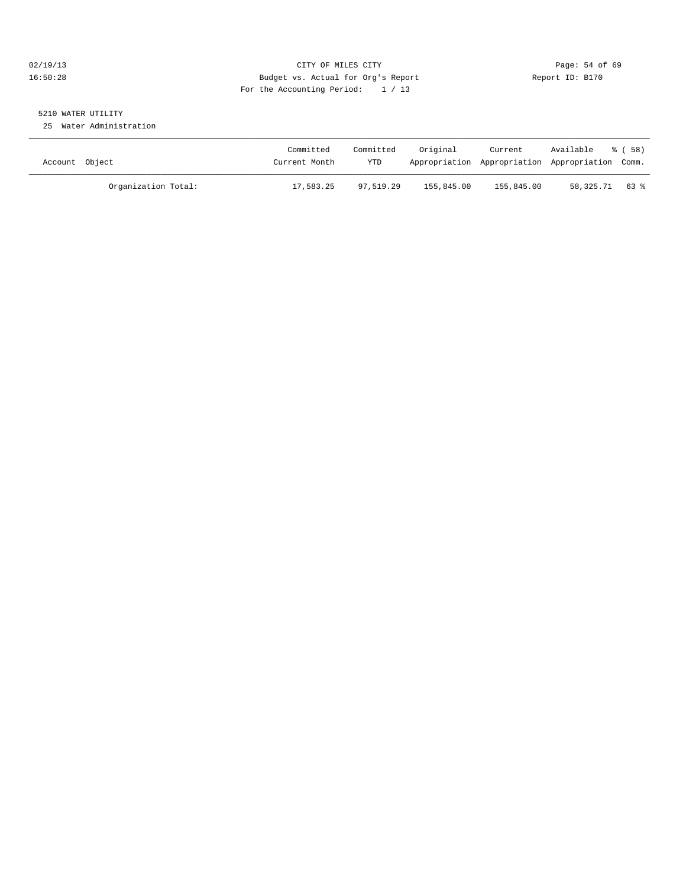## 02/19/13 Page: 54 of 69 16:50:28 Budget vs. Actual for Org's Report Report ID: B170 For the Accounting Period: 1 / 13

## 5210 WATER UTILITY

25 Water Administration

| Account Object      | Committed<br>Current Month | Committed<br>YTD | Original   | Current    | Available<br>Appropriation Appropriation Appropriation Comm. | ී ( 58 ) |
|---------------------|----------------------------|------------------|------------|------------|--------------------------------------------------------------|----------|
| Organization Total: | 17,583.25                  | 97,519.29        | 155,845.00 | 155,845.00 | 58,325.71 63 %                                               |          |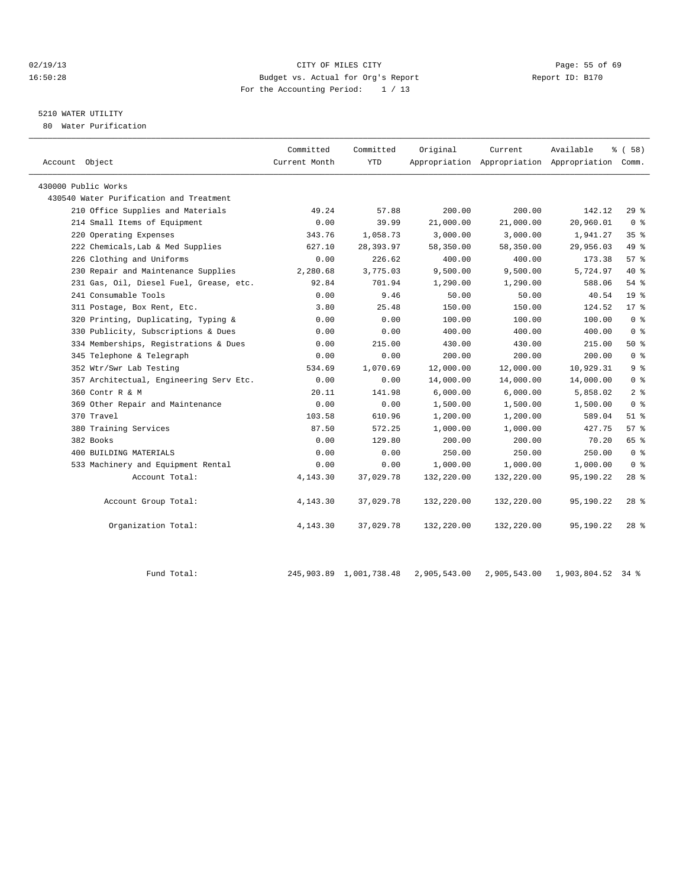## 02/19/13 Page: 55 of 69 16:50:28 Budget vs. Actual for Org's Report Report ID: B170 For the Accounting Period: 1 / 13

## 5210 WATER UTILITY

80 Water Purification

| Account Object                          | Committed<br>Current Month | Committed<br><b>YTD</b> | Original   | Current    | Available<br>Appropriation Appropriation Appropriation Comm. | 8 ( 58 )        |
|-----------------------------------------|----------------------------|-------------------------|------------|------------|--------------------------------------------------------------|-----------------|
| 430000 Public Works                     |                            |                         |            |            |                                                              |                 |
| 430540 Water Purification and Treatment |                            |                         |            |            |                                                              |                 |
| 210 Office Supplies and Materials       | 49.24                      | 57.88                   | 200.00     | 200.00     | 142.12                                                       | $29*$           |
| 214 Small Items of Equipment            | 0.00                       | 39.99                   | 21,000.00  | 21,000.00  | 20,960.01                                                    | 0 <sup>8</sup>  |
| 220 Operating Expenses                  | 343.76                     | 1,058.73                | 3,000.00   | 3,000.00   | 1,941.27                                                     | 35 <sup>8</sup> |
| 222 Chemicals, Lab & Med Supplies       | 627.10                     | 28, 393.97              | 58,350.00  | 58,350.00  | 29,956.03                                                    | 49 %            |
| 226 Clothing and Uniforms               | 0.00                       | 226.62                  | 400.00     | 400.00     | 173.38                                                       | 57%             |
| 230 Repair and Maintenance Supplies     | 2,280.68                   | 3,775.03                | 9,500.00   | 9,500.00   | 5,724.97                                                     | $40*$           |
| 231 Gas, Oil, Diesel Fuel, Grease, etc. | 92.84                      | 701.94                  | 1,290.00   | 1,290.00   | 588.06                                                       | 54 %            |
| 241 Consumable Tools                    | 0.00                       | 9.46                    | 50.00      | 50.00      | 40.54                                                        | 19 <sup>°</sup> |
| 311 Postage, Box Rent, Etc.             | 3.80                       | 25.48                   | 150.00     | 150.00     | 124.52                                                       | $17*$           |
| 320 Printing, Duplicating, Typing &     | 0.00                       | 0.00                    | 100.00     | 100.00     | 100.00                                                       | 0 <sup>8</sup>  |
| 330 Publicity, Subscriptions & Dues     | 0.00                       | 0.00                    | 400.00     | 400.00     | 400.00                                                       | 0 <sup>8</sup>  |
| 334 Memberships, Registrations & Dues   | 0.00                       | 215.00                  | 430.00     | 430.00     | 215.00                                                       | $50*$           |
| 345 Telephone & Telegraph               | 0.00                       | 0.00                    | 200.00     | 200.00     | 200.00                                                       | 0 <sup>8</sup>  |
| 352 Wtr/Swr Lab Testing                 | 534.69                     | 1,070.69                | 12,000.00  | 12,000.00  | 10,929.31                                                    | 9 <sup>8</sup>  |
| 357 Architectual, Engineering Serv Etc. | 0.00                       | 0.00                    | 14,000.00  | 14,000.00  | 14,000.00                                                    | 0 <sup>8</sup>  |
| 360 Contr R & M                         | 20.11                      | 141.98                  | 6,000.00   | 6,000.00   | 5,858.02                                                     | 2 <sup>°</sup>  |
| 369 Other Repair and Maintenance        | 0.00                       | 0.00                    | 1,500.00   | 1,500.00   | 1,500.00                                                     | 0 <sup>8</sup>  |
| 370 Travel                              | 103.58                     | 610.96                  | 1,200.00   | 1,200.00   | 589.04                                                       | $51$ %          |
| 380 Training Services                   | 87.50                      | 572.25                  | 1,000.00   | 1,000.00   | 427.75                                                       | $57*$           |
| 382 Books                               | 0.00                       | 129.80                  | 200.00     | 200.00     | 70.20                                                        | 65 %            |
| 400 BUILDING MATERIALS                  | 0.00                       | 0.00                    | 250.00     | 250.00     | 250.00                                                       | 0 <sup>8</sup>  |
| 533 Machinery and Equipment Rental      | 0.00                       | 0.00                    | 1,000.00   | 1,000.00   | 1,000.00                                                     | 0 <sup>8</sup>  |
| Account Total:                          | 4,143.30                   | 37,029.78               | 132,220.00 | 132,220.00 | 95,190.22                                                    | $28*$           |
| Account Group Total:                    | 4, 143.30                  | 37,029.78               | 132,220.00 | 132,220.00 | 95,190.22                                                    | $28$ %          |
| Organization Total:                     | 4, 143.30                  | 37,029.78               | 132,220.00 | 132,220.00 | 95,190.22                                                    | $28*$           |

Fund Total: 245,903.89 1,001,738.48 2,905,543.00 2,905,543.00 1,903,804.52 34 %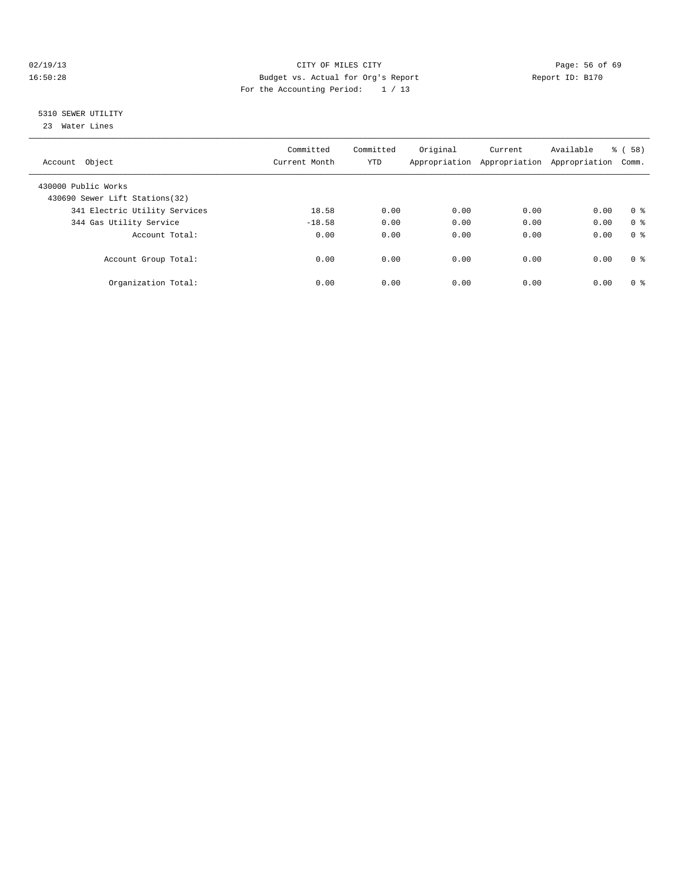## 02/19/13 Page: 56 of 69 16:50:28 Budget vs. Actual for Org's Report Report ID: B170 For the Accounting Period: 1 / 13

## 5310 SEWER UTILITY

23 Water Lines

| Account Object                                         | Committed<br>Current Month | Committed<br><b>YTD</b> | Original | Current<br>Appropriation Appropriation | Available<br>Appropriation | 58)<br>ී (<br>Comm. |
|--------------------------------------------------------|----------------------------|-------------------------|----------|----------------------------------------|----------------------------|---------------------|
| 430000 Public Works<br>430690 Sewer Lift Stations (32) |                            |                         |          |                                        |                            |                     |
| 341 Electric Utility Services                          | 18.58                      | 0.00                    | 0.00     | 0.00                                   | 0.00                       | 0 <sup>8</sup>      |
| 344 Gas Utility Service                                | $-18.58$                   | 0.00                    | 0.00     | 0.00                                   | 0.00                       | 0 <sup>8</sup>      |
| Account Total:                                         | 0.00                       | 0.00                    | 0.00     | 0.00                                   | 0.00                       | 0 <sup>8</sup>      |
| Account Group Total:                                   | 0.00                       | 0.00                    | 0.00     | 0.00                                   | 0.00                       | 0 <sup>8</sup>      |
| Organization Total:                                    | 0.00                       | 0.00                    | 0.00     | 0.00                                   | 0.00                       | 0 <sup>8</sup>      |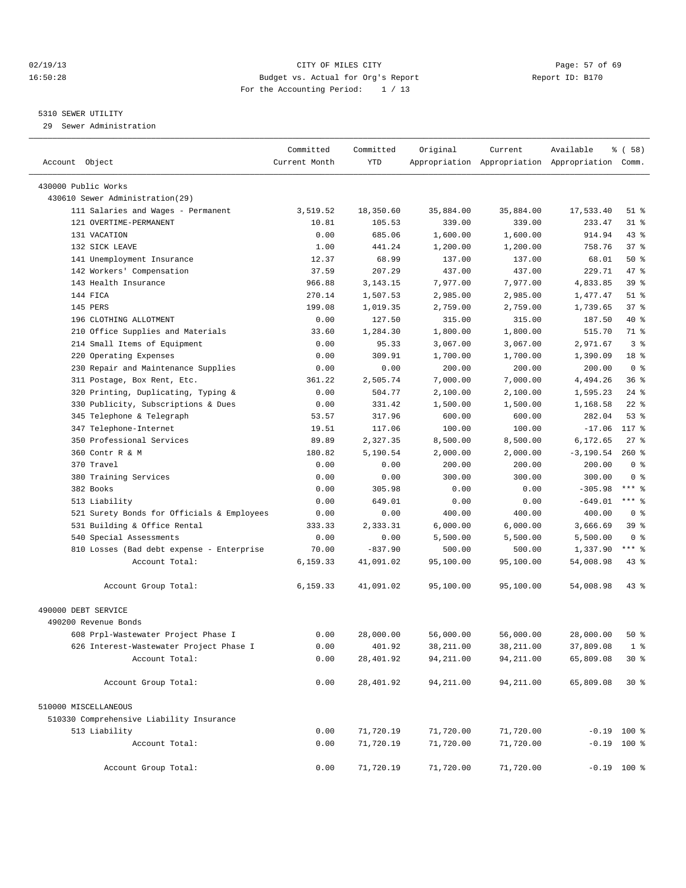## 02/19/13 Page: 57 of 69 16:50:28 Budget vs. Actual for Org's Report Report ID: B170 For the Accounting Period: 1 / 13

## 5310 SEWER UTILITY

29 Sewer Administration

| Account Object                             | Committed<br>Current Month | Committed<br>YTD | Original   | Current    | Available<br>Appropriation Appropriation Appropriation Comm. | १ ( 58 )        |  |
|--------------------------------------------|----------------------------|------------------|------------|------------|--------------------------------------------------------------|-----------------|--|
| 430000 Public Works                        |                            |                  |            |            |                                                              |                 |  |
| 430610 Sewer Administration (29)           |                            |                  |            |            |                                                              |                 |  |
| 111 Salaries and Wages - Permanent         | 3,519.52                   | 18,350.60        | 35,884.00  | 35,884.00  | 17,533.40                                                    | $51$ %          |  |
| 121 OVERTIME-PERMANENT                     | 10.81                      | 105.53           | 339.00     | 339.00     | 233.47                                                       | $31$ $%$        |  |
| 131 VACATION                               | 0.00                       | 685.06           | 1,600.00   | 1,600.00   | 914.94                                                       | $43$ $%$        |  |
| 132 SICK LEAVE                             | 1.00                       | 441.24           | 1,200.00   | 1,200.00   | 758.76                                                       | 37%             |  |
| 141 Unemployment Insurance                 | 12.37                      | 68.99            | 137.00     | 137.00     | 68.01                                                        | 50%             |  |
| 142 Workers' Compensation                  | 37.59                      | 207.29           | 437.00     | 437.00     | 229.71                                                       | 47 %            |  |
| 143 Health Insurance                       | 966.88                     | 3, 143. 15       | 7,977.00   | 7,977.00   | 4,833.85                                                     | 39 <sup>8</sup> |  |
| 144 FICA                                   | 270.14                     | 1,507.53         | 2,985.00   | 2,985.00   | 1,477.47                                                     | $51$ %          |  |
| 145 PERS                                   | 199.08                     | 1,019.35         | 2,759.00   | 2,759.00   | 1,739.65                                                     | 37%             |  |
| 196 CLOTHING ALLOTMENT                     | 0.00                       | 127.50           | 315.00     | 315.00     | 187.50                                                       | 40 %            |  |
| 210 Office Supplies and Materials          | 33.60                      | 1,284.30         | 1,800.00   | 1,800.00   | 515.70                                                       | 71 %            |  |
| 214 Small Items of Equipment               | 0.00                       | 95.33            | 3,067.00   | 3,067.00   | 2,971.67                                                     | 3 <sup>°</sup>  |  |
| Operating Expenses<br>220                  | 0.00                       | 309.91           | 1,700.00   | 1,700.00   | 1,390.09                                                     | 18 <sup>°</sup> |  |
| 230 Repair and Maintenance Supplies        | 0.00                       | 0.00             | 200.00     | 200.00     | 200.00                                                       | 0 <sup>8</sup>  |  |
| 311 Postage, Box Rent, Etc.                | 361.22                     | 2,505.74         | 7,000.00   | 7,000.00   | 4,494.26                                                     | 36%             |  |
| 320 Printing, Duplicating, Typing &        | 0.00                       | 504.77           | 2,100.00   | 2,100.00   | 1,595.23                                                     | $24$ %          |  |
| 330 Publicity, Subscriptions & Dues        | 0.00                       | 331.42           | 1,500.00   | 1,500.00   | 1,168.58                                                     | $22$ %          |  |
| Telephone & Telegraph<br>345               | 53.57                      | 317.96           | 600.00     | 600.00     | 282.04                                                       | 53%             |  |
| 347 Telephone-Internet                     | 19.51                      | 117.06           | 100.00     | 100.00     | $-17.06$                                                     | 117 %           |  |
| 350 Professional Services                  | 89.89                      | 2,327.35         | 8,500.00   | 8,500.00   | 6,172.65                                                     | $27$ %          |  |
| 360 Contr R & M                            | 180.82                     | 5,190.54         | 2,000.00   | 2,000.00   | $-3, 190.54$                                                 | $260*$          |  |
| 370 Travel                                 | 0.00                       | 0.00             | 200.00     | 200.00     | 200.00                                                       | 0 <sup>8</sup>  |  |
| 380 Training Services                      | 0.00                       | 0.00             | 300.00     | 300.00     | 300.00                                                       | 0 <sup>8</sup>  |  |
| 382 Books                                  | 0.00                       | 305.98           | 0.00       | 0.00       | $-305.98$                                                    | $***$ $_{8}$    |  |
| 513 Liability                              | 0.00                       | 649.01           | 0.00       | 0.00       | $-649.01$                                                    | *** 8           |  |
| 521 Surety Bonds for Officials & Employees | 0.00                       | 0.00             | 400.00     | 400.00     | 400.00                                                       | 0 <sup>8</sup>  |  |
| 531 Building & Office Rental               | 333.33                     | 2,333.31         | 6,000.00   | 6,000.00   | 3,666.69                                                     | 39 <sup>8</sup> |  |
| 540 Special Assessments                    | 0.00                       | 0.00             | 5,500.00   | 5,500.00   | 5,500.00                                                     | 0 <sup>8</sup>  |  |
| 810 Losses (Bad debt expense - Enterprise  | 70.00                      | $-837.90$        | 500.00     | 500.00     | 1,337.90                                                     | $***$ $%$       |  |
| Account Total:                             | 6,159.33                   | 41,091.02        | 95,100.00  | 95,100.00  | 54,008.98                                                    | $43$ $%$        |  |
| Account Group Total:                       | 6,159.33                   | 41,091.02        | 95,100.00  | 95,100.00  | 54,008.98                                                    | 43 %            |  |
| 490000 DEBT SERVICE                        |                            |                  |            |            |                                                              |                 |  |
| 490200 Revenue Bonds                       |                            |                  |            |            |                                                              |                 |  |
| 608 Prpl-Wastewater Project Phase I        | 0.00                       | 28,000.00        | 56,000.00  | 56,000.00  | 28,000.00                                                    | $50*$           |  |
| 626 Interest-Wastewater Project Phase I    | 0.00                       | 401.92           | 38,211.00  | 38,211.00  | 37,809.08                                                    | 1 <sup>8</sup>  |  |
| Account Total:                             | 0.00                       | 28,401.92        | 94, 211.00 | 94, 211.00 | 65,809.08                                                    | $30*$           |  |
| Account Group Total:                       | 0.00                       | 28,401.92        | 94,211.00  | 94,211.00  | 65,809.08                                                    | $30*$           |  |
| 510000 MISCELLANEOUS                       |                            |                  |            |            |                                                              |                 |  |
| 510330 Comprehensive Liability Insurance   |                            |                  |            |            |                                                              |                 |  |
| 513 Liability                              | 0.00                       | 71,720.19        | 71,720.00  | 71,720.00  | $-0.19$ 100 %                                                |                 |  |
| Account Total:                             | 0.00                       | 71,720.19        | 71,720.00  | 71,720.00  | $-0.19$ 100 %                                                |                 |  |
| Account Group Total:                       | 0.00                       | 71,720.19        | 71,720.00  | 71,720.00  | $-0.19$ 100 %                                                |                 |  |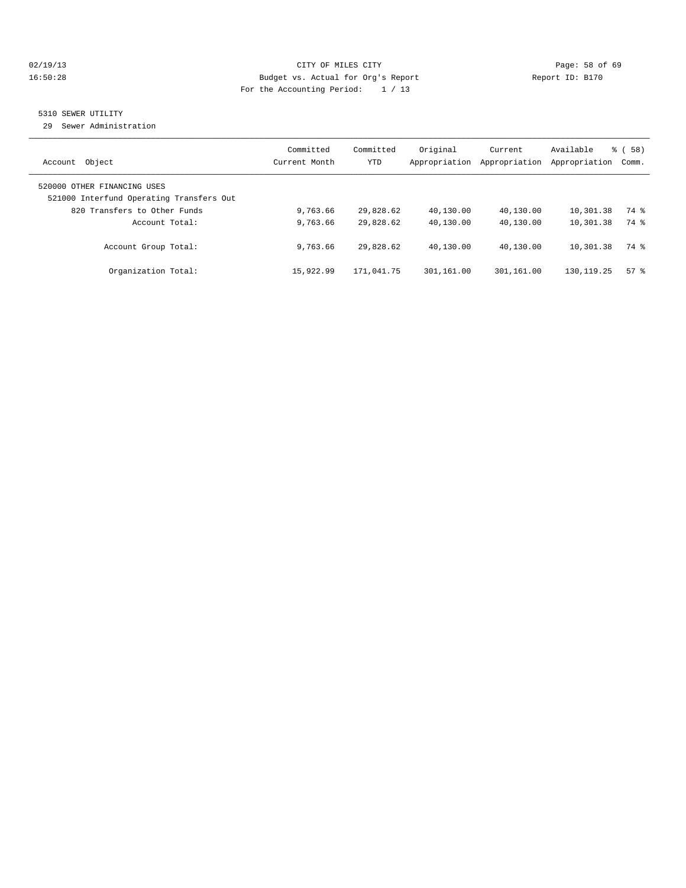## 02/19/13 Page: 58 of 69 16:50:28 Budget vs. Actual for Org's Report Report ID: B170 For the Accounting Period: 1 / 13

## 5310 SEWER UTILITY

29 Sewer Administration

| Object<br>Account                                                                                       | Committed<br>Current Month | Committed<br><b>YTD</b> | Original<br>Appropriation | Current<br>Appropriation | Available<br>Appropriation | % (58)<br>Comm. |
|---------------------------------------------------------------------------------------------------------|----------------------------|-------------------------|---------------------------|--------------------------|----------------------------|-----------------|
| 520000 OTHER FINANCING USES<br>521000 Interfund Operating Transfers Out<br>820 Transfers to Other Funds | 9,763.66                   | 29,828.62               | 40,130.00                 | 40,130.00                | 10,301.38                  | 74 %            |
| Account Total:                                                                                          | 9,763.66                   | 29,828.62               | 40,130.00                 | 40,130.00                | 10,301.38                  | 74 %            |
| Account Group Total:                                                                                    | 9,763.66                   | 29,828.62               | 40,130.00                 | 40,130.00                | 10,301.38                  | 74 %            |
| Organization Total:                                                                                     | 15,922.99                  | 171,041.75              | 301,161.00                | 301,161.00               | 130, 119. 25               | $57*$           |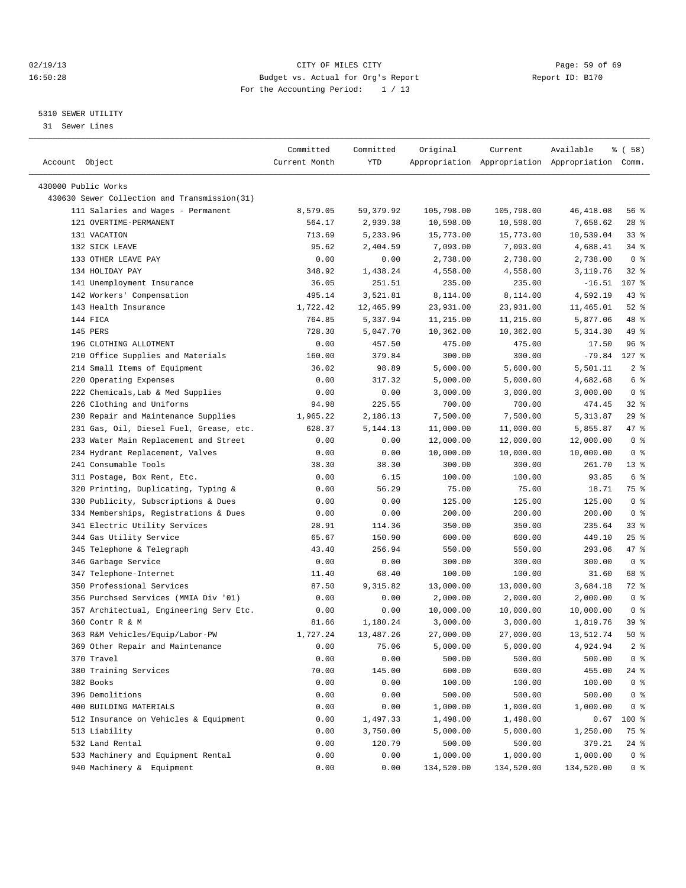## 02/19/13 Page: 59 of 69 16:50:28 Budget vs. Actual for Org's Report Report ID: B170 For the Accounting Period: 1 / 13

————————————————————————————————————————————————————————————————————————————————————————————————————————————————————————————————————

## 5310 SEWER UTILITY

31 Sewer Lines

|                                              | Committed     | Committed  | Original   | Current    | Available                                       | १ ( 58)          |
|----------------------------------------------|---------------|------------|------------|------------|-------------------------------------------------|------------------|
| Account Object                               | Current Month | YTD        |            |            | Appropriation Appropriation Appropriation Comm. |                  |
| 430000 Public Works                          |               |            |            |            |                                                 |                  |
| 430630 Sewer Collection and Transmission(31) |               |            |            |            |                                                 |                  |
| 111 Salaries and Wages - Permanent           | 8,579.05      | 59,379.92  | 105,798.00 | 105,798.00 | 46, 418.08                                      | 56 %             |
| 121 OVERTIME-PERMANENT                       | 564.17        | 2,939.38   | 10,598.00  | 10,598.00  | 7,658.62                                        | $28$ %           |
| 131 VACATION                                 | 713.69        | 5,233.96   | 15,773.00  | 15,773.00  | 10,539.04                                       | $33$ $%$         |
| 132 SICK LEAVE                               | 95.62         | 2,404.59   | 7,093.00   | 7,093.00   | 4,688.41                                        | $34$ $%$         |
| 133 OTHER LEAVE PAY                          | 0.00          | 0.00       | 2,738.00   | 2,738.00   | 2,738.00                                        | 0 <sup>8</sup>   |
| 134 HOLIDAY PAY                              | 348.92        | 1,438.24   | 4,558.00   | 4,558.00   | 3,119.76                                        | $32$ $%$         |
| 141 Unemployment Insurance                   | 36.05         | 251.51     | 235.00     | 235.00     | $-16.51$                                        | 107 <sub>8</sub> |
| 142 Workers' Compensation                    | 495.14        | 3,521.81   | 8,114.00   | 8,114.00   | 4,592.19                                        | $43$ $%$         |
| 143 Health Insurance                         | 1,722.42      | 12,465.99  | 23,931.00  | 23,931.00  | 11,465.01                                       | $52$ $%$         |
| 144 FICA                                     | 764.85        | 5,337.94   | 11,215.00  | 11,215.00  | 5,877.06                                        | 48 %             |
| 145 PERS                                     | 728.30        | 5,047.70   | 10,362.00  | 10,362.00  | 5,314.30                                        | 49 %             |
| 196 CLOTHING ALLOTMENT                       | 0.00          | 457.50     | 475.00     | 475.00     | 17.50                                           | 96%              |
| 210 Office Supplies and Materials            | 160.00        | 379.84     | 300.00     | 300.00     | $-79.84$                                        | 127 %            |
| 214 Small Items of Equipment                 | 36.02         | 98.89      | 5,600.00   | 5,600.00   | 5,501.11                                        | 2 <sub>8</sub>   |
| 220 Operating Expenses                       | 0.00          | 317.32     | 5,000.00   | 5,000.00   | 4,682.68                                        | 6 <sup>°</sup>   |
| 222 Chemicals, Lab & Med Supplies            | 0.00          | 0.00       | 3,000.00   | 3,000.00   | 3,000.00                                        | 0 <sup>8</sup>   |
| 226 Clothing and Uniforms                    | 94.98         | 225.55     | 700.00     | 700.00     | 474.45                                          | $32$ $%$         |
| 230 Repair and Maintenance Supplies          | 1,965.22      | 2,186.13   | 7,500.00   | 7,500.00   | 5, 313.87                                       | 29%              |
| 231 Gas, Oil, Diesel Fuel, Grease, etc.      | 628.37        | 5, 144. 13 | 11,000.00  | 11,000.00  | 5,855.87                                        | 47 %             |
| 233 Water Main Replacement and Street        | 0.00          | 0.00       | 12,000.00  | 12,000.00  | 12,000.00                                       | 0 <sup>8</sup>   |
| 234 Hydrant Replacement, Valves              | 0.00          | 0.00       | 10,000.00  | 10,000.00  | 10,000.00                                       | 0 <sup>8</sup>   |
| 241 Consumable Tools                         | 38.30         | 38.30      | 300.00     | 300.00     | 261.70                                          | $13*$            |
| 311 Postage, Box Rent, Etc.                  | 0.00          | 6.15       | 100.00     | 100.00     | 93.85                                           | 6 <sup>°</sup>   |
| 320 Printing, Duplicating, Typing &          | 0.00          | 56.29      | 75.00      | 75.00      | 18.71                                           | 75 %             |
| 330 Publicity, Subscriptions & Dues          | 0.00          | 0.00       | 125.00     | 125.00     | 125.00                                          | 0 <sup>8</sup>   |
| 334 Memberships, Registrations & Dues        | 0.00          | 0.00       | 200.00     | 200.00     | 200.00                                          | 0 <sup>8</sup>   |
| 341 Electric Utility Services                | 28.91         | 114.36     | 350.00     | 350.00     | 235.64                                          | 33%              |
| 344 Gas Utility Service                      | 65.67         | 150.90     | 600.00     | 600.00     | 449.10                                          | $25$ %           |
| 345 Telephone & Telegraph                    | 43.40         | 256.94     | 550.00     | 550.00     | 293.06                                          | 47 %             |
| 346 Garbage Service                          | 0.00          | 0.00       | 300.00     | 300.00     | 300.00                                          | 0 <sup>8</sup>   |
| 347 Telephone-Internet                       | 11.40         | 68.40      | 100.00     | 100.00     | 31.60                                           | 68 %             |
| 350 Professional Services                    | 87.50         | 9,315.82   | 13,000.00  | 13,000.00  | 3,684.18                                        | 72 %             |
| 356 Purchsed Services (MMIA Div '01)         | 0.00          | 0.00       | 2,000.00   | 2,000.00   | 2,000.00                                        | 0 <sup>8</sup>   |
| 357 Architectual, Engineering Serv Etc.      | 0.00          | 0.00       | 10,000.00  | 10,000.00  | 10,000.00                                       | 0 <sup>8</sup>   |
| 360 Contr R & M                              | 81.66         | 1,180.24   | 3,000.00   | 3,000.00   | 1,819.76                                        | 39 %             |
| 363 R&M Vehicles/Equip/Labor-PW              | 1,727.24      | 13,487.26  | 27,000.00  | 27,000.00  | 13,512.74                                       | 50%              |
| 369 Other Repair and Maintenance             | 0.00          | 75.06      | 5,000.00   | 5,000.00   | 4,924.94                                        | 2 <sup>8</sup>   |
| 370 Travel                                   | 0.00          | 0.00       | 500.00     | 500.00     | 500.00                                          | 0 <sup>8</sup>   |
| 380 Training Services                        | 70.00         | 145.00     | 600.00     | 600.00     | 455.00                                          | 24 %             |
| 382 Books                                    | 0.00          | 0.00       | 100.00     | 100.00     | 100.00                                          | 0 <sup>8</sup>   |
| 396 Demolitions                              | 0.00          | 0.00       | 500.00     | 500.00     | 500.00                                          | 0 <sup>8</sup>   |
| 400 BUILDING MATERIALS                       | 0.00          | 0.00       | 1,000.00   | 1,000.00   | 1,000.00                                        | 0 <sup>8</sup>   |
| 512 Insurance on Vehicles & Equipment        | 0.00          | 1,497.33   | 1,498.00   | 1,498.00   | 0.67                                            | 100 %            |
| 513 Liability                                | 0.00          | 3,750.00   | 5,000.00   | 5,000.00   | 1,250.00                                        | 75 %             |
| 532 Land Rental                              | 0.00          | 120.79     | 500.00     | 500.00     | 379.21                                          | $24$ %           |
| 533 Machinery and Equipment Rental           | 0.00          | 0.00       | 1,000.00   | 1,000.00   | 1,000.00                                        | 0 <sup>8</sup>   |
| 940 Machinery & Equipment                    | 0.00          | 0.00       | 134,520.00 | 134,520.00 | 134,520.00                                      | 0 <sup>8</sup>   |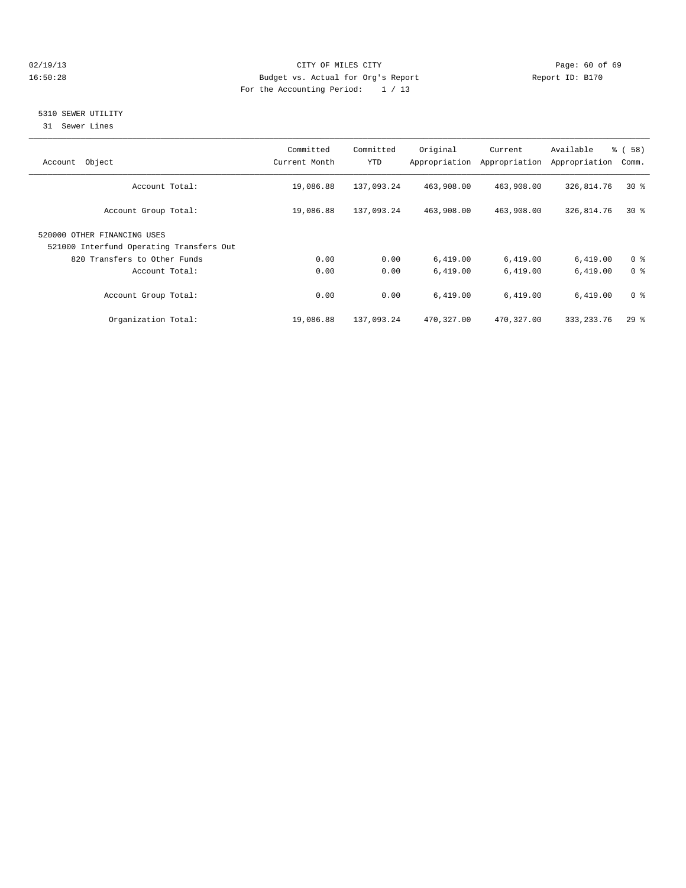## 02/19/13 Page: 60 of 69 16:50:28 Budget vs. Actual for Org's Report Report ID: B170 For the Accounting Period: 1 / 13

## 5310 SEWER UTILITY

31 Sewer Lines

| Object<br>Account                                                       | Committed<br>Current Month | Committed<br><b>YTD</b> | Original   | Current<br>Appropriation Appropriation | Available<br>Appropriation | 8 ( 58 )<br>Comm. |
|-------------------------------------------------------------------------|----------------------------|-------------------------|------------|----------------------------------------|----------------------------|-------------------|
| Account Total:                                                          | 19,086.88                  | 137,093.24              | 463,908.00 | 463,908.00                             | 326,814.76                 | $30*$             |
| Account Group Total:                                                    | 19,086.88                  | 137,093.24              | 463,908.00 | 463,908.00                             | 326,814.76                 | $30*$             |
| 520000 OTHER FINANCING USES<br>521000 Interfund Operating Transfers Out |                            |                         |            |                                        |                            |                   |
| 820 Transfers to Other Funds                                            | 0.00                       | 0.00                    | 6,419.00   | 6,419.00                               | 6,419.00                   | 0 <sup>8</sup>    |
| Account Total:                                                          | 0.00                       | 0.00                    | 6,419.00   | 6,419.00                               | 6,419.00                   | 0 <sup>8</sup>    |
| Account Group Total:                                                    | 0.00                       | 0.00                    | 6,419.00   | 6,419.00                               | 6,419.00                   | 0 <sup>8</sup>    |
| Organization Total:                                                     | 19,086.88                  | 137,093.24              | 470,327.00 | 470,327.00                             | 333, 233. 76               | 298               |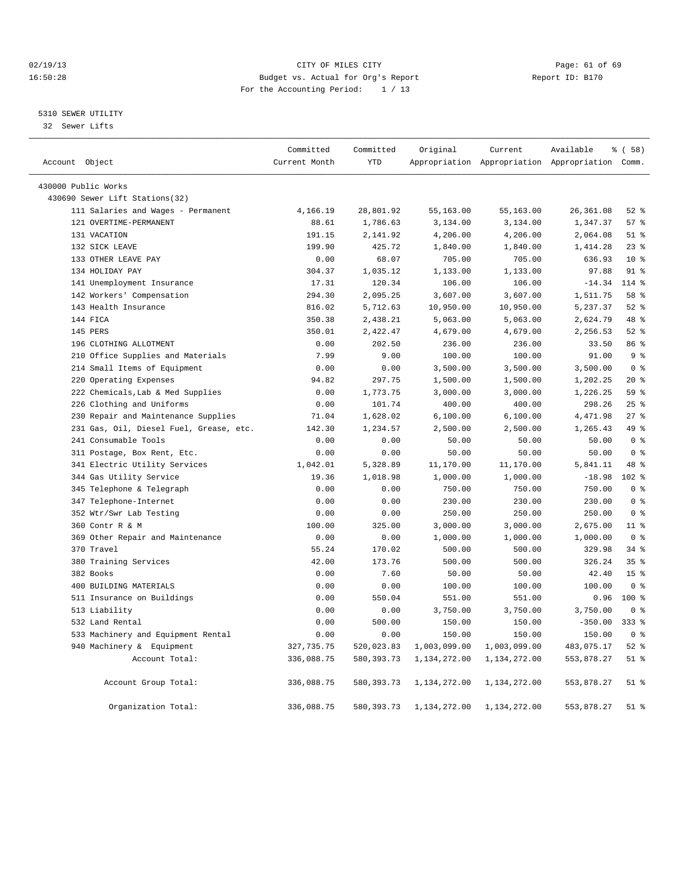## 02/19/13 Page: 61 of 69 16:50:28 Budget vs. Actual for Org's Report Report ID: B170 For the Accounting Period: 1 / 13

## 5310 SEWER UTILITY

32 Sewer Lifts

|                                         | Committed     | Committed    | Original     | Current      | Available                                       | % (58)          |  |
|-----------------------------------------|---------------|--------------|--------------|--------------|-------------------------------------------------|-----------------|--|
| Account Object                          | Current Month | <b>YTD</b>   |              |              | Appropriation Appropriation Appropriation Comm. |                 |  |
| 430000 Public Works                     |               |              |              |              |                                                 |                 |  |
| 430690 Sewer Lift Stations(32)          |               |              |              |              |                                                 |                 |  |
| 111 Salaries and Wages - Permanent      | 4,166.19      | 28,801.92    | 55,163.00    | 55,163.00    | 26, 361.08                                      | $52$ %          |  |
| 121 OVERTIME-PERMANENT                  | 88.61         | 1,786.63     | 3,134.00     | 3,134.00     | 1,347.37                                        | 57 <sub>8</sub> |  |
| 131 VACATION                            | 191.15        | 2,141.92     | 4,206.00     | 4,206.00     | 2,064.08                                        | $51$ $%$        |  |
| 132 SICK LEAVE                          | 199.90        | 425.72       | 1,840.00     | 1,840.00     | 1,414.28                                        | 23%             |  |
| 133 OTHER LEAVE PAY                     | 0.00          | 68.07        | 705.00       | 705.00       | 636.93                                          | $10*$           |  |
| 134 HOLIDAY PAY                         | 304.37        | 1,035.12     | 1,133.00     | 1,133.00     | 97.88                                           | 91 %            |  |
| 141 Unemployment Insurance              | 17.31         | 120.34       | 106.00       | 106.00       | $-14.34$                                        | $114*$          |  |
| 142 Workers' Compensation               | 294.30        | 2,095.25     | 3,607.00     | 3,607.00     | 1,511.75                                        | 58 %            |  |
| 143 Health Insurance                    | 816.02        | 5,712.63     | 10,950.00    | 10,950.00    | 5,237.37                                        | $52$ $%$        |  |
| 144 FICA                                | 350.38        | 2,438.21     | 5,063.00     | 5,063.00     | 2,624.79                                        | 48 %            |  |
| 145 PERS                                | 350.01        | 2,422.47     | 4,679.00     | 4,679.00     | 2,256.53                                        | $52$ $%$        |  |
| 196 CLOTHING ALLOTMENT                  | 0.00          | 202.50       | 236.00       | 236.00       | 33.50                                           | 86 %            |  |
| 210 Office Supplies and Materials       | 7.99          | 9.00         | 100.00       | 100.00       | 91.00                                           | 9 <sup>8</sup>  |  |
| 214 Small Items of Equipment            | 0.00          | 0.00         | 3,500.00     | 3,500.00     | 3,500.00                                        | 0 <sup>8</sup>  |  |
| 220 Operating Expenses                  | 94.82         | 297.75       | 1,500.00     | 1,500.00     | 1,202.25                                        | $20*$           |  |
| 222 Chemicals, Lab & Med Supplies       | 0.00          | 1,773.75     | 3,000.00     | 3,000.00     | 1,226.25                                        | 59 <sub>8</sub> |  |
| 226 Clothing and Uniforms               | 0.00          | 101.74       | 400.00       | 400.00       | 298.26                                          | 25%             |  |
| 230 Repair and Maintenance Supplies     | 71.04         | 1,628.02     | 6,100.00     | 6,100.00     | 4,471.98                                        | $27$ $%$        |  |
| 231 Gas, Oil, Diesel Fuel, Grease, etc. | 142.30        | 1,234.57     | 2,500.00     | 2,500.00     | 1,265.43                                        | 49 %            |  |
| 241 Consumable Tools                    | 0.00          | 0.00         | 50.00        | 50.00        | 50.00                                           | 0 <sup>8</sup>  |  |
| 311 Postage, Box Rent, Etc.             | 0.00          | 0.00         | 50.00        | 50.00        | 50.00                                           | 0 <sup>8</sup>  |  |
| 341 Electric Utility Services           | 1,042.01      | 5,328.89     | 11,170.00    | 11,170.00    | 5,841.11                                        | 48 %            |  |
| 344 Gas Utility Service                 | 19.36         | 1,018.98     | 1,000.00     | 1,000.00     | $-18.98$                                        | 102 %           |  |
| 345 Telephone & Telegraph               | 0.00          | 0.00         | 750.00       | 750.00       | 750.00                                          | 0 <sup>8</sup>  |  |
| 347 Telephone-Internet                  | 0.00          | 0.00         | 230.00       | 230.00       | 230.00                                          | 0 <sup>8</sup>  |  |
| 352 Wtr/Swr Lab Testing                 | 0.00          | 0.00         | 250.00       | 250.00       | 250.00                                          | 0 <sup>8</sup>  |  |
| 360 Contr R & M                         | 100.00        | 325.00       | 3,000.00     | 3,000.00     | 2,675.00                                        | 11 %            |  |
| 369 Other Repair and Maintenance        | 0.00          | 0.00         | 1,000.00     | 1,000.00     | 1,000.00                                        | 0 <sup>8</sup>  |  |
| 370 Travel                              | 55.24         | 170.02       | 500.00       | 500.00       | 329.98                                          | 34%             |  |
| 380 Training Services                   | 42.00         | 173.76       | 500.00       | 500.00       | 326.24                                          | 35%             |  |
| 382 Books                               | 0.00          | 7.60         | 50.00        | 50.00        | 42.40                                           | 15 <sup>8</sup> |  |
| 400 BUILDING MATERIALS                  | 0.00          | 0.00         | 100.00       | 100.00       | 100.00                                          | 0 <sup>8</sup>  |  |
| 511 Insurance on Buildings              | 0.00          | 550.04       | 551.00       | 551.00       | 0.96                                            | 100 %           |  |
| 513 Liability                           | 0.00          | 0.00         | 3,750.00     | 3,750.00     | 3,750.00                                        | 0 <sup>8</sup>  |  |
| 532 Land Rental                         | 0.00          | 500.00       | 150.00       | 150.00       | $-350.00$                                       | $333$ $%$       |  |
| 533 Machinery and Equipment Rental      | 0.00          | 0.00         | 150.00       | 150.00       | 150.00                                          | 0 <sup>8</sup>  |  |
| 940 Machinery & Equipment               | 327,735.75    | 520,023.83   | 1,003,099.00 | 1,003,099.00 | 483,075.17                                      | $52$ $%$        |  |
| Account Total:                          | 336,088.75    | 580, 393.73  | 1,134,272.00 | 1,134,272.00 | 553,878.27                                      | $51$ $%$        |  |
| Account Group Total:                    | 336,088.75    | 580, 393. 73 | 1,134,272.00 | 1,134,272.00 | 553,878.27                                      | $51$ $%$        |  |
| Organization Total:                     | 336,088.75    | 580, 393.73  | 1,134,272.00 | 1,134,272.00 | 553,878.27                                      | $51$ %          |  |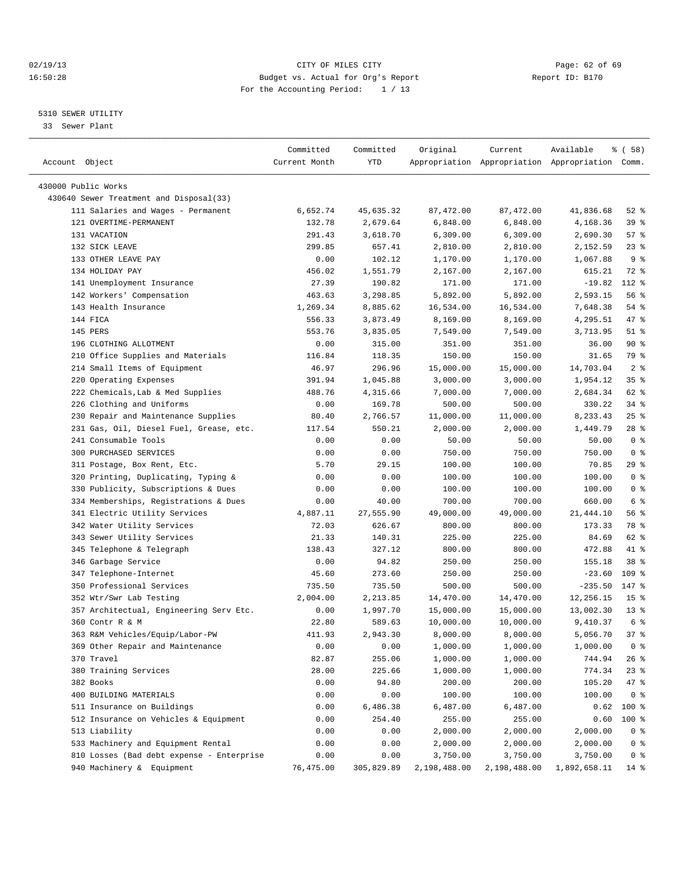## 02/19/13 Page: 62 of 69 16:50:28 Budget vs. Actual for Org's Report Report ID: B170 For the Accounting Period: 1 / 13

————————————————————————————————————————————————————————————————————————————————————————————————————————————————————————————————————

## 5310 SEWER UTILITY

33 Sewer Plant

|                                                                | Committed     | Committed  | Original     | Current                                         | Available                     | १ ( 58)         |
|----------------------------------------------------------------|---------------|------------|--------------|-------------------------------------------------|-------------------------------|-----------------|
| Account Object                                                 | Current Month | YTD        |              | Appropriation Appropriation Appropriation Comm. |                               |                 |
|                                                                |               |            |              |                                                 |                               |                 |
| 430000 Public Works<br>430640 Sewer Treatment and Disposal(33) |               |            |              |                                                 |                               |                 |
| 111 Salaries and Wages - Permanent                             | 6,652.74      | 45,635.32  | 87,472.00    | 87, 472.00                                      | 41,836.68                     | $52$ $%$        |
| 121 OVERTIME-PERMANENT                                         | 132.78        | 2,679.64   | 6,848.00     | 6,848.00                                        | 4,168.36                      | 39 %            |
| 131 VACATION                                                   | 291.43        | 3,618.70   | 6,309.00     | 6,309.00                                        | 2,690.30                      | 57%             |
| 132 SICK LEAVE                                                 | 299.85        | 657.41     | 2,810.00     | 2,810.00                                        | 2,152.59                      | $23$ $%$        |
| 133 OTHER LEAVE PAY                                            | 0.00          | 102.12     | 1,170.00     | 1,170.00                                        | 1,067.88                      | 9 <sub>8</sub>  |
| 134 HOLIDAY PAY                                                | 456.02        | 1,551.79   | 2,167.00     | 2,167.00                                        | 615.21                        | 72 %            |
| 141 Unemployment Insurance                                     | 27.39         | 190.82     | 171.00       | 171.00                                          | $-19.82$                      | 112 %           |
| 142 Workers' Compensation                                      | 463.63        | 3,298.85   | 5,892.00     | 5,892.00                                        | 2,593.15                      | 56 %            |
| 143 Health Insurance                                           | 1,269.34      | 8,885.62   | 16,534.00    | 16,534.00                                       | 7,648.38                      | 54 %            |
| 144 FICA                                                       | 556.33        | 3,873.49   | 8,169.00     | 8,169.00                                        | 4,295.51                      | 47 %            |
| 145 PERS                                                       | 553.76        | 3,835.05   | 7,549.00     | 7,549.00                                        | 3,713.95                      | $51$ %          |
| 196 CLOTHING ALLOTMENT                                         | 0.00          | 315.00     | 351.00       | 351.00                                          | 36.00                         | 90%             |
| 210 Office Supplies and Materials                              | 116.84        | 118.35     | 150.00       | 150.00                                          | 31.65                         | 79 %            |
| 214 Small Items of Equipment                                   | 46.97         | 296.96     | 15,000.00    | 15,000.00                                       | 14,703.04                     | 2 <sup>°</sup>  |
| 220 Operating Expenses                                         | 391.94        | 1,045.88   | 3,000.00     | 3,000.00                                        | 1,954.12                      | 35%             |
| 222 Chemicals, Lab & Med Supplies                              | 488.76        | 4,315.66   | 7,000.00     | 7,000.00                                        | 2,684.34                      | 62 %            |
| 226 Clothing and Uniforms                                      | 0.00          | 169.78     | 500.00       | 500.00                                          | 330.22                        | $34$ $%$        |
| 230 Repair and Maintenance Supplies                            | 80.40         | 2,766.57   | 11,000.00    | 11,000.00                                       | 8,233.43                      | 25%             |
| 231 Gas, Oil, Diesel Fuel, Grease, etc.                        | 117.54        | 550.21     | 2,000.00     | 2,000.00                                        | 1,449.79                      | 28 %            |
| 241 Consumable Tools                                           | 0.00          | 0.00       | 50.00        | 50.00                                           | 50.00                         | 0 <sup>8</sup>  |
| 300 PURCHASED SERVICES                                         | 0.00          | 0.00       | 750.00       | 750.00                                          | 750.00                        | 0 <sup>8</sup>  |
| 311 Postage, Box Rent, Etc.                                    | 5.70          | 29.15      | 100.00       | 100.00                                          | 70.85                         | 29 %            |
| 320 Printing, Duplicating, Typing &                            | 0.00          | 0.00       | 100.00       | 100.00                                          | 100.00                        | 0 <sup>8</sup>  |
| 330 Publicity, Subscriptions & Dues                            | 0.00          | 0.00       | 100.00       | 100.00                                          | 100.00                        | 0 <sup>8</sup>  |
| 334 Memberships, Registrations & Dues                          | 0.00          | 40.00      | 700.00       | 700.00                                          | 660.00                        | 6 <sup>°</sup>  |
| 341 Electric Utility Services                                  | 4,887.11      | 27,555.90  | 49,000.00    | 49,000.00                                       | 21,444.10                     | 56%             |
| 342 Water Utility Services                                     | 72.03         | 626.67     | 800.00       | 800.00                                          | 173.33                        | 78 %            |
| 343 Sewer Utility Services                                     | 21.33         | 140.31     | 225.00       | 225.00                                          | 84.69                         | 62 %            |
| 345 Telephone & Telegraph                                      | 138.43        | 327.12     | 800.00       | 800.00                                          | 472.88                        | 41 %            |
| 346 Garbage Service                                            | 0.00          | 94.82      | 250.00       | 250.00                                          | 155.18                        | 38 %            |
| 347 Telephone-Internet                                         | 45.60         | 273.60     | 250.00       | 250.00                                          | $-23.60$                      | 109 %           |
| 350 Professional Services                                      | 735.50        | 735.50     | 500.00       | 500.00                                          | $-235.50$                     | 147 %           |
| 352 Wtr/Swr Lab Testing                                        | 2,004.00      | 2,213.85   | 14,470.00    | 14,470.00                                       | 12,256.15                     | 15 <sup>°</sup> |
| 357 Architectual, Engineering Serv Etc.                        | 0.00          | 1,997.70   | 15,000.00    | 15,000.00                                       | 13,002.30                     | $13*$           |
| 360 Contr R & M                                                | 22.80         | 589.63     | 10,000.00    | 10,000.00                                       | 9,410.37                      | 6 %             |
| 363 R&M Vehicles/Equip/Labor-PW                                | 411.93        | 2,943.30   | 8,000.00     | 8,000.00                                        | 5,056.70                      | 37%             |
| 369 Other Repair and Maintenance                               | 0.00          | 0.00       | 1,000.00     | 1,000.00                                        | 1,000.00                      | 0 %             |
| 370 Travel                                                     | 82.87         | 255.06     | 1,000.00     | 1,000.00                                        | 744.94                        | $26$ %          |
| 380 Training Services                                          | 28.00         | 225.66     | 1,000.00     | 1,000.00                                        | 774.34                        | $23*$           |
| 382 Books                                                      | 0.00          | 94.80      | 200.00       | 200.00                                          | 105.20                        | 47 %            |
| 400 BUILDING MATERIALS                                         | 0.00          | 0.00       | 100.00       | 100.00                                          | 100.00                        | 0 <sup>8</sup>  |
| 511 Insurance on Buildings                                     | 0.00          | 6,486.38   | 6,487.00     | 6,487.00                                        | 0.62                          | 100 %           |
| 512 Insurance on Vehicles & Equipment                          | 0.00          | 254.40     | 255.00       | 255.00                                          | 0.60                          | $100$ %         |
| 513 Liability                                                  | 0.00          | 0.00       | 2,000.00     | 2,000.00                                        | 2,000.00                      | 0 <sup>8</sup>  |
| 533 Machinery and Equipment Rental                             | 0.00          | 0.00       | 2,000.00     | 2,000.00                                        | 2,000.00                      | 0 <sup>8</sup>  |
| 810 Losses (Bad debt expense - Enterprise                      | 0.00          | 0.00       | 3,750.00     | 3,750.00                                        | 3,750.00                      | 0 <sup>8</sup>  |
| 940 Machinery & Equipment                                      | 76,475.00     | 305,829.89 | 2,198,488.00 |                                                 | 2, 198, 488.00 1, 892, 658.11 | 14 %            |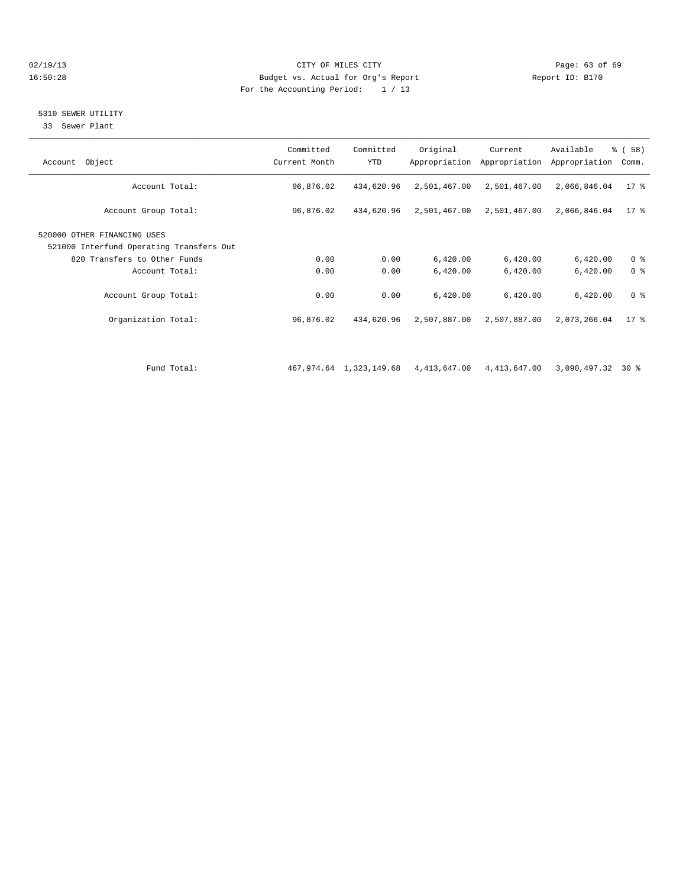## 02/19/13 Page: 63 of 69 16:50:28 Budget vs. Actual for Org's Report Report ID: B170 For the Accounting Period: 1 / 13

## 5310 SEWER UTILITY

33 Sewer Plant

| Account Object                                                          | Committed<br>Current Month | Committed<br><b>YTD</b> | Original                                          | Current<br>Appropriation Appropriation | Available<br>Appropriation | % (58)<br>Comm. |
|-------------------------------------------------------------------------|----------------------------|-------------------------|---------------------------------------------------|----------------------------------------|----------------------------|-----------------|
| Account Total:                                                          | 96,876.02                  | 434,620.96              | 2,501,467.00                                      | 2,501,467.00                           | 2,066,846.04               | $17$ %          |
| Account Group Total:                                                    | 96,876.02                  | 434,620.96              | 2,501,467.00                                      | 2,501,467.00                           | 2,066,846.04               | $17*$           |
| 520000 OTHER FINANCING USES<br>521000 Interfund Operating Transfers Out |                            |                         |                                                   |                                        |                            |                 |
| 820 Transfers to Other Funds                                            | 0.00                       | 0.00                    | 6,420.00                                          | 6,420.00                               | 6,420.00                   | 0 <sup>8</sup>  |
| Account Total:                                                          | 0.00                       | 0.00                    | 6,420.00                                          | 6,420.00                               | 6,420.00                   | 0 <sup>8</sup>  |
| Account Group Total:                                                    | 0.00                       | 0.00                    | 6,420.00                                          | 6,420.00                               | 6,420.00                   | 0 <sup>8</sup>  |
| Organization Total:                                                     | 96,876.02                  | 434,620.96              | 2,507,887.00                                      | 2,507,887.00                           | 2,073,266.04               | $17*$           |
|                                                                         |                            |                         |                                                   |                                        |                            |                 |
| Fund Total:                                                             |                            |                         | 467,974.64 1,323,149.68 4,413,647.00 4,413,647.00 |                                        | $3.090.497.32$ 30 %        |                 |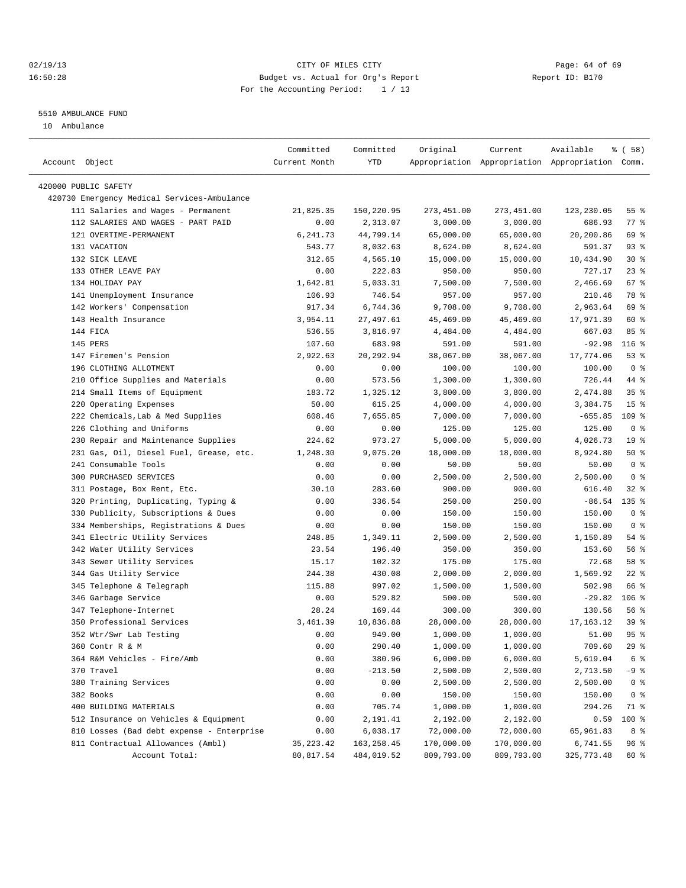## 02/19/13 Page: 64 of 69 16:50:28 Budget vs. Actual for Org's Report Changer Report ID: B170 For the Accounting Period: 1 / 13

————————————————————————————————————————————————————————————————————————————————————————————————————————————————————————————————————

### 5510 AMBULANCE FUND

10 Ambulance

| Account Object<br>Current Month<br>YTD<br>Appropriation Appropriation Appropriation Comm.<br>420000 PUBLIC SAFETY |            |                 |
|-------------------------------------------------------------------------------------------------------------------|------------|-----------------|
|                                                                                                                   |            |                 |
|                                                                                                                   |            |                 |
| 420730 Emergency Medical Services-Ambulance                                                                       |            |                 |
| 111 Salaries and Wages - Permanent<br>21,825.35<br>150,220.95<br>273,451.00<br>273,451.00                         | 123,230.05 | 55%             |
| 112 SALARIES AND WAGES - PART PAID<br>3,000.00<br>0.00<br>2,313.07<br>3,000.00                                    | 686.93     | 77 %            |
| 121 OVERTIME-PERMANENT<br>44,799.14<br>65,000.00<br>65,000.00<br>6,241.73                                         | 20,200.86  | 69 %            |
| 131 VACATION<br>543.77<br>8,032.63<br>8,624.00<br>8,624.00                                                        | 591.37     | $93$ $%$        |
| 132 SICK LEAVE<br>15,000.00<br>312.65<br>4,565.10<br>15,000.00                                                    | 10,434.90  | $30*$           |
| 133 OTHER LEAVE PAY<br>0.00<br>222.83<br>950.00<br>950.00                                                         | 727.17     | $23$ $%$        |
| 134 HOLIDAY PAY<br>1,642.81<br>5,033.31<br>7,500.00<br>7,500.00                                                   | 2,466.69   | 67 %            |
| 141 Unemployment Insurance<br>106.93<br>746.54<br>957.00<br>957.00                                                | 210.46     | 78 %            |
| 142 Workers' Compensation<br>917.34<br>6,744.36<br>9,708.00<br>9,708.00                                           | 2,963.64   | 69 %            |
| 3,954.11<br>143 Health Insurance<br>27,497.61<br>45,469.00<br>45,469.00                                           | 17,971.39  | 60 %            |
| 144 FICA<br>536.55<br>3,816.97<br>4,484.00<br>4,484.00                                                            | 667.03     | 85%             |
| 145 PERS<br>107.60<br>683.98<br>591.00<br>591.00                                                                  | $-92.98$   | $116$ %         |
| 147 Firemen's Pension<br>2,922.63<br>20,292.94<br>38,067.00<br>38,067.00                                          | 17,774.06  | 53%             |
| 196 CLOTHING ALLOTMENT<br>100.00<br>0.00<br>0.00<br>100.00                                                        | 100.00     | 0 <sup>8</sup>  |
| 210 Office Supplies and Materials<br>0.00<br>573.56<br>1,300.00<br>1,300.00                                       | 726.44     | 44 %            |
| 214 Small Items of Equipment<br>183.72<br>1,325.12<br>3,800.00<br>3,800.00                                        | 2,474.88   | 35%             |
| 220 Operating Expenses<br>50.00<br>615.25<br>4,000.00<br>4,000.00                                                 | 3,384.75   | 15 <sup>8</sup> |
| 222 Chemicals, Lab & Med Supplies<br>7,655.85<br>7,000.00<br>608.46<br>7,000.00                                   | $-655.85$  | 109 %           |
| 226 Clothing and Uniforms<br>0.00<br>125.00<br>125.00<br>0.00                                                     | 125.00     | 0 <sup>8</sup>  |
| 230 Repair and Maintenance Supplies<br>5,000.00<br>224.62<br>973.27<br>5,000.00                                   | 4,026.73   | 19 <sup>°</sup> |
| 231 Gas, Oil, Diesel Fuel, Grease, etc.<br>18,000.00<br>1,248.30<br>9,075.20<br>18,000.00                         | 8,924.80   | 50%             |
| 241 Consumable Tools<br>0.00<br>0.00<br>50.00<br>50.00                                                            | 50.00      | 0 <sup>8</sup>  |
| 300 PURCHASED SERVICES<br>0.00<br>2,500.00<br>0.00<br>2,500.00                                                    | 2,500.00   | 0 <sup>8</sup>  |
| 311 Postage, Box Rent, Etc.<br>30.10<br>283.60<br>900.00<br>900.00                                                | 616.40     | 32 %            |
| 320 Printing, Duplicating, Typing &<br>0.00<br>336.54<br>250.00<br>250.00                                         | $-86.54$   | $135$ %         |
| 330 Publicity, Subscriptions & Dues<br>0.00<br>0.00<br>150.00<br>150.00                                           | 150.00     | 0 <sup>8</sup>  |
| 334 Memberships, Registrations & Dues<br>150.00<br>150.00<br>0.00<br>0.00                                         | 150.00     | 0 <sup>8</sup>  |
| 341 Electric Utility Services<br>248.85<br>1,349.11<br>2,500.00<br>2,500.00                                       | 1,150.89   | 54 %            |
| 342 Water Utility Services<br>23.54<br>196.40<br>350.00<br>350.00                                                 | 153.60     | 56%             |
| 343 Sewer Utility Services<br>102.32<br>175.00<br>15.17<br>175.00                                                 | 72.68      | 58 %            |
| 344 Gas Utility Service<br>244.38<br>430.08<br>2,000.00<br>2,000.00                                               | 1,569.92   | $22$ %          |
| 345 Telephone & Telegraph<br>115.88<br>997.02<br>1,500.00<br>1,500.00                                             | 502.98     | 66 %            |
| 346 Garbage Service<br>0.00<br>529.82<br>500.00<br>500.00                                                         | $-29.82$   | $106$ %         |
| 347 Telephone-Internet<br>28.24<br>169.44<br>300.00<br>300.00                                                     | 130.56     | 56 %            |
| 350 Professional Services<br>3,461.39<br>10,836.88<br>28,000.00<br>28,000.00                                      | 17,163.12  | 39%             |
| 0.00<br>949.00<br>1,000.00<br>352 Wtr/Swr Lab Testing<br>1,000.00                                                 | 51.00      | 95%             |
| 360 Contr R & M<br>0.00<br>290.40<br>1,000.00<br>1,000.00                                                         | 709.60     | $29$ %          |
| 364 R&M Vehicles - Fire/Amb<br>0.00<br>380.96<br>6,000.00<br>6,000.00                                             | 5,619.04   | 6 <sup>8</sup>  |
| 370 Travel<br>0.00<br>$-213.50$<br>2,500.00<br>2,500.00                                                           | 2,713.50   | -9 %            |
| 380 Training Services<br>0.00<br>0.00<br>2,500.00<br>2,500.00                                                     | 2,500.00   | 0 <sup>8</sup>  |
| 382 Books<br>0.00<br>0.00<br>150.00<br>150.00                                                                     | 150.00     | 0 <sup>8</sup>  |
| 400 BUILDING MATERIALS<br>0.00<br>705.74<br>1,000.00<br>1,000.00                                                  | 294.26     | 71 %            |
| 512 Insurance on Vehicles & Equipment<br>0.00<br>2,191.41<br>2,192.00<br>2,192.00                                 | 0.59       | 100 %           |
| 810 Losses (Bad debt expense - Enterprise<br>0.00<br>6,038.17<br>72,000.00<br>72,000.00                           | 65,961.83  | 8 %             |
| 811 Contractual Allowances (Ambl)<br>35, 223.42<br>163, 258.45<br>170,000.00<br>170,000.00                        | 6,741.55   | 96 %            |
| Account Total:<br>80,817.54<br>484,019.52<br>809,793.00<br>809,793.00                                             | 325,773.48 | 60 %            |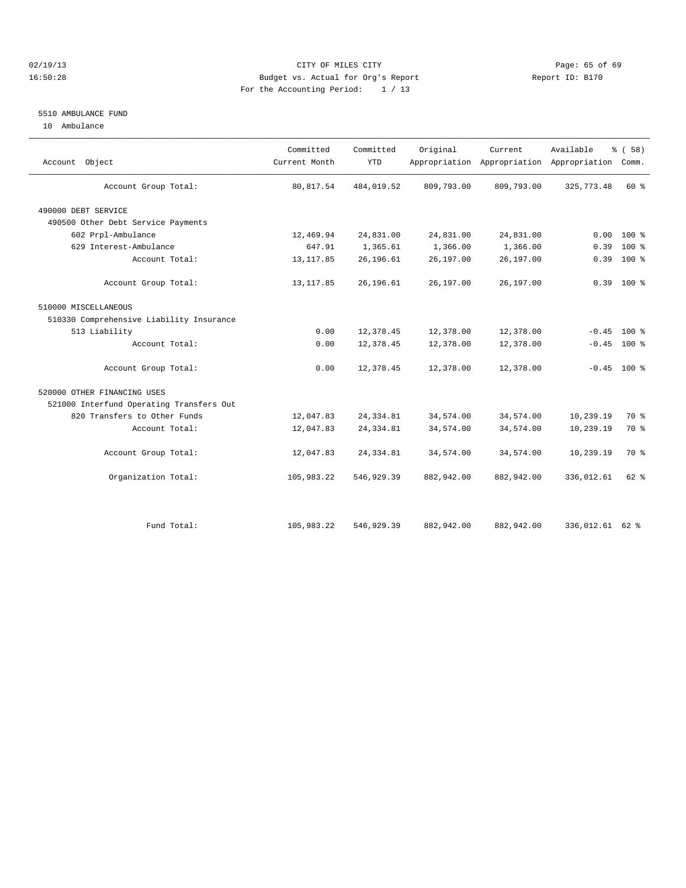## 02/19/13 Page: 65 of 69 16:50:28 Budget vs. Actual for Org's Report Report ID: B170 For the Accounting Period: 1 / 13

## 5510 AMBULANCE FUND

10 Ambulance

| Account Object                           | Committed<br>Current Month | Committed<br><b>YTD</b> | Original   | Current    | Available<br>Appropriation Appropriation Appropriation | % (58)<br>Comm. |  |
|------------------------------------------|----------------------------|-------------------------|------------|------------|--------------------------------------------------------|-----------------|--|
| Account Group Total:                     | 80, 817.54                 | 484,019.52              | 809,793.00 | 809,793.00 | 325, 773.48                                            | 60 %            |  |
| 490000 DEBT SERVICE                      |                            |                         |            |            |                                                        |                 |  |
| 490500 Other Debt Service Payments       |                            |                         |            |            |                                                        |                 |  |
| 602 Prpl-Ambulance                       | 12,469.94                  | 24,831.00               | 24,831.00  | 24,831.00  | 0.00                                                   | $100*$          |  |
| 629 Interest-Ambulance                   | 647.91                     | 1,365.61                | 1,366.00   | 1,366.00   | 0.39                                                   | $100*$          |  |
| Account Total:                           | 13, 117.85                 | 26,196.61               | 26,197.00  | 26,197.00  | 0.39                                                   | $100*$          |  |
| Account Group Total:                     | 13, 117.85                 | 26,196.61               | 26,197.00  | 26,197.00  |                                                        | $0.39$ 100 %    |  |
| 510000 MISCELLANEOUS                     |                            |                         |            |            |                                                        |                 |  |
| 510330 Comprehensive Liability Insurance |                            |                         |            |            |                                                        |                 |  |
| 513 Liability                            | 0.00                       | 12,378.45               | 12,378.00  | 12,378.00  | $-0.45$                                                | 100 %           |  |
| Account Total:                           | 0.00                       | 12,378.45               | 12,378.00  | 12,378.00  | $-0.45$                                                | 100 %           |  |
| Account Group Total:                     | 0.00                       | 12,378.45               | 12,378.00  | 12,378.00  |                                                        | $-0.45$ 100 %   |  |
| 520000 OTHER FINANCING USES              |                            |                         |            |            |                                                        |                 |  |
| 521000 Interfund Operating Transfers Out |                            |                         |            |            |                                                        |                 |  |
| 820 Transfers to Other Funds             | 12,047.83                  | 24, 334.81              | 34,574.00  | 34,574.00  | 10,239.19                                              | 70 %            |  |
| Account Total:                           | 12,047.83                  | 24, 334.81              | 34,574.00  | 34,574.00  | 10,239.19                                              | 70 %            |  |
| Account Group Total:                     | 12,047.83                  | 24, 334.81              | 34,574.00  | 34,574.00  | 10,239.19                                              | 70 %            |  |
| Organization Total:                      | 105,983.22                 | 546,929.39              | 882,942.00 | 882,942.00 | 336,012.61                                             | $62$ $%$        |  |
|                                          |                            |                         |            |            |                                                        |                 |  |
| Fund Total:                              | 105,983.22                 | 546, 929.39             | 882,942.00 | 882,942.00 | 336,012.61 62 %                                        |                 |  |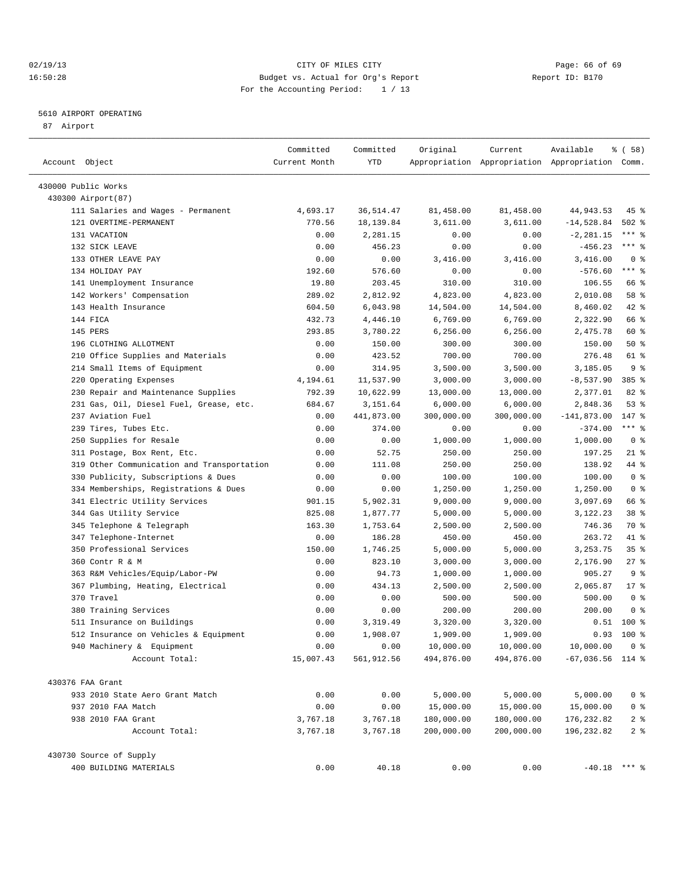## 02/19/13 Page: 66 of 69 16:50:28 Budget vs. Actual for Org's Report Report ID: B170 For the Accounting Period: 1 / 13

————————————————————————————————————————————————————————————————————————————————————————————————————————————————————————————————————

## 5610 AIRPORT OPERATING

87 Airport

| Account Object                             | Committed<br>Current Month | Committed<br>YTD | Original   | Current    | Available<br>Appropriation Appropriation Appropriation Comm. | १ ( 58)           |
|--------------------------------------------|----------------------------|------------------|------------|------------|--------------------------------------------------------------|-------------------|
|                                            |                            |                  |            |            |                                                              |                   |
| 430000 Public Works                        |                            |                  |            |            |                                                              |                   |
| 430300 Airport(87)                         |                            |                  |            |            |                                                              |                   |
| 111 Salaries and Wages - Permanent         | 4,693.17                   | 36, 514.47       | 81,458.00  | 81,458.00  | 44,943.53                                                    | 45 %              |
| 121 OVERTIME-PERMANENT                     | 770.56                     | 18, 139.84       | 3,611.00   | 3,611.00   | $-14,528.84$                                                 | $502$ %           |
| 131 VACATION                               | 0.00                       | 2,281.15         | 0.00       | 0.00       | $-2, 281.15$                                                 | $***$ 8           |
| 132 SICK LEAVE                             | 0.00                       | 456.23           | 0.00       | 0.00       | $-456.23$                                                    | $***$ $-$         |
| 133 OTHER LEAVE PAY                        | 0.00                       | 0.00             | 3,416.00   | 3,416.00   | 3,416.00                                                     | 0 <sup>8</sup>    |
| 134 HOLIDAY PAY                            | 192.60                     | 576.60           | 0.00       | 0.00       | $-576.60$                                                    | $***$ $-$         |
| 141 Unemployment Insurance                 | 19.80                      | 203.45           | 310.00     | 310.00     | 106.55                                                       | 66 %              |
| 142 Workers' Compensation                  | 289.02                     | 2,812.92         | 4,823.00   | 4,823.00   | 2,010.08                                                     | 58 %              |
| 143 Health Insurance                       | 604.50                     | 6,043.98         | 14,504.00  | 14,504.00  | 8,460.02                                                     | 42 %              |
| 144 FICA                                   | 432.73                     | 4,446.10         | 6,769.00   | 6,769.00   | 2,322.90                                                     | 66 %              |
| 145 PERS                                   | 293.85                     | 3,780.22         | 6, 256.00  | 6,256.00   | 2,475.78                                                     | 60 %              |
| 196 CLOTHING ALLOTMENT                     | 0.00                       | 150.00           | 300.00     | 300.00     | 150.00                                                       | 50%               |
| 210 Office Supplies and Materials          | 0.00                       | 423.52           | 700.00     | 700.00     | 276.48                                                       | 61 %              |
| 214 Small Items of Equipment               | 0.00                       | 314.95           | 3,500.00   | 3,500.00   | 3,185.05                                                     | 9 <sup>8</sup>    |
| 220 Operating Expenses                     | 4,194.61                   | 11,537.90        | 3,000.00   | 3,000.00   | $-8,537.90$                                                  | 385 %             |
| 230 Repair and Maintenance Supplies        | 792.39                     | 10,622.99        | 13,000.00  | 13,000.00  | 2,377.01                                                     | $82$ $%$          |
| 231 Gas, Oil, Diesel Fuel, Grease, etc.    | 684.67                     | 3,151.64         | 6,000.00   | 6,000.00   | 2,848.36                                                     | 53%               |
| 237 Aviation Fuel                          | 0.00                       | 441,873.00       | 300,000.00 | 300,000.00 | $-141,873.00$                                                | 147 %             |
| Tires, Tubes Etc.<br>239                   | 0.00                       | 374.00           | 0.00       | 0.00       | $-374.00$                                                    | $***$ $-$         |
| 250 Supplies for Resale                    | 0.00                       | 0.00             | 1,000.00   | 1,000.00   | 1,000.00                                                     | 0 <sup>8</sup>    |
| 311 Postage, Box Rent, Etc.                | 0.00                       | 52.75            | 250.00     | 250.00     | 197.25                                                       | $21$ %            |
| 319 Other Communication and Transportation | 0.00                       | 111.08           | 250.00     | 250.00     | 138.92                                                       | 44 %              |
| 330 Publicity, Subscriptions & Dues        | 0.00                       | 0.00             | 100.00     | 100.00     | 100.00                                                       | 0 <sup>8</sup>    |
| 334 Memberships, Registrations & Dues      | 0.00                       | 0.00             | 1,250.00   | 1,250.00   | 1,250.00                                                     | 0 <sup>8</sup>    |
| 341 Electric Utility Services              | 901.15                     | 5,902.31         | 9,000.00   | 9,000.00   | 3,097.69                                                     | 66 %              |
| 344 Gas Utility Service                    | 825.08                     | 1,877.77         | 5,000.00   | 5,000.00   | 3,122.23                                                     | 38 %              |
| 345 Telephone & Telegraph                  | 163.30                     | 1,753.64         | 2,500.00   | 2,500.00   | 746.36                                                       | 70 %              |
| 347 Telephone-Internet                     | 0.00                       | 186.28           | 450.00     | 450.00     | 263.72                                                       | 41 %              |
| Professional Services<br>350               | 150.00                     | 1,746.25         | 5,000.00   | 5,000.00   | 3, 253. 75                                                   | 35 <sup>8</sup>   |
| 360 Contr R & M                            | 0.00                       | 823.10           | 3,000.00   | 3,000.00   | 2,176.90                                                     | $27$ %            |
| 363 R&M Vehicles/Equip/Labor-PW            | 0.00                       | 94.73            | 1,000.00   | 1,000.00   | 905.27                                                       | 9 <sub>8</sub>    |
| 367 Plumbing, Heating, Electrical          | 0.00                       | 434.13           | 2,500.00   | 2,500.00   | 2,065.87                                                     | $17*$             |
| 370 Travel                                 | 0.00                       | 0.00             | 500.00     | 500.00     | 500.00                                                       | 0 <sup>8</sup>    |
| 380 Training Services                      | 0.00                       | 0.00             | 200.00     | 200.00     | 200.00                                                       | 0 <sup>8</sup>    |
| 511 Insurance on Buildings                 | 0.00                       | 3,319.49         | 3,320.00   | 3,320.00   | 0.51                                                         | 100 %             |
| 512 Insurance on Vehicles & Equipment      | 0.00                       | 1,908.07         | 1,909.00   | 1,909.00   | 0.93                                                         | $100*$            |
| 940 Machinery & Equipment                  | 0.00                       | 0.00             | 10,000.00  | 10,000.00  | 10,000.00                                                    | 0 <sup>8</sup>    |
| Account Total:                             | 15,007.43                  | 561,912.56       | 494,876.00 | 494,876.00 | $-67,036.56$ 114 %                                           |                   |
| 430376 FAA Grant                           |                            |                  |            |            |                                                              |                   |
| 933 2010 State Aero Grant Match            | 0.00                       | 0.00             | 5,000.00   | 5,000.00   | 5,000.00                                                     | 0 %               |
| 937 2010 FAA Match                         | 0.00                       | 0.00             | 15,000.00  | 15,000.00  | 15,000.00                                                    | $0$ %             |
| 938 2010 FAA Grant                         | 3,767.18                   | 3,767.18         | 180,000.00 | 180,000.00 | 176,232.82                                                   | $2$ $\frac{6}{9}$ |
| Account Total:                             | 3,767.18                   | 3,767.18         | 200,000.00 | 200,000.00 | 196,232.82                                                   | 2 <sup>8</sup>    |
| 430730 Source of Supply                    |                            |                  |            |            |                                                              |                   |
| 400 BUILDING MATERIALS                     | 0.00                       | 40.18            | 0.00       | 0.00       | $-40.18$ *** \$                                              |                   |
|                                            |                            |                  |            |            |                                                              |                   |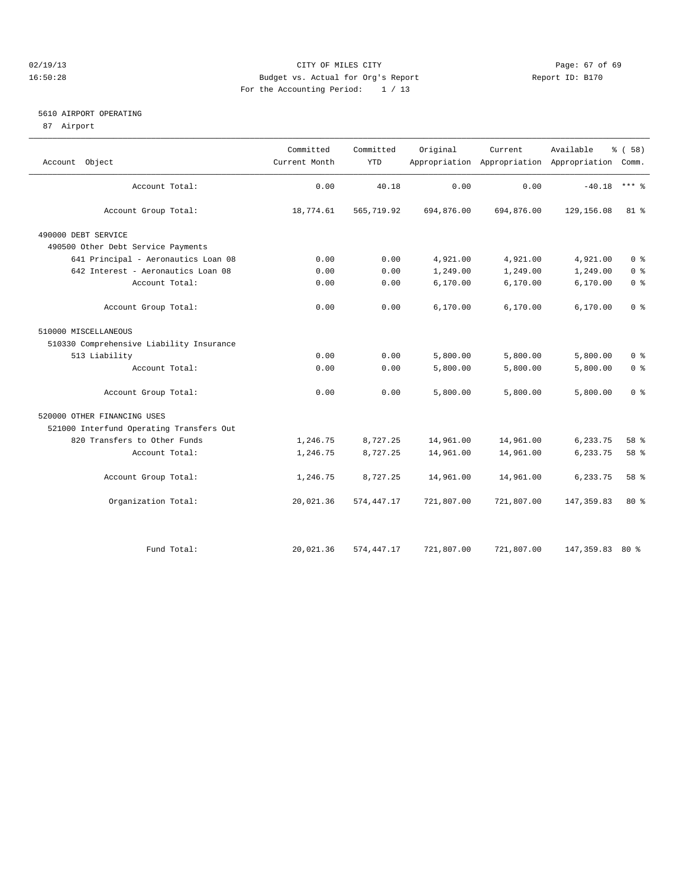## 02/19/13 Page: 67 of 69 16:50:28 Budget vs. Actual for Org's Report Report ID: B170 For the Accounting Period: 1 / 13

## 5610 AIRPORT OPERATING

87 Airport

| Object                                   | Committed<br>Current Month | Committed<br><b>YTD</b> | Original   | Current    | Available<br>Appropriation Appropriation Appropriation Comm. | % (58)         |
|------------------------------------------|----------------------------|-------------------------|------------|------------|--------------------------------------------------------------|----------------|
| Account                                  |                            |                         |            |            |                                                              |                |
| Account Total:                           | 0.00                       | 40.18                   | 0.00       | 0.00       | $-40.18$                                                     | $***$ $=$      |
| Account Group Total:                     | 18,774.61                  | 565,719.92              | 694,876.00 | 694,876.00 | 129, 156.08                                                  | $81*$          |
| 490000 DEBT SERVICE                      |                            |                         |            |            |                                                              |                |
| 490500 Other Debt Service Payments       |                            |                         |            |            |                                                              |                |
| 641 Principal - Aeronautics Loan 08      | 0.00                       | 0.00                    | 4,921.00   | 4,921.00   | 4,921.00                                                     | 0 <sup>8</sup> |
| 642 Interest - Aeronautics Loan 08       | 0.00                       | 0.00                    | 1,249.00   | 1,249.00   | 1,249.00                                                     | 0 <sup>8</sup> |
| Account Total:                           | 0.00                       | 0.00                    | 6, 170.00  | 6,170.00   | 6,170.00                                                     | 0 <sup>°</sup> |
| Account Group Total:                     | 0.00                       | 0.00                    | 6,170.00   | 6,170.00   | 6,170.00                                                     | 0 <sup>8</sup> |
| 510000 MISCELLANEOUS                     |                            |                         |            |            |                                                              |                |
| 510330 Comprehensive Liability Insurance |                            |                         |            |            |                                                              |                |
| 513 Liability                            | 0.00                       | 0.00                    | 5,800.00   | 5,800.00   | 5,800.00                                                     | 0 <sup>8</sup> |
| Account Total:                           | 0.00                       | 0.00                    | 5,800.00   | 5,800.00   | 5,800.00                                                     | 0 <sup>8</sup> |
| Account Group Total:                     | 0.00                       | 0.00                    | 5,800.00   | 5,800.00   | 5,800.00                                                     | 0 <sup>8</sup> |
| 520000 OTHER FINANCING USES              |                            |                         |            |            |                                                              |                |
| 521000 Interfund Operating Transfers Out |                            |                         |            |            |                                                              |                |
| 820 Transfers to Other Funds             | 1,246.75                   | 8,727.25                | 14,961.00  | 14,961.00  | 6,233.75                                                     | $58*$          |
| Account Total:                           | 1,246.75                   | 8,727.25                | 14,961.00  | 14,961.00  | 6,233.75                                                     | 58 %           |
| Account Group Total:                     | 1,246.75                   | 8,727.25                | 14,961.00  | 14,961.00  | 6,233.75                                                     | $58*$          |
| Organization Total:                      | 20,021.36                  | 574,447.17              | 721,807.00 | 721,807.00 | 147, 359.83                                                  | $80*$          |
|                                          |                            |                         |            |            |                                                              |                |
| Fund Total:                              | 20,021.36                  | 574, 447.17             | 721,807.00 | 721,807.00 | 147,359.83 80 %                                              |                |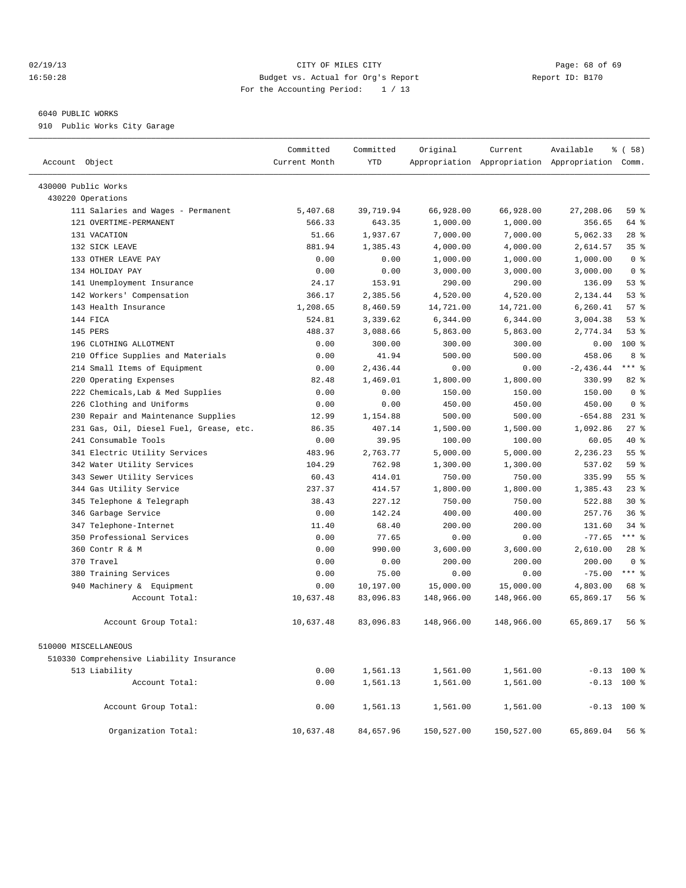## 02/19/13 Page: 68 of 69 16:50:28 Budget vs. Actual for Org's Report Report ID: B170 For the Accounting Period: 1 / 13

## 6040 PUBLIC WORKS

910 Public Works City Garage

| Account Object                           | Committed<br>Current Month | Committed<br><b>YTD</b> | Original   | Current    | Available<br>Appropriation Appropriation Appropriation Comm. | % (58)          |
|------------------------------------------|----------------------------|-------------------------|------------|------------|--------------------------------------------------------------|-----------------|
| 430000 Public Works                      |                            |                         |            |            |                                                              |                 |
| 430220 Operations                        |                            |                         |            |            |                                                              |                 |
| 111 Salaries and Wages - Permanent       | 5,407.68                   | 39,719.94               | 66,928.00  | 66,928.00  | 27,208.06                                                    | 59 %            |
| 121 OVERTIME-PERMANENT                   | 566.33                     | 643.35                  | 1,000.00   | 1,000.00   | 356.65                                                       | 64 %            |
| 131 VACATION                             | 51.66                      | 1,937.67                | 7,000.00   | 7,000.00   | 5,062.33                                                     | $28$ %          |
| 132 SICK LEAVE                           | 881.94                     | 1,385.43                | 4,000.00   | 4,000.00   | 2,614.57                                                     | 35 <sup>8</sup> |
| 133 OTHER LEAVE PAY                      | 0.00                       | 0.00                    | 1,000.00   | 1,000.00   | 1,000.00                                                     | 0 <sup>8</sup>  |
| 134 HOLIDAY PAY                          | 0.00                       | 0.00                    | 3,000.00   | 3,000.00   | 3,000.00                                                     | 0 <sup>8</sup>  |
| 141 Unemployment Insurance               | 24.17                      | 153.91                  | 290.00     | 290.00     | 136.09                                                       | 53%             |
| 142 Workers' Compensation                | 366.17                     | 2,385.56                | 4,520.00   | 4,520.00   | 2,134.44                                                     | 53%             |
| 143 Health Insurance                     | 1,208.65                   | 8,460.59                | 14,721.00  | 14,721.00  | 6,260.41                                                     | 57%             |
| 144 FICA                                 | 524.81                     | 3,339.62                | 6,344.00   | 6,344.00   | 3,004.38                                                     | 53%             |
| 145 PERS                                 | 488.37                     | 3,088.66                | 5,863.00   | 5,863.00   | 2,774.34                                                     | 53%             |
| 196 CLOTHING ALLOTMENT                   | 0.00                       | 300.00                  | 300.00     | 300.00     | 0.00                                                         | 100 %           |
| Office Supplies and Materials<br>210     | 0.00                       | 41.94                   | 500.00     | 500.00     | 458.06                                                       | 8 %             |
| 214 Small Items of Equipment             | 0.00                       | 2,436.44                | 0.00       | 0.00       | $-2,436.44$                                                  | $***$ $-$       |
| 220 Operating Expenses                   | 82.48                      | 1,469.01                | 1,800.00   | 1,800.00   | 330.99                                                       | 82 %            |
| 222 Chemicals, Lab & Med Supplies        | 0.00                       | 0.00                    | 150.00     | 150.00     | 150.00                                                       | 0 <sup>8</sup>  |
| 226 Clothing and Uniforms                | 0.00                       | 0.00                    | 450.00     | 450.00     | 450.00                                                       | 0 <sup>8</sup>  |
| Repair and Maintenance Supplies<br>230   | 12.99                      | 1,154.88                | 500.00     | 500.00     | $-654.88$                                                    | $231$ %         |
| 231 Gas, Oil, Diesel Fuel, Grease, etc.  | 86.35                      | 407.14                  | 1,500.00   | 1,500.00   | 1,092.86                                                     | $27$ %          |
| 241 Consumable Tools                     | 0.00                       | 39.95                   | 100.00     | 100.00     | 60.05                                                        | 40 %            |
| 341 Electric Utility Services            | 483.96                     | 2,763.77                | 5,000.00   | 5,000.00   | 2,236.23                                                     | 55 <sup>8</sup> |
| 342 Water Utility Services               | 104.29                     | 762.98                  | 1,300.00   | 1,300.00   | 537.02                                                       | 59 %            |
| 343 Sewer Utility Services               | 60.43                      | 414.01                  | 750.00     | 750.00     | 335.99                                                       | 55%             |
| 344 Gas Utility Service                  | 237.37                     | 414.57                  | 1,800.00   | 1,800.00   | 1,385.43                                                     | $23$ $%$        |
| 345 Telephone & Telegraph                | 38.43                      | 227.12                  | 750.00     | 750.00     | 522.88                                                       | $30*$           |
| 346 Garbage Service                      | 0.00                       | 142.24                  | 400.00     | 400.00     | 257.76                                                       | 36 <sup>8</sup> |
| 347 Telephone-Internet                   | 11.40                      | 68.40                   | 200.00     | 200.00     | 131.60                                                       | $34$ $%$        |
| 350 Professional Services                | 0.00                       | 77.65                   | 0.00       | 0.00       | $-77.65$                                                     | $***$ $_{8}$    |
| 360 Contr R & M                          | 0.00                       | 990.00                  | 3,600.00   | 3,600.00   | 2,610.00                                                     | $28$ %          |
| 370 Travel                               | 0.00                       | 0.00                    | 200.00     | 200.00     | 200.00                                                       | 0 <sup>8</sup>  |
| 380 Training Services                    | 0.00                       | 75.00                   | 0.00       | 0.00       | $-75.00$                                                     | $***$ $%$       |
| 940 Machinery & Equipment                | 0.00                       | 10,197.00               | 15,000.00  | 15,000.00  | 4,803.00                                                     | 68 %            |
| Account Total:                           | 10,637.48                  | 83,096.83               | 148,966.00 | 148,966.00 | 65,869.17                                                    | 56%             |
| Account Group Total:                     | 10,637.48                  | 83,096.83               | 148,966.00 | 148,966.00 | 65,869.17                                                    | 56%             |
| 510000 MISCELLANEOUS                     |                            |                         |            |            |                                                              |                 |
| 510330 Comprehensive Liability Insurance |                            |                         |            |            |                                                              |                 |
| 513 Liability                            | 0.00                       | 1,561.13                | 1,561.00   | 1,561.00   |                                                              | $-0.13$ 100 %   |
| Account Total:                           | 0.00                       | 1,561.13                | 1,561.00   | 1,561.00   |                                                              | $-0.13$ 100 %   |
| Account Group Total:                     | 0.00                       | 1,561.13                | 1,561.00   | 1,561.00   |                                                              | $-0.13$ 100 %   |
| Organization Total:                      | 10,637.48                  | 84,657.96               | 150,527.00 | 150,527.00 | 65,869.04                                                    | 56%             |